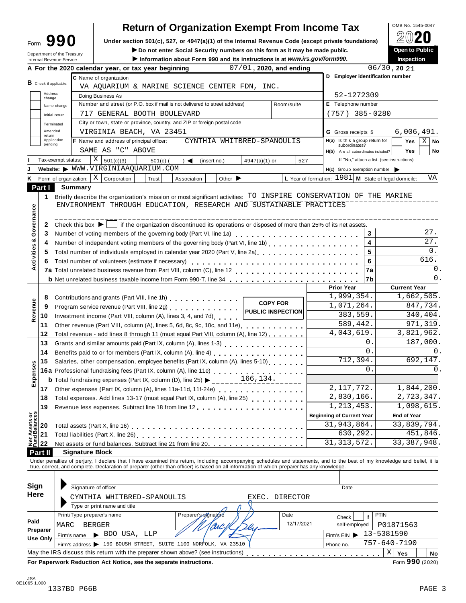| -orm | 990 |  |
|------|-----|--|
|      |     |  |

# **Return of Organization Exempt From Income Tax**

Form  $\mathbf{990}$  Under section 501(c), 527, or 4947(a)(1) of the Internal Revenue Code (except private foundations)  $\mathbb{Z} \cup \mathbb{Z}$ 

Form **JJU** Under section 501(c), 527, or 4947(a)(1) or the internal Revenue Code (except private foundations)<br>
Department of the Treasury **Department of the Treasury Department of the Treasury** 

|                               | Department of the Treasury<br>Internal Revenue Service |             |                              | ► Do not enter Social Security numbers on this form as it may be made public.                                                                                                                                                     | Information about Form 990 and its instructions is at www.irs.gov/form990. |                             |                         |                   |                                                        |                                  |                            |                                            |           | <b>Open to Public</b><br>Inspection |               |
|-------------------------------|--------------------------------------------------------|-------------|------------------------------|-----------------------------------------------------------------------------------------------------------------------------------------------------------------------------------------------------------------------------------|----------------------------------------------------------------------------|-----------------------------|-------------------------|-------------------|--------------------------------------------------------|----------------------------------|----------------------------|--------------------------------------------|-----------|-------------------------------------|---------------|
|                               |                                                        |             |                              | A For the 2020 calendar year, or tax year beginning                                                                                                                                                                               |                                                                            |                             | 07/01, 2020, and ending |                   |                                                        |                                  |                            | $06/30$ , 20 $21$                          |           |                                     |               |
|                               |                                                        |             | C Name of organization       |                                                                                                                                                                                                                                   |                                                                            |                             |                         |                   |                                                        |                                  |                            | D Employer identification number           |           |                                     |               |
| <b>B</b> Check if applicable: |                                                        |             |                              | VA AQUARIUM & MARINE SCIENCE CENTER FDN, INC.                                                                                                                                                                                     |                                                                            |                             |                         |                   |                                                        |                                  |                            |                                            |           |                                     |               |
|                               | Address                                                |             | Doing Business As            |                                                                                                                                                                                                                                   |                                                                            |                             |                         |                   |                                                        |                                  | 52-1272309                 |                                            |           |                                     |               |
|                               | change                                                 |             |                              | Number and street (or P.O. box if mail is not delivered to street address)                                                                                                                                                        |                                                                            |                             |                         | Room/suite        |                                                        |                                  | E Telephone number         |                                            |           |                                     |               |
|                               | Name change                                            |             |                              | 717 GENERAL BOOTH BOULEVARD                                                                                                                                                                                                       |                                                                            |                             |                         |                   |                                                        |                                  |                            | $(757)$ 385-0280                           |           |                                     |               |
|                               | Initial return                                         |             |                              | City or town, state or province, country, and ZIP or foreign postal code                                                                                                                                                          |                                                                            |                             |                         |                   |                                                        |                                  |                            |                                            |           |                                     |               |
|                               | Terminated<br>Amended                                  |             |                              | VIRGINIA BEACH, VA 23451                                                                                                                                                                                                          |                                                                            |                             |                         |                   |                                                        |                                  |                            |                                            |           | 6,006,491.                          |               |
| return                        | Application                                            |             |                              |                                                                                                                                                                                                                                   |                                                                            |                             |                         |                   |                                                        |                                  | <b>G</b> Gross receipts \$ | H(a) Is this a group return for            |           |                                     |               |
|                               | pending                                                |             |                              | F Name and address of principal officer:                                                                                                                                                                                          |                                                                            | CYNTHIA WHITBRED-SPANOULIS  |                         |                   |                                                        |                                  | subordinates?              |                                            |           | Yes                                 | $X \mid$ No   |
|                               |                                                        |             | SAME AS "C" ABOVE            |                                                                                                                                                                                                                                   |                                                                            |                             |                         |                   |                                                        |                                  |                            | H(b) Are all subordinates included?        |           | <b>Yes</b>                          | No            |
|                               | Tax-exempt status:                                     |             | Χ<br>501(c)(3)               | $501(c)$ (                                                                                                                                                                                                                        | $\rightarrow$ $\blacktriangleleft$                                         | (insert no.)                | 4947(a)(1) or           |                   | 527                                                    |                                  |                            | If "No," attach a list. (see instructions) |           |                                     |               |
|                               |                                                        |             |                              | Website: WWW.VIRGINIAAQUARIUM.COM                                                                                                                                                                                                 |                                                                            |                             |                         |                   |                                                        |                                  |                            | $H(c)$ Group exemption number              |           |                                     |               |
| K.                            | Form of organization:                                  |             | $X \mid$ Corporation         | Trust                                                                                                                                                                                                                             | Association                                                                | Other $\blacktriangleright$ |                         |                   | L Year of formation: $1981$ M State of legal domicile: |                                  |                            |                                            |           |                                     | VA            |
| Part I                        |                                                        | Summary     |                              |                                                                                                                                                                                                                                   |                                                                            |                             |                         |                   |                                                        |                                  |                            |                                            |           |                                     |               |
| 1                             |                                                        |             |                              | Briefly describe the organization's mission or most significant activities: TO INSPIRE CONSERVATION OF THE MARINE                                                                                                                 |                                                                            |                             |                         |                   |                                                        |                                  |                            |                                            |           |                                     |               |
|                               |                                                        |             |                              | ENVIRONMENT THROUGH EDUCATION, RESEARCH AND SUSTAINABLE PRACTICES                                                                                                                                                                 |                                                                            |                             |                         |                   |                                                        |                                  |                            |                                            |           |                                     |               |
| Governance                    |                                                        |             |                              |                                                                                                                                                                                                                                   |                                                                            |                             |                         |                   |                                                        |                                  |                            |                                            |           |                                     |               |
| 2                             |                                                        |             |                              | Check this box $\blacktriangleright$   if the organization discontinued its operations or disposed of more than 25% of its net assets.                                                                                            |                                                                            |                             |                         |                   |                                                        |                                  |                            |                                            |           |                                     |               |
| 3                             |                                                        |             |                              | Number of voting members of the governing body (Part VI, line 1a)<br>                                                                                                                                                             |                                                                            |                             |                         |                   |                                                        |                                  |                            | 3                                          |           |                                     | 27.           |
| 4                             |                                                        |             |                              | Number of independent voting members of the governing body (Part VI, line 1b)                                                                                                                                                     |                                                                            |                             |                         |                   |                                                        |                                  |                            | 4                                          |           |                                     | 27.           |
|                               |                                                        |             |                              |                                                                                                                                                                                                                                   |                                                                            |                             |                         |                   |                                                        |                                  |                            | 5                                          |           |                                     | 0.            |
| 5                             |                                                        |             |                              | Total number of individuals employed in calendar year 2020 (Part V, line 2a)<br>The 2a)                                                                                                                                           |                                                                            |                             |                         |                   |                                                        |                                  |                            |                                            |           |                                     | 616.          |
| Activities &<br>6             |                                                        |             |                              | Total number of volunteers (estimate if necessary)                                                                                                                                                                                |                                                                            |                             |                         |                   |                                                        |                                  |                            | 6                                          |           |                                     | $\mathbf 0$ . |
|                               |                                                        |             |                              |                                                                                                                                                                                                                                   |                                                                            |                             |                         |                   |                                                        |                                  |                            | 7a                                         |           |                                     |               |
|                               |                                                        |             |                              | <b>b</b> Net unrelated business taxable income from Form 990-T, line 34                                                                                                                                                           |                                                                            |                             |                         |                   |                                                        |                                  |                            | 7b                                         |           |                                     | 0.            |
|                               |                                                        |             |                              |                                                                                                                                                                                                                                   |                                                                            |                             |                         |                   |                                                        |                                  | <b>Prior Year</b>          |                                            |           | <b>Current Year</b>                 |               |
| 8                             |                                                        |             |                              | Contributions and grants (Part VIII, line 1h)                                                                                                                                                                                     |                                                                            |                             |                         |                   |                                                        |                                  | 1,999,354.                 |                                            |           | 1,662,505.                          |               |
| 9                             |                                                        |             |                              | Program service revenue (Part VIII, line 2g)                                                                                                                                                                                      |                                                                            |                             |                         | <b>COPY FOR</b>   |                                                        |                                  | 1,071,264.                 |                                            |           | 847,734.                            |               |
| Revenue<br>10                 |                                                        |             |                              | Investment income (Part VIII, column (A), lines 3, 4, and 7d)                                                                                                                                                                     |                                                                            |                             |                         | PUBLIC INSPECTION |                                                        |                                  | 383,559.                   |                                            |           | 340,404.                            |               |
| 11                            |                                                        |             |                              | Other revenue (Part VIII, column (A), lines 5, 6d, 8c, 9c, 10c, and 11e)                                                                                                                                                          |                                                                            |                             |                         |                   |                                                        |                                  | 589,442.                   |                                            |           | 971,319.                            |               |
| 12                            |                                                        |             |                              | Total revenue - add lines 8 through 11 (must equal Part VIII, column (A), line 12)                                                                                                                                                |                                                                            |                             |                         |                   |                                                        |                                  | 4,043,619.                 |                                            |           | 3,821,962.                          |               |
| 13                            |                                                        |             |                              | Grants and similar amounts paid (Part IX, column (A), lines 1-3)                                                                                                                                                                  |                                                                            |                             |                         |                   |                                                        |                                  |                            | 0                                          |           | 187,000.                            |               |
| 14                            |                                                        |             |                              |                                                                                                                                                                                                                                   |                                                                            |                             |                         |                   |                                                        |                                  |                            | $\mathbf{0}$ .                             |           |                                     | 0.            |
| 15                            |                                                        |             |                              | Salaries, other compensation, employee benefits (Part IX, column (A), lines 5-10)                                                                                                                                                 |                                                                            |                             |                         |                   |                                                        |                                  | 712,394.                   |                                            |           | 692,147.                            |               |
| Expenses                      |                                                        |             |                              |                                                                                                                                                                                                                                   |                                                                            |                             |                         |                   |                                                        |                                  |                            | 0                                          |           |                                     | 0.            |
|                               |                                                        |             |                              | 16a Professional fundraising fees (Part IX, column (A), line 11e)<br>16a Professional fundraising fees (Part IX, column (A), line 11e)                                                                                            |                                                                            |                             | 166,134.                |                   |                                                        |                                  |                            |                                            |           |                                     |               |
|                               |                                                        |             |                              | <b>b</b> Total fundraising expenses (Part IX, column (D), line 25) $\blacktriangleright$ ____                                                                                                                                     |                                                                            |                             |                         |                   |                                                        |                                  | 2, 117, 772.               |                                            |           | 1,844,200.                          |               |
| 17 <sup>1</sup>               |                                                        |             |                              | Other expenses (Part IX, column (A), lines 11a-11d, 11f-24e)                                                                                                                                                                      |                                                                            |                             |                         |                   |                                                        |                                  |                            |                                            |           |                                     |               |
| 18                            |                                                        |             |                              | Total expenses. Add lines 13-17 (must equal Part IX, column (A), line 25)                                                                                                                                                         |                                                                            |                             |                         |                   |                                                        |                                  | 2,830,166.                 |                                            |           | 2,723,347.                          |               |
| 19                            |                                                        |             |                              |                                                                                                                                                                                                                                   |                                                                            |                             |                         |                   |                                                        |                                  | 1, 213, 453.               |                                            |           | 1,098,615.                          |               |
|                               |                                                        |             |                              |                                                                                                                                                                                                                                   |                                                                            |                             |                         |                   |                                                        | <b>Beginning of Current Year</b> |                            |                                            |           | <b>End of Year</b>                  |               |
| 20                            |                                                        |             |                              |                                                                                                                                                                                                                                   |                                                                            |                             |                         |                   |                                                        |                                  | 31,943,864.                |                                            |           | 33,839,794.                         |               |
| Net Assets or<br>21           |                                                        |             |                              |                                                                                                                                                                                                                                   |                                                                            |                             |                         |                   |                                                        |                                  | 630,292.                   |                                            |           | 451,846.                            |               |
| 22                            |                                                        |             |                              | Net assets or fund balances. Subtract line 21 from line 20 <b></b>                                                                                                                                                                |                                                                            |                             |                         |                   |                                                        |                                  | 31, 313, 572.              |                                            |           | 33, 387, 948.                       |               |
| Part II                       |                                                        |             | <b>Signature Block</b>       |                                                                                                                                                                                                                                   |                                                                            |                             |                         |                   |                                                        |                                  |                            |                                            |           |                                     |               |
|                               |                                                        |             |                              | Under penalties of perjury, I declare that I have examined this return, including accompanying schedules and statements, and to the best of my knowledge and belief, it is<br>true, correct, and complete. Declaration of prepare |                                                                            |                             |                         |                   |                                                        |                                  |                            |                                            |           |                                     |               |
|                               |                                                        |             |                              |                                                                                                                                                                                                                                   |                                                                            |                             |                         |                   |                                                        |                                  |                            |                                            |           |                                     |               |
|                               |                                                        |             |                              |                                                                                                                                                                                                                                   |                                                                            |                             |                         |                   |                                                        |                                  |                            |                                            |           |                                     |               |
| Sign                          |                                                        |             | Signature of officer         |                                                                                                                                                                                                                                   |                                                                            |                             |                         |                   |                                                        |                                  | Date                       |                                            |           |                                     |               |
| Here                          |                                                        |             |                              | CYNTHIA WHITBRED-SPANOULIS                                                                                                                                                                                                        |                                                                            |                             |                         | EXEC. DIRECTOR    |                                                        |                                  |                            |                                            |           |                                     |               |
|                               |                                                        |             | Type or print name and title |                                                                                                                                                                                                                                   |                                                                            |                             |                         |                   |                                                        |                                  |                            |                                            |           |                                     |               |
|                               |                                                        |             | Print/Type preparer's name   |                                                                                                                                                                                                                                   |                                                                            | Preparer's signature        |                         | Date              |                                                        |                                  |                            | PTIN                                       |           |                                     |               |
| Paid                          |                                                        |             |                              |                                                                                                                                                                                                                                   |                                                                            |                             |                         |                   |                                                        |                                  | Check                      | if                                         |           |                                     |               |
| Preparer                      | MARC                                                   |             | <b>BERGER</b>                |                                                                                                                                                                                                                                   |                                                                            |                             |                         |                   | 12/17/2021                                             |                                  | self-employed              |                                            | P01871563 |                                     |               |
| Use Only                      |                                                        | Firm's name | > BDO USA, LLP               |                                                                                                                                                                                                                                   |                                                                            |                             |                         |                   |                                                        |                                  | Firm's $EIN$               | 13-5381590                                 |           |                                     |               |
|                               |                                                        |             |                              | Firm's address > 150 BOUSH STREET, SUITE 1100 NORFOLK, VA 23510                                                                                                                                                                   |                                                                            |                             |                         |                   |                                                        | Phone no.                        |                            | 757-640-7190                               |           |                                     |               |
|                               |                                                        |             |                              | May the IRS discuss this return with the preparer shown above? (see instructions)                                                                                                                                                 |                                                                            |                             |                         |                   |                                                        |                                  |                            |                                            | Χ         | Yes                                 | No            |
|                               |                                                        |             |                              | For Paperwork Reduction Act Notice, see the separate instructions.                                                                                                                                                                |                                                                            |                             |                         |                   |                                                        |                                  |                            |                                            |           | Form 990 (2020)                     |               |
|                               |                                                        |             |                              |                                                                                                                                                                                                                                   |                                                                            |                             |                         |                   |                                                        |                                  |                            |                                            |           |                                     |               |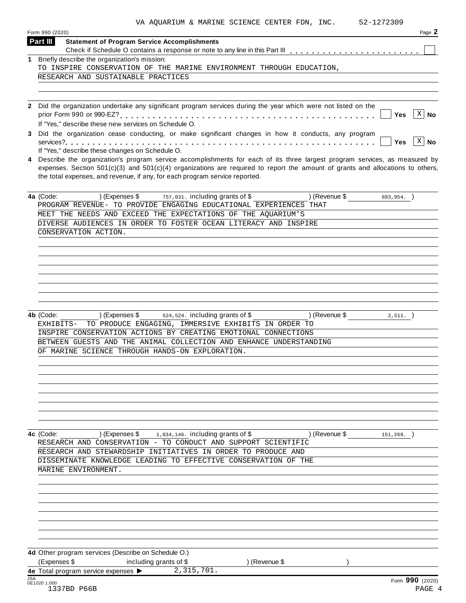| VA AQUARIUM & MARINE SCIENCE CENTER FDN, INC. |  |  |  | 52-1272309 |
|-----------------------------------------------|--|--|--|------------|

| Form 990 (2020)                                                                                                | Page 2                                                                                                                                                                                                                                                                                                                                                                                                                                                                                                                                                                                                                                                                                                                                                                                                                                                                                                                                                                                                                                                                                                                                                                                                                                                                                                                                                                                                                   |
|----------------------------------------------------------------------------------------------------------------|--------------------------------------------------------------------------------------------------------------------------------------------------------------------------------------------------------------------------------------------------------------------------------------------------------------------------------------------------------------------------------------------------------------------------------------------------------------------------------------------------------------------------------------------------------------------------------------------------------------------------------------------------------------------------------------------------------------------------------------------------------------------------------------------------------------------------------------------------------------------------------------------------------------------------------------------------------------------------------------------------------------------------------------------------------------------------------------------------------------------------------------------------------------------------------------------------------------------------------------------------------------------------------------------------------------------------------------------------------------------------------------------------------------------------|
| <b>Statement of Program Service Accomplishments</b>                                                            |                                                                                                                                                                                                                                                                                                                                                                                                                                                                                                                                                                                                                                                                                                                                                                                                                                                                                                                                                                                                                                                                                                                                                                                                                                                                                                                                                                                                                          |
|                                                                                                                |                                                                                                                                                                                                                                                                                                                                                                                                                                                                                                                                                                                                                                                                                                                                                                                                                                                                                                                                                                                                                                                                                                                                                                                                                                                                                                                                                                                                                          |
|                                                                                                                |                                                                                                                                                                                                                                                                                                                                                                                                                                                                                                                                                                                                                                                                                                                                                                                                                                                                                                                                                                                                                                                                                                                                                                                                                                                                                                                                                                                                                          |
|                                                                                                                |                                                                                                                                                                                                                                                                                                                                                                                                                                                                                                                                                                                                                                                                                                                                                                                                                                                                                                                                                                                                                                                                                                                                                                                                                                                                                                                                                                                                                          |
|                                                                                                                |                                                                                                                                                                                                                                                                                                                                                                                                                                                                                                                                                                                                                                                                                                                                                                                                                                                                                                                                                                                                                                                                                                                                                                                                                                                                                                                                                                                                                          |
|                                                                                                                |                                                                                                                                                                                                                                                                                                                                                                                                                                                                                                                                                                                                                                                                                                                                                                                                                                                                                                                                                                                                                                                                                                                                                                                                                                                                                                                                                                                                                          |
|                                                                                                                | X<br><b>Yes</b><br>No                                                                                                                                                                                                                                                                                                                                                                                                                                                                                                                                                                                                                                                                                                                                                                                                                                                                                                                                                                                                                                                                                                                                                                                                                                                                                                                                                                                                    |
|                                                                                                                |                                                                                                                                                                                                                                                                                                                                                                                                                                                                                                                                                                                                                                                                                                                                                                                                                                                                                                                                                                                                                                                                                                                                                                                                                                                                                                                                                                                                                          |
|                                                                                                                |                                                                                                                                                                                                                                                                                                                                                                                                                                                                                                                                                                                                                                                                                                                                                                                                                                                                                                                                                                                                                                                                                                                                                                                                                                                                                                                                                                                                                          |
|                                                                                                                | $X \mid No$<br><b>Yes</b>                                                                                                                                                                                                                                                                                                                                                                                                                                                                                                                                                                                                                                                                                                                                                                                                                                                                                                                                                                                                                                                                                                                                                                                                                                                                                                                                                                                                |
|                                                                                                                |                                                                                                                                                                                                                                                                                                                                                                                                                                                                                                                                                                                                                                                                                                                                                                                                                                                                                                                                                                                                                                                                                                                                                                                                                                                                                                                                                                                                                          |
|                                                                                                                |                                                                                                                                                                                                                                                                                                                                                                                                                                                                                                                                                                                                                                                                                                                                                                                                                                                                                                                                                                                                                                                                                                                                                                                                                                                                                                                                                                                                                          |
| ) (Expenses \$<br>757,031. including grants of \$<br>) (Revenue \$                                             | $693, 954.$ )                                                                                                                                                                                                                                                                                                                                                                                                                                                                                                                                                                                                                                                                                                                                                                                                                                                                                                                                                                                                                                                                                                                                                                                                                                                                                                                                                                                                            |
|                                                                                                                |                                                                                                                                                                                                                                                                                                                                                                                                                                                                                                                                                                                                                                                                                                                                                                                                                                                                                                                                                                                                                                                                                                                                                                                                                                                                                                                                                                                                                          |
|                                                                                                                |                                                                                                                                                                                                                                                                                                                                                                                                                                                                                                                                                                                                                                                                                                                                                                                                                                                                                                                                                                                                                                                                                                                                                                                                                                                                                                                                                                                                                          |
|                                                                                                                |                                                                                                                                                                                                                                                                                                                                                                                                                                                                                                                                                                                                                                                                                                                                                                                                                                                                                                                                                                                                                                                                                                                                                                                                                                                                                                                                                                                                                          |
|                                                                                                                |                                                                                                                                                                                                                                                                                                                                                                                                                                                                                                                                                                                                                                                                                                                                                                                                                                                                                                                                                                                                                                                                                                                                                                                                                                                                                                                                                                                                                          |
|                                                                                                                |                                                                                                                                                                                                                                                                                                                                                                                                                                                                                                                                                                                                                                                                                                                                                                                                                                                                                                                                                                                                                                                                                                                                                                                                                                                                                                                                                                                                                          |
|                                                                                                                |                                                                                                                                                                                                                                                                                                                                                                                                                                                                                                                                                                                                                                                                                                                                                                                                                                                                                                                                                                                                                                                                                                                                                                                                                                                                                                                                                                                                                          |
|                                                                                                                |                                                                                                                                                                                                                                                                                                                                                                                                                                                                                                                                                                                                                                                                                                                                                                                                                                                                                                                                                                                                                                                                                                                                                                                                                                                                                                                                                                                                                          |
|                                                                                                                |                                                                                                                                                                                                                                                                                                                                                                                                                                                                                                                                                                                                                                                                                                                                                                                                                                                                                                                                                                                                                                                                                                                                                                                                                                                                                                                                                                                                                          |
|                                                                                                                |                                                                                                                                                                                                                                                                                                                                                                                                                                                                                                                                                                                                                                                                                                                                                                                                                                                                                                                                                                                                                                                                                                                                                                                                                                                                                                                                                                                                                          |
|                                                                                                                |                                                                                                                                                                                                                                                                                                                                                                                                                                                                                                                                                                                                                                                                                                                                                                                                                                                                                                                                                                                                                                                                                                                                                                                                                                                                                                                                                                                                                          |
|                                                                                                                |                                                                                                                                                                                                                                                                                                                                                                                                                                                                                                                                                                                                                                                                                                                                                                                                                                                                                                                                                                                                                                                                                                                                                                                                                                                                                                                                                                                                                          |
|                                                                                                                | $2,511.$ )                                                                                                                                                                                                                                                                                                                                                                                                                                                                                                                                                                                                                                                                                                                                                                                                                                                                                                                                                                                                                                                                                                                                                                                                                                                                                                                                                                                                               |
|                                                                                                                |                                                                                                                                                                                                                                                                                                                                                                                                                                                                                                                                                                                                                                                                                                                                                                                                                                                                                                                                                                                                                                                                                                                                                                                                                                                                                                                                                                                                                          |
|                                                                                                                |                                                                                                                                                                                                                                                                                                                                                                                                                                                                                                                                                                                                                                                                                                                                                                                                                                                                                                                                                                                                                                                                                                                                                                                                                                                                                                                                                                                                                          |
|                                                                                                                |                                                                                                                                                                                                                                                                                                                                                                                                                                                                                                                                                                                                                                                                                                                                                                                                                                                                                                                                                                                                                                                                                                                                                                                                                                                                                                                                                                                                                          |
|                                                                                                                |                                                                                                                                                                                                                                                                                                                                                                                                                                                                                                                                                                                                                                                                                                                                                                                                                                                                                                                                                                                                                                                                                                                                                                                                                                                                                                                                                                                                                          |
|                                                                                                                |                                                                                                                                                                                                                                                                                                                                                                                                                                                                                                                                                                                                                                                                                                                                                                                                                                                                                                                                                                                                                                                                                                                                                                                                                                                                                                                                                                                                                          |
|                                                                                                                |                                                                                                                                                                                                                                                                                                                                                                                                                                                                                                                                                                                                                                                                                                                                                                                                                                                                                                                                                                                                                                                                                                                                                                                                                                                                                                                                                                                                                          |
|                                                                                                                |                                                                                                                                                                                                                                                                                                                                                                                                                                                                                                                                                                                                                                                                                                                                                                                                                                                                                                                                                                                                                                                                                                                                                                                                                                                                                                                                                                                                                          |
|                                                                                                                |                                                                                                                                                                                                                                                                                                                                                                                                                                                                                                                                                                                                                                                                                                                                                                                                                                                                                                                                                                                                                                                                                                                                                                                                                                                                                                                                                                                                                          |
|                                                                                                                |                                                                                                                                                                                                                                                                                                                                                                                                                                                                                                                                                                                                                                                                                                                                                                                                                                                                                                                                                                                                                                                                                                                                                                                                                                                                                                                                                                                                                          |
|                                                                                                                |                                                                                                                                                                                                                                                                                                                                                                                                                                                                                                                                                                                                                                                                                                                                                                                                                                                                                                                                                                                                                                                                                                                                                                                                                                                                                                                                                                                                                          |
|                                                                                                                |                                                                                                                                                                                                                                                                                                                                                                                                                                                                                                                                                                                                                                                                                                                                                                                                                                                                                                                                                                                                                                                                                                                                                                                                                                                                                                                                                                                                                          |
|                                                                                                                |                                                                                                                                                                                                                                                                                                                                                                                                                                                                                                                                                                                                                                                                                                                                                                                                                                                                                                                                                                                                                                                                                                                                                                                                                                                                                                                                                                                                                          |
|                                                                                                                |                                                                                                                                                                                                                                                                                                                                                                                                                                                                                                                                                                                                                                                                                                                                                                                                                                                                                                                                                                                                                                                                                                                                                                                                                                                                                                                                                                                                                          |
| ) (Expenses \$<br>1,034,146. including grants of \$<br>) (Revenue \$                                           | 151,269.                                                                                                                                                                                                                                                                                                                                                                                                                                                                                                                                                                                                                                                                                                                                                                                                                                                                                                                                                                                                                                                                                                                                                                                                                                                                                                                                                                                                                 |
| RESEARCH AND CONSERVATION - TO CONDUCT AND SUPPORT SCIENTIFIC                                                  |                                                                                                                                                                                                                                                                                                                                                                                                                                                                                                                                                                                                                                                                                                                                                                                                                                                                                                                                                                                                                                                                                                                                                                                                                                                                                                                                                                                                                          |
| RESEARCH AND STEWARDSHIP INITIATIVES IN ORDER TO PRODUCE AND                                                   |                                                                                                                                                                                                                                                                                                                                                                                                                                                                                                                                                                                                                                                                                                                                                                                                                                                                                                                                                                                                                                                                                                                                                                                                                                                                                                                                                                                                                          |
| DISSEMINATE KNOWLEDGE LEADING TO EFFECTIVE CONSERVATION OF THE                                                 |                                                                                                                                                                                                                                                                                                                                                                                                                                                                                                                                                                                                                                                                                                                                                                                                                                                                                                                                                                                                                                                                                                                                                                                                                                                                                                                                                                                                                          |
| MARINE ENVIRONMENT.                                                                                            |                                                                                                                                                                                                                                                                                                                                                                                                                                                                                                                                                                                                                                                                                                                                                                                                                                                                                                                                                                                                                                                                                                                                                                                                                                                                                                                                                                                                                          |
|                                                                                                                |                                                                                                                                                                                                                                                                                                                                                                                                                                                                                                                                                                                                                                                                                                                                                                                                                                                                                                                                                                                                                                                                                                                                                                                                                                                                                                                                                                                                                          |
|                                                                                                                |                                                                                                                                                                                                                                                                                                                                                                                                                                                                                                                                                                                                                                                                                                                                                                                                                                                                                                                                                                                                                                                                                                                                                                                                                                                                                                                                                                                                                          |
|                                                                                                                |                                                                                                                                                                                                                                                                                                                                                                                                                                                                                                                                                                                                                                                                                                                                                                                                                                                                                                                                                                                                                                                                                                                                                                                                                                                                                                                                                                                                                          |
|                                                                                                                |                                                                                                                                                                                                                                                                                                                                                                                                                                                                                                                                                                                                                                                                                                                                                                                                                                                                                                                                                                                                                                                                                                                                                                                                                                                                                                                                                                                                                          |
|                                                                                                                |                                                                                                                                                                                                                                                                                                                                                                                                                                                                                                                                                                                                                                                                                                                                                                                                                                                                                                                                                                                                                                                                                                                                                                                                                                                                                                                                                                                                                          |
|                                                                                                                |                                                                                                                                                                                                                                                                                                                                                                                                                                                                                                                                                                                                                                                                                                                                                                                                                                                                                                                                                                                                                                                                                                                                                                                                                                                                                                                                                                                                                          |
|                                                                                                                |                                                                                                                                                                                                                                                                                                                                                                                                                                                                                                                                                                                                                                                                                                                                                                                                                                                                                                                                                                                                                                                                                                                                                                                                                                                                                                                                                                                                                          |
|                                                                                                                |                                                                                                                                                                                                                                                                                                                                                                                                                                                                                                                                                                                                                                                                                                                                                                                                                                                                                                                                                                                                                                                                                                                                                                                                                                                                                                                                                                                                                          |
| 4d Other program services (Describe on Schedule O.)<br>(Expenses \$<br>including grants of \$<br>) (Revenue \$ |                                                                                                                                                                                                                                                                                                                                                                                                                                                                                                                                                                                                                                                                                                                                                                                                                                                                                                                                                                                                                                                                                                                                                                                                                                                                                                                                                                                                                          |
| Part III<br>4a (Code:<br>4b (Code:                                                                             | 1 Briefly describe the organization's mission:<br>TO INSPIRE CONSERVATION OF THE MARINE ENVIRONMENT THROUGH EDUCATION,<br>RESEARCH AND SUSTAINABLE PRACTICES<br>2 Did the organization undertake any significant program services during the year which were not listed on the<br>If "Yes," describe these new services on Schedule O.<br>3 Did the organization cease conducting, or make significant changes in how it conducts, any program<br>If "Yes," describe these changes on Schedule O.<br>4 Describe the organization's program service accomplishments for each of its three largest program services, as measured by<br>expenses. Section 501(c)(3) and 501(c)(4) organizations are required to report the amount of grants and allocations to others,<br>the total expenses, and revenue, if any, for each program service reported.<br>PROGRAM REVENUE- TO PROVIDE ENGAGING EDUCATIONAL EXPERIENCES THAT<br>MEET THE NEEDS AND EXCEED THE EXPECTATIONS OF THE AQUARIUM'S<br>DIVERSE AUDIENCES IN ORDER TO FOSTER OCEAN LITERACY AND INSPIRE<br>CONSERVATION ACTION.<br>) (Expenses \$<br>524, 524. including grants of \$<br>) (Revenue \$<br>TO PRODUCE ENGAGING, IMMERSIVE EXHIBITS IN ORDER TO<br>EXHIBITS-<br>INSPIRE CONSERVATION ACTIONS BY CREATING EMOTIONAL CONNECTIONS<br>BETWEEN GUESTS AND THE ANIMAL COLLECTION AND ENHANCE UNDERSTANDING<br>OF MARINE SCIENCE THROUGH HANDS-ON EXPLORATION. |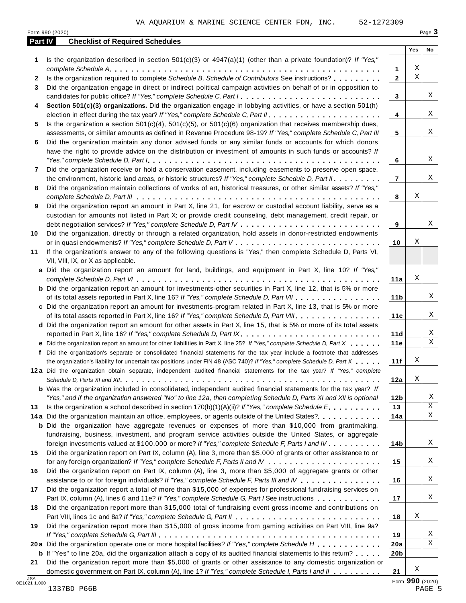|  | -1272309 |  |  |  |  |
|--|----------|--|--|--|--|
|  |          |  |  |  |  |

|         | Form 990 (2020)                                                                                                                                                                                                                                                                                                                                                                               |                 |                         | Page 3 |
|---------|-----------------------------------------------------------------------------------------------------------------------------------------------------------------------------------------------------------------------------------------------------------------------------------------------------------------------------------------------------------------------------------------------|-----------------|-------------------------|--------|
| Part IV | <b>Checklist of Required Schedules</b>                                                                                                                                                                                                                                                                                                                                                        |                 |                         |        |
|         |                                                                                                                                                                                                                                                                                                                                                                                               |                 | Yes                     | No     |
| 1       | Is the organization described in section $501(c)(3)$ or $4947(a)(1)$ (other than a private foundation)? If "Yes,"                                                                                                                                                                                                                                                                             | $\mathbf{1}$    | Χ                       |        |
| 2       | Is the organization required to complete Schedule B, Schedule of Contributors See instructions?                                                                                                                                                                                                                                                                                               | $\mathbf{2}$    | $\overline{\mathbf{x}}$ |        |
| 3       | Did the organization engage in direct or indirect political campaign activities on behalf of or in opposition to                                                                                                                                                                                                                                                                              |                 |                         |        |
|         | candidates for public office? If "Yes," complete Schedule C, Part I.                                                                                                                                                                                                                                                                                                                          | 3               |                         | Χ      |
| 4       | Section 501(c)(3) organizations. Did the organization engage in lobbying activities, or have a section 501(h)                                                                                                                                                                                                                                                                                 |                 |                         |        |
|         | election in effect during the tax year? If "Yes," complete Schedule C, Part II.                                                                                                                                                                                                                                                                                                               | 4               |                         | Χ      |
| 5       | Is the organization a section $501(c)(4)$ , $501(c)(5)$ , or $501(c)(6)$ organization that receives membership dues,                                                                                                                                                                                                                                                                          |                 |                         |        |
|         | assessments, or similar amounts as defined in Revenue Procedure 98-19? If "Yes," complete Schedule C, Part III                                                                                                                                                                                                                                                                                | 5               |                         | Χ      |
| 6       | Did the organization maintain any donor advised funds or any similar funds or accounts for which donors                                                                                                                                                                                                                                                                                       |                 |                         |        |
|         | have the right to provide advice on the distribution or investment of amounts in such funds or accounts? If                                                                                                                                                                                                                                                                                   |                 |                         |        |
|         | "Yes," complete Schedule D, Part $l_1, \ldots, l_k, \ldots, l_k, \ldots, l_k, \ldots, l_k, \ldots, l_k, \ldots, l_k, \ldots, l_k, \ldots, l_k, \ldots, l_k, \ldots, l_k, \ldots, l_k, \ldots, l_k, \ldots, l_k, \ldots, l_k, \ldots, l_k, \ldots, l_k, \ldots, l_k, \ldots, l_k, \ldots, l_k, \ldots, l_k, \ldots, l_k, \ldots, l_k, \ldots, l_k, \ldots, l_k, \ldots, l_k, \ldots, l_k, \ld$ | 6               |                         | Χ      |
| 7       | Did the organization receive or hold a conservation easement, including easements to preserve open space,                                                                                                                                                                                                                                                                                     |                 |                         |        |
|         | the environment, historic land areas, or historic structures? If "Yes," complete Schedule D, Part II.                                                                                                                                                                                                                                                                                         | $\overline{7}$  |                         | Χ      |
| 8       | Did the organization maintain collections of works of art, historical treasures, or other similar assets? If "Yes,"                                                                                                                                                                                                                                                                           |                 | Χ                       |        |
| 9       | Did the organization report an amount in Part X, line 21, for escrow or custodial account liability, serve as a                                                                                                                                                                                                                                                                               | 8               |                         |        |
|         | custodian for amounts not listed in Part X; or provide credit counseling, debt management, credit repair, or                                                                                                                                                                                                                                                                                  |                 |                         |        |
|         |                                                                                                                                                                                                                                                                                                                                                                                               | 9               |                         | Χ      |
| 10      | Did the organization, directly or through a related organization, hold assets in donor-restricted endowments                                                                                                                                                                                                                                                                                  |                 |                         |        |
|         |                                                                                                                                                                                                                                                                                                                                                                                               | 10              | Χ                       |        |
| 11      | If the organization's answer to any of the following questions is "Yes," then complete Schedule D, Parts VI,                                                                                                                                                                                                                                                                                  |                 |                         |        |
|         | VII, VIII, IX, or X as applicable.                                                                                                                                                                                                                                                                                                                                                            |                 |                         |        |
|         | a Did the organization report an amount for land, buildings, and equipment in Part X, line 10? If "Yes,"                                                                                                                                                                                                                                                                                      |                 |                         |        |
|         |                                                                                                                                                                                                                                                                                                                                                                                               | 11a             | Χ                       |        |
|         | <b>b</b> Did the organization report an amount for investments-other securities in Part X, line 12, that is 5% or more                                                                                                                                                                                                                                                                        |                 |                         |        |
|         | of its total assets reported in Part X, line 16? If "Yes," complete Schedule D, Part VII                                                                                                                                                                                                                                                                                                      | 11 <sub>b</sub> |                         | Χ      |
|         | c Did the organization report an amount for investments-program related in Part X, line 13, that is 5% or more                                                                                                                                                                                                                                                                                |                 |                         |        |
|         | of its total assets reported in Part X, line 16? If "Yes," complete Schedule D, Part VIII                                                                                                                                                                                                                                                                                                     | 11c             |                         | Χ      |
|         | d Did the organization report an amount for other assets in Part X, line 15, that is 5% or more of its total assets                                                                                                                                                                                                                                                                           |                 |                         | Χ      |
|         | e Did the organization report an amount for other liabilities in Part X, line 25? If "Yes," complete Schedule D, Part X                                                                                                                                                                                                                                                                       | 11d<br>11e      |                         | X      |
|         | f Did the organization's separate or consolidated financial statements for the tax year include a footnote that addresses                                                                                                                                                                                                                                                                     |                 |                         |        |
|         | the organization's liability for uncertain tax positions under FIN 48 (ASC 740)? If "Yes," complete Schedule D, Part X                                                                                                                                                                                                                                                                        | 11f             | Χ                       |        |
|         | 12a Did the organization obtain separate, independent audited financial statements for the tax year? If "Yes," complete                                                                                                                                                                                                                                                                       |                 |                         |        |
|         |                                                                                                                                                                                                                                                                                                                                                                                               | 12a             | X                       |        |
|         | <b>b</b> Was the organization included in consolidated, independent audited financial statements for the tax year? If                                                                                                                                                                                                                                                                         |                 |                         |        |
|         | "Yes," and if the organization answered "No" to line 12a, then completing Schedule D, Parts XI and XII is optional                                                                                                                                                                                                                                                                            | 12 <sub>b</sub> |                         | X      |
| 13      | Is the organization a school described in section $170(b)(1)(A)(ii)$ ? If "Yes," complete Schedule E.                                                                                                                                                                                                                                                                                         | 13              |                         | Χ      |
|         | 14a Did the organization maintain an office, employees, or agents outside of the United States?.                                                                                                                                                                                                                                                                                              | 14a             |                         | X      |
|         | <b>b</b> Did the organization have aggregate revenues or expenses of more than \$10,000 from grantmaking,                                                                                                                                                                                                                                                                                     |                 |                         |        |
|         | fundraising, business, investment, and program service activities outside the United States, or aggregate                                                                                                                                                                                                                                                                                     |                 |                         |        |
|         | foreign investments valued at \$100,000 or more? If "Yes," complete Schedule F, Parts I and IV                                                                                                                                                                                                                                                                                                | 14b             |                         | Χ      |
| 15      | Did the organization report on Part IX, column (A), line 3, more than \$5,000 of grants or other assistance to or                                                                                                                                                                                                                                                                             |                 |                         |        |
|         |                                                                                                                                                                                                                                                                                                                                                                                               | 15              |                         | Χ      |
| 16      | Did the organization report on Part IX, column (A), line 3, more than \$5,000 of aggregate grants or other                                                                                                                                                                                                                                                                                    |                 |                         | Χ      |
|         | assistance to or for foreign individuals? If "Yes," complete Schedule F, Parts III and IV<br>Did the organization report a total of more than \$15,000 of expenses for professional fundraising services on                                                                                                                                                                                   | 16              |                         |        |
| 17      | Part IX, column (A), lines 6 and 11e? If "Yes," complete Schedule G, Part I See instructions                                                                                                                                                                                                                                                                                                  | 17              |                         | Χ      |
| 18      | Did the organization report more than \$15,000 total of fundraising event gross income and contributions on                                                                                                                                                                                                                                                                                   |                 |                         |        |
|         |                                                                                                                                                                                                                                                                                                                                                                                               | 18              | Χ                       |        |
| 19      | Did the organization report more than \$15,000 of gross income from gaming activities on Part VIII, line 9a?                                                                                                                                                                                                                                                                                  |                 |                         |        |
|         |                                                                                                                                                                                                                                                                                                                                                                                               | 19              |                         | Χ      |
|         | 20a Did the organization operate one or more hospital facilities? If "Yes," complete Schedule H                                                                                                                                                                                                                                                                                               | 20a             |                         | Χ      |
|         | <b>b</b> If "Yes" to line 20a, did the organization attach a copy of its audited financial statements to this return?                                                                                                                                                                                                                                                                         | 20 <sub>b</sub> |                         |        |
| 21      | Did the organization report more than \$5,000 of grants or other assistance to any domestic organization or                                                                                                                                                                                                                                                                                   |                 |                         |        |
|         | domestic government on Part IX, column (A), line 1? If "Yes," complete Schedule I, Parts I and II                                                                                                                                                                                                                                                                                             | 21              | Χ                       |        |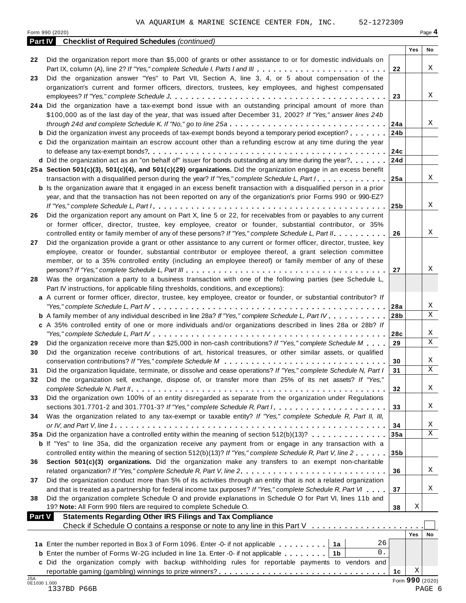|               | Form 990 (2020)                                                                                                           |                 |                 | Page 4      |
|---------------|---------------------------------------------------------------------------------------------------------------------------|-----------------|-----------------|-------------|
| Part IV       | <b>Checklist of Required Schedules (continued)</b>                                                                        |                 |                 |             |
|               |                                                                                                                           |                 | Yes             | No          |
| 22            | Did the organization report more than \$5,000 of grants or other assistance to or for domestic individuals on             |                 |                 |             |
|               | Part IX, column (A), line 2? If "Yes," complete Schedule I, Parts I and III                                               | 22              |                 | Χ           |
| 23            | Did the organization answer "Yes" to Part VII, Section A, line 3, 4, or 5 about compensation of the                       |                 |                 |             |
|               | organization's current and former officers, directors, trustees, key employees, and highest compensated                   |                 |                 |             |
|               |                                                                                                                           | 23              |                 | Χ           |
|               | 24a Did the organization have a tax-exempt bond issue with an outstanding principal amount of more than                   |                 |                 |             |
|               | \$100,000 as of the last day of the year, that was issued after December 31, 2002? If "Yes," answer lines 24b             |                 |                 |             |
|               | through 24d and complete Schedule K. If "No," go to line 25a                                                              | 24a             |                 | Χ           |
|               | <b>b</b> Did the organization invest any proceeds of tax-exempt bonds beyond a temporary period exception?                | 24 <sub>b</sub> |                 |             |
|               | c Did the organization maintain an escrow account other than a refunding escrow at any time during the year               |                 |                 |             |
|               |                                                                                                                           | 24c             |                 |             |
|               | <b>d</b> Did the organization act as an "on behalf of" issuer for bonds outstanding at any time during the year? $\dots$  | 24d             |                 |             |
|               | 25a Section 501(c)(3), 501(c)(4), and 501(c)(29) organizations. Did the organization engage in an excess benefit          |                 |                 |             |
|               | transaction with a disqualified person during the year? If "Yes," complete Schedule L, Part I.                            | 25a             |                 | Χ           |
|               | <b>b</b> Is the organization aware that it engaged in an excess benefit transaction with a disqualified person in a prior |                 |                 |             |
|               | year, and that the transaction has not been reported on any of the organization's prior Forms 990 or 990-EZ?              |                 |                 |             |
|               |                                                                                                                           | 25b             |                 | Χ           |
| 26            | Did the organization report any amount on Part X, line 5 or 22, for receivables from or payables to any current           |                 |                 |             |
|               | or former officer, director, trustee, key employee, creator or founder, substantial contributor, or 35%                   |                 |                 |             |
|               | controlled entity or family member of any of these persons? If "Yes," complete Schedule L, Part II.                       | 26              |                 | Χ           |
|               |                                                                                                                           |                 |                 |             |
| 27            | Did the organization provide a grant or other assistance to any current or former officer, director, trustee, key         |                 |                 |             |
|               | employee, creator or founder, substantial contributor or employee thereof, a grant selection committee                    |                 |                 |             |
|               | member, or to a 35% controlled entity (including an employee thereof) or family member of any of these                    |                 |                 |             |
|               |                                                                                                                           | 27              |                 | Χ           |
| 28            | Was the organization a party to a business transaction with one of the following parties (see Schedule L,                 |                 |                 |             |
|               | Part IV instructions, for applicable filing thresholds, conditions, and exceptions):                                      |                 |                 |             |
|               | a A current or former officer, director, trustee, key employee, creator or founder, or substantial contributor? If        |                 |                 |             |
|               |                                                                                                                           | 28a             |                 | X           |
|               | <b>b</b> A family member of any individual described in line 28a? If "Yes," complete Schedule L, Part IV.                 | 28 <sub>b</sub> |                 | X           |
|               | c A 35% controlled entity of one or more individuals and/or organizations described in lines 28a or 28b? If               |                 |                 |             |
|               |                                                                                                                           | 28c             |                 | X           |
| 29            | Did the organization receive more than \$25,000 in non-cash contributions? If "Yes," complete Schedule M                  | 29              |                 | X           |
| 30            | Did the organization receive contributions of art, historical treasures, or other similar assets, or qualified            |                 |                 |             |
|               |                                                                                                                           | 30              |                 | Χ           |
| 31            | Did the organization liquidate, terminate, or dissolve and cease operations? If "Yes," complete Schedule N, Part I        | 31              |                 | $\mathbf X$ |
| 32            | Did the organization sell, exchange, dispose of, or transfer more than 25% of its net assets? If "Yes,"                   |                 |                 |             |
|               |                                                                                                                           | 32              |                 | Χ           |
| 33            | Did the organization own 100% of an entity disregarded as separate from the organization under Regulations                |                 |                 |             |
|               | sections 301.7701-2 and 301.7701-3? If "Yes," complete Schedule R, Part $l_1, \ldots, l_l, l_l, \ldots, l_l, l_l, l_l$    | 33              |                 | Χ           |
| 34            | Was the organization related to any tax-exempt or taxable entity? If "Yes," complete Schedule R, Part II, III,            |                 |                 |             |
|               |                                                                                                                           | 34              |                 | Χ           |
|               | 35a Did the organization have a controlled entity within the meaning of section 512(b)(13)?                               | 35a             |                 | X           |
|               | <b>b</b> If "Yes" to line 35a, did the organization receive any payment from or engage in any transaction with a          |                 |                 |             |
|               | controlled entity within the meaning of section 512(b)(13)? If "Yes," complete Schedule R, Part V, line 2                 | 35 <sub>b</sub> |                 |             |
|               |                                                                                                                           |                 |                 |             |
| 36            | Section 501(c)(3) organizations. Did the organization make any transfers to an exempt non-charitable                      |                 |                 | Χ           |
|               | related organization? If "Yes," complete Schedule R, Part V, line 2.                                                      | 36              |                 |             |
| 37            | Did the organization conduct more than 5% of its activities through an entity that is not a related organization          |                 |                 |             |
|               | and that is treated as a partnership for federal income tax purposes? If "Yes," complete Schedule R, Part VI              | 37              |                 | Χ           |
| 38            | Did the organization complete Schedule O and provide explanations in Schedule O for Part VI, lines 11b and                |                 |                 |             |
|               | 19? Note: All Form 990 filers are required to complete Schedule O.                                                        | 38              | Χ               |             |
| <b>Part V</b> | <b>Statements Regarding Other IRS Filings and Tax Compliance</b>                                                          |                 |                 |             |
|               |                                                                                                                           |                 |                 |             |
|               |                                                                                                                           |                 | Yes             | No          |
|               | 26<br>1a Enter the number reported in Box 3 of Form 1096. Enter -0- if not applicable   1a                                |                 |                 |             |
|               | 0.<br><b>b</b> Enter the number of Forms W-2G included in line 1a. Enter -0- if not applicable   1b                       |                 |                 |             |
|               | c Did the organization comply with backup withholding rules for reportable payments to vendors and                        |                 |                 |             |
|               |                                                                                                                           | 1 <sub>c</sub>  | Χ               |             |
| <b>JSA</b>    | 0E1030 1.000                                                                                                              |                 | Form 990 (2020) |             |
|               |                                                                                                                           |                 |                 |             |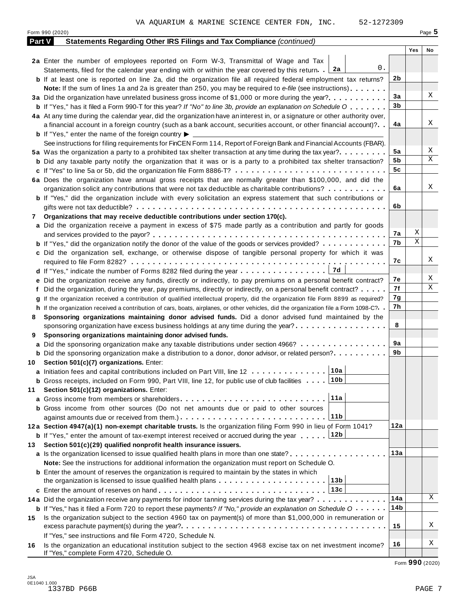|        | Form 990 (2020)                                                                                                                                                                                                                     |     |     | Page 5 |
|--------|-------------------------------------------------------------------------------------------------------------------------------------------------------------------------------------------------------------------------------------|-----|-----|--------|
| Part V | <b>Statements Regarding Other IRS Filings and Tax Compliance (continued)</b>                                                                                                                                                        |     |     |        |
|        |                                                                                                                                                                                                                                     |     | Yes | No     |
|        | 2a Enter the number of employees reported on Form W-3, Transmittal of Wage and Tax                                                                                                                                                  |     |     |        |
|        | 0.<br>Statements, filed for the calendar year ending with or within the year covered by this return. $2a$                                                                                                                           |     |     |        |
|        | <b>b</b> If at least one is reported on line 2a, did the organization file all required federal employment tax returns?                                                                                                             | 2b  |     |        |
|        | <b>Note:</b> If the sum of lines 1a and 2a is greater than 250, you may be required to e-file (see instructions).                                                                                                                   |     |     |        |
|        | 3a Did the organization have unrelated business gross income of \$1,000 or more during the year?                                                                                                                                    | 3a  |     | Χ      |
|        | <b>b</b> If "Yes," has it filed a Form 990-T for this year? If "No" to line 3b, provide an explanation on Schedule O                                                                                                                | 3b  |     |        |
|        | 4a At any time during the calendar year, did the organization have an interest in, or a signature or other authority over,                                                                                                          |     |     |        |
|        | a financial account in a foreign country (such as a bank account, securities account, or other financial account)?                                                                                                                  | 4a  |     | Χ      |
|        | <b>b</b> If "Yes," enter the name of the foreign country $\blacktriangleright$                                                                                                                                                      |     |     |        |
|        | See instructions for filing requirements for FinCEN Form 114, Report of Foreign Bank and Financial Accounts (FBAR).                                                                                                                 |     |     |        |
|        | 5a Was the organization a party to a prohibited tax shelter transaction at any time during the tax year?                                                                                                                            | 5a  |     | Χ      |
|        | <b>b</b> Did any taxable party notify the organization that it was or is a party to a prohibited tax shelter transaction?                                                                                                           | 5b  |     | Χ      |
|        | c If "Yes" to line 5a or 5b, did the organization file Form 8886-T?                                                                                                                                                                 | 5c  |     |        |
|        | 6a Does the organization have annual gross receipts that are normally greater than \$100,000, and did the                                                                                                                           |     |     |        |
|        | organization solicit any contributions that were not tax deductible as charitable contributions?                                                                                                                                    | 6a  |     | Χ      |
|        | <b>b</b> If "Yes," did the organization include with every solicitation an express statement that such contributions or                                                                                                             |     |     |        |
|        |                                                                                                                                                                                                                                     | 6b  |     |        |
| 7      | Organizations that may receive deductible contributions under section 170(c).                                                                                                                                                       |     |     |        |
|        | a Did the organization receive a payment in excess of \$75 made partly as a contribution and partly for goods                                                                                                                       |     |     |        |
|        |                                                                                                                                                                                                                                     | 7а  | Χ   |        |
|        | <b>b</b> If "Yes," did the organization notify the donor of the value of the goods or services provided?                                                                                                                            | 7b  | Χ   |        |
|        | c Did the organization sell, exchange, or otherwise dispose of tangible personal property for which it was                                                                                                                          |     |     |        |
|        |                                                                                                                                                                                                                                     | 7с  |     | Χ      |
|        | 7d<br><b>d</b> If "Yes," indicate the number of Forms 8282 filed during the year $\dots \dots \dots \dots \dots$                                                                                                                    |     |     |        |
|        | e Did the organization receive any funds, directly or indirectly, to pay premiums on a personal benefit contract?                                                                                                                   | 7е  |     | Χ      |
|        | f Did the organization, during the year, pay premiums, directly or indirectly, on a personal benefit contract?                                                                                                                      | 7f  |     | Χ      |
|        | If the organization received a contribution of qualified intellectual property, did the organization file Form 8899 as required?                                                                                                    | 7g  |     |        |
|        | h If the organization received a contribution of cars, boats, airplanes, or other vehicles, did the organization file a Form 1098-C?                                                                                                | 7h  |     |        |
| 8      | Sponsoring organizations maintaining donor advised funds. Did a donor advised fund maintained by the                                                                                                                                |     |     |        |
|        | sponsoring organization have excess business holdings at any time during the year?                                                                                                                                                  | 8   |     |        |
| 9      | Sponsoring organizations maintaining donor advised funds.                                                                                                                                                                           |     |     |        |
|        | a Did the sponsoring organization make any taxable distributions under section 4966?                                                                                                                                                | 9а  |     |        |
|        | <b>b</b> Did the sponsoring organization make a distribution to a donor, donor advisor, or related person?                                                                                                                          | 9b  |     |        |
|        | 10 Section 501(c)(7) organizations. Enter:                                                                                                                                                                                          |     |     |        |
|        | 10a <br>a Initiation fees and capital contributions included on Part VIII, line 12                                                                                                                                                  |     |     |        |
|        | 10b<br><b>b</b> Gross receipts, included on Form 990, Part VIII, line 12, for public use of club facilities $\ldots$ .                                                                                                              |     |     |        |
| 11     | Section 501(c)(12) organizations. Enter:                                                                                                                                                                                            |     |     |        |
|        | 11a                                                                                                                                                                                                                                 |     |     |        |
|        | b Gross income from other sources (Do not net amounts due or paid to other sources                                                                                                                                                  |     |     |        |
|        | 11b                                                                                                                                                                                                                                 |     |     |        |
|        | 12a Section 4947(a)(1) non-exempt charitable trusts. Is the organization filing Form 990 in lieu of Form 1041?                                                                                                                      | 12a |     |        |
|        | 12b<br><b>b</b> If "Yes," enter the amount of tax-exempt interest received or accrued during the year                                                                                                                               |     |     |        |
| 13.    | Section 501(c)(29) qualified nonprofit health insurance issuers.                                                                                                                                                                    |     |     |        |
|        | a Is the organization licensed to issue qualified health plans in more than one state?                                                                                                                                              | 13а |     |        |
|        | Note: See the instructions for additional information the organization must report on Schedule O.                                                                                                                                   |     |     |        |
|        | <b>b</b> Enter the amount of reserves the organization is required to maintain by the states in which                                                                                                                               |     |     |        |
|        | 13b<br>the organization is licensed to issue qualified health plans $\ldots \ldots \ldots \ldots \ldots \ldots \ldots$                                                                                                              |     |     |        |
|        | 13c                                                                                                                                                                                                                                 |     |     |        |
|        | 14a Did the organization receive any payments for indoor tanning services during the tax year?                                                                                                                                      | 14a |     | Χ      |
|        |                                                                                                                                                                                                                                     | 14b |     |        |
|        | <b>b</b> If "Yes," has it filed a Form 720 to report these payments? If "No," provide an explanation on Schedule O<br>Is the organization subject to the section 4960 tax on payment(s) of more than \$1,000,000 in remuneration or |     |     |        |
| 15     |                                                                                                                                                                                                                                     | 15  |     | Χ      |
|        | If "Yes," see instructions and file Form 4720, Schedule N.                                                                                                                                                                          |     |     |        |
|        |                                                                                                                                                                                                                                     | 16  |     | Χ      |
| 16     | Is the organization an educational institution subject to the section 4968 excise tax on net investment income?<br>If "Yes," complete Form 4720, Schedule O.                                                                        |     |     |        |

Form **990** (2020)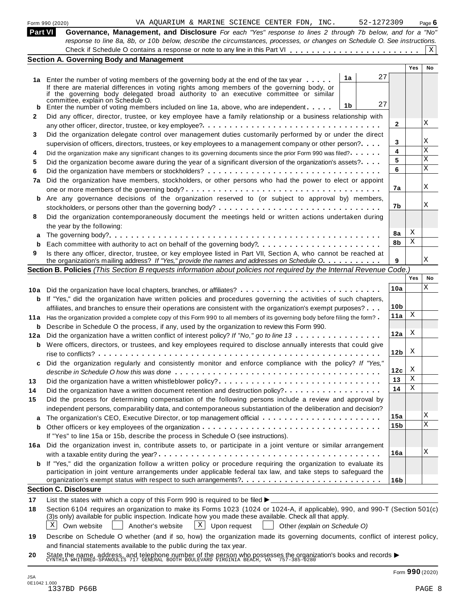|         | VA AQUARIUM & MARINE SCIENCE CENTER FDN, INC.<br>52-1272309<br>Form 990 (2020)                                                                                                                                                                                                                                                                     |                 |     | Page $6$  |
|---------|----------------------------------------------------------------------------------------------------------------------------------------------------------------------------------------------------------------------------------------------------------------------------------------------------------------------------------------------------|-----------------|-----|-----------|
| Part VI | Governance, Management, and Disclosure For each "Yes" response to lines 2 through 7b below, and for a "No"<br>response to line 8a, 8b, or 10b below, describe the circumstances, processes, or changes on Schedule O. See instructions.                                                                                                            |                 |     |           |
|         |                                                                                                                                                                                                                                                                                                                                                    |                 |     | X         |
|         | <b>Section A. Governing Body and Management</b>                                                                                                                                                                                                                                                                                                    |                 |     |           |
|         |                                                                                                                                                                                                                                                                                                                                                    |                 | Yes | <b>No</b> |
|         | 27<br>1a<br>1a Enter the number of voting members of the governing body at the end of the tax year<br>If there are material differences in voting rights among members of the governing body, or<br>if the governing body delegated broad authority to an executive committee or similar<br>committee, explain on Schedule O.<br>27<br>1b          |                 |     |           |
| b       | Enter the number of voting members included on line 1a, above, who are independent                                                                                                                                                                                                                                                                 |                 |     |           |
| 2       | Did any officer, director, trustee, or key employee have a family relationship or a business relationship with                                                                                                                                                                                                                                     | $\mathbf{2}$    |     | X         |
| 3       | Did the organization delegate control over management duties customarily performed by or under the direct                                                                                                                                                                                                                                          | 3               |     | Χ         |
|         | supervision of officers, directors, trustees, or key employees to a management company or other person?                                                                                                                                                                                                                                            | 4               |     | Χ         |
| 4       | Did the organization make any significant changes to its governing documents since the prior Form 990 was filed?                                                                                                                                                                                                                                   | 5               |     | Χ         |
| 5       | Did the organization become aware during the year of a significant diversion of the organization's assets?                                                                                                                                                                                                                                         | 6               |     | X         |
| 6       |                                                                                                                                                                                                                                                                                                                                                    |                 |     |           |
| 7a      | Did the organization have members, stockholders, or other persons who had the power to elect or appoint                                                                                                                                                                                                                                            | 7а              |     | X         |
|         | b Are any governance decisions of the organization reserved to (or subject to approval by) members,                                                                                                                                                                                                                                                |                 |     |           |
|         |                                                                                                                                                                                                                                                                                                                                                    | 7b              |     | Χ         |
| 8       | Did the organization contemporaneously document the meetings held or written actions undertaken during<br>the year by the following:                                                                                                                                                                                                               |                 |     |           |
| a       |                                                                                                                                                                                                                                                                                                                                                    | 8a              | Χ   |           |
|         |                                                                                                                                                                                                                                                                                                                                                    | 8b              | Χ   |           |
| 9       | Is there any officer, director, trustee, or key employee listed in Part VII, Section A, who cannot be reached at                                                                                                                                                                                                                                   |                 |     | Χ         |
|         | the organization's mailing address? If "Yes," provide the names and addresses on Schedule O.                                                                                                                                                                                                                                                       | 9               |     |           |
|         | Section B. Policies (This Section B requests information about policies not required by the Internal Revenue Code.)                                                                                                                                                                                                                                |                 | Yes | No        |
|         |                                                                                                                                                                                                                                                                                                                                                    |                 |     | Χ         |
|         | 10a Did the organization have local chapters, branches, or affiliates?                                                                                                                                                                                                                                                                             | 10a             |     |           |
|         | <b>b</b> If "Yes," did the organization have written policies and procedures governing the activities of such chapters,                                                                                                                                                                                                                            |                 |     |           |
|         | affiliates, and branches to ensure their operations are consistent with the organization's exempt purposes?                                                                                                                                                                                                                                        | 10 <sub>b</sub> | Χ   |           |
|         | 11a Has the organization provided a complete copy of this Form 990 to all members of its governing body before filing the form?                                                                                                                                                                                                                    | 11a             |     |           |
| b       | Describe in Schedule O the process, if any, used by the organization to review this Form 990.                                                                                                                                                                                                                                                      |                 |     |           |
| 12a     | Did the organization have a written conflict of interest policy? If "No," go to line 13                                                                                                                                                                                                                                                            | 12a             | X   |           |
|         | <b>b</b> Were officers, directors, or trustees, and key employees required to disclose annually interests that could give                                                                                                                                                                                                                          | 12 <sub>b</sub> | X   |           |
|         | Did the organization regularly and consistently monitor and enforce compliance with the policy? If "Yes,"                                                                                                                                                                                                                                          | 12c             | X   |           |
|         | Did the organization have a written whistleblower policy?                                                                                                                                                                                                                                                                                          | 13              | Χ   |           |
| 13      |                                                                                                                                                                                                                                                                                                                                                    | 14              | Χ   |           |
| 14      | Did the organization have a written document retention and destruction policy?                                                                                                                                                                                                                                                                     |                 |     |           |
| 15      | Did the process for determining compensation of the following persons include a review and approval by                                                                                                                                                                                                                                             |                 |     |           |
|         | independent persons, comparability data, and contemporaneous substantiation of the deliberation and decision?                                                                                                                                                                                                                                      | 15a             |     | Χ         |
| a       |                                                                                                                                                                                                                                                                                                                                                    | 15b             |     | X         |
| b       |                                                                                                                                                                                                                                                                                                                                                    |                 |     |           |
|         | If "Yes" to line 15a or 15b, describe the process in Schedule O (see instructions).                                                                                                                                                                                                                                                                |                 |     |           |
|         | 16a Did the organization invest in, contribute assets to, or participate in a joint venture or similar arrangement                                                                                                                                                                                                                                 | 16a             |     | Χ         |
|         | <b>b</b> If "Yes," did the organization follow a written policy or procedure requiring the organization to evaluate its<br>participation in joint venture arrangements under applicable federal tax law, and take steps to safeguard the                                                                                                           |                 |     |           |
|         |                                                                                                                                                                                                                                                                                                                                                    | 16 <sub>b</sub> |     |           |
|         | <b>Section C. Disclosure</b>                                                                                                                                                                                                                                                                                                                       |                 |     |           |
| 17      | List the states with which a copy of this Form 990 is required to be filed $\blacktriangleright$                                                                                                                                                                                                                                                   |                 |     |           |
| 18      | Section 6104 requires an organization to make its Forms 1023 (1024 or 1024-A, if applicable), 990, and 990-T (Section 501(c)<br>(3)s only) available for public inspection. Indicate how you made these available. Check all that apply.<br>X<br>$\mathbf{X}$<br>Upon request<br>Own website<br>Another's website<br>Other (explain on Schedule O) |                 |     |           |
| 19      | Describe on Schedule O whether (and if so, how) the organization made its governing documents, conflict of interest policy,                                                                                                                                                                                                                        |                 |     |           |
|         | and financial statements available to the public during the tax year.                                                                                                                                                                                                                                                                              |                 |     |           |
| 20      | State the name, address, and telephone number of the person who possesses the organization's books and records $\blacktriangleright$ critical south south seater. We also the 757-385-0280                                                                                                                                                         |                 |     |           |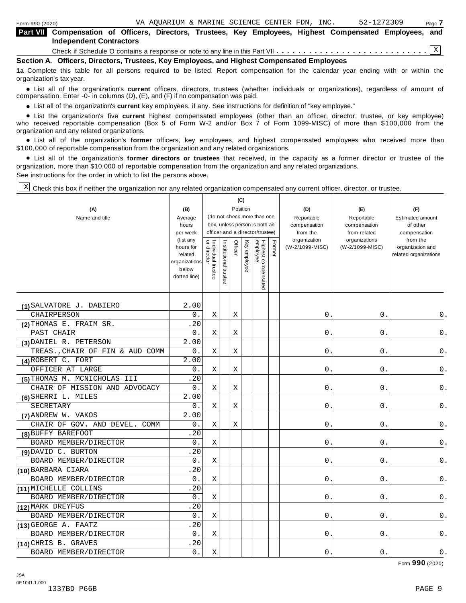organization's tax year.

| <b>Part VIII</b> Compensation of Officers, Directors, Trustees, Key Employees, Highest Compensated Employees, and                 |  |  |  |  |  |  |
|-----------------------------------------------------------------------------------------------------------------------------------|--|--|--|--|--|--|
| <b>Independent Contractors</b>                                                                                                    |  |  |  |  |  |  |
|                                                                                                                                   |  |  |  |  |  |  |
| Section A. Officers, Directors, Trustees, Key Employees, and Highest Compensated Employees                                        |  |  |  |  |  |  |
| 1a Complete this table for all persons required to be listed. Report compensation for the calendar year ending with or within the |  |  |  |  |  |  |

anization's lax year.<br>● List all of the organization's **current** officers, directors, trustees (whether individuals or organizations), regardless of amount of<br>nnensation Enter -0- in columns (D) (E) and (E) if no compensa compensation. Enter -0- in columns (D), (E), and (F) if no compensation was paid.

• List all of the organization's current key employees, if any. See instructions for definition of "key employee."

■ List all of the organization's current key employees, if any. See instructions for definition of "key employee."<br>■ List the organization's five current highest compensated employees (other than an officer, director, tru who received reportable compensation (Box 5 of Form W-2 and/or Box 7 of Form 1099-MISC) of more than \$100,000 from the organization and any related organizations. %

List all of the organization's **former** officers, key employees, and highest compensated employees who received more than \$100,000 of reportable compensation from the organization and any related organizations.

% List all of the organization's **former directors or trustees** that received, in the capacity as a former director or trustee of the organization, more than \$10,000 of reportable compensation from the organization and any related organizations. See instructions for the order in which to list the persons above.

 $\mathbb{X}$  Check this box if neither the organization nor any related organization compensated any current officer, director, or trustee.

| (A)                                          | (B)                                                                         |                                   |                       | (C)         | Position     |                                                                                                 |        | (D)                                    | (E)                                        | (F)                                                   |
|----------------------------------------------|-----------------------------------------------------------------------------|-----------------------------------|-----------------------|-------------|--------------|-------------------------------------------------------------------------------------------------|--------|----------------------------------------|--------------------------------------------|-------------------------------------------------------|
| Name and title                               | Average<br>hours<br>per week                                                |                                   |                       |             |              | (do not check more than one<br>box, unless person is both an<br>officer and a director/trustee) |        | Reportable<br>compensation<br>from the | Reportable<br>compensation<br>from related | <b>Estimated amount</b><br>of other<br>compensation   |
|                                              | (list any<br>hours for<br>related<br>organizations<br>below<br>dotted line) | Individual trustee<br>or director | Institutional trustee | Officer     | Key employee | Highest compensated<br>employee                                                                 | Former | organization<br>(W-2/1099-MISC)        | organizations<br>(W-2/1099-MISC)           | from the<br>organization and<br>related organizations |
| (1) SALVATORE J. DABIERO                     | 2.00                                                                        |                                   |                       |             |              |                                                                                                 |        |                                        |                                            |                                                       |
| CHAIRPERSON                                  | 0.                                                                          | Χ                                 |                       | $\mathbf X$ |              |                                                                                                 |        | $\mathbf 0$                            | $\mathbf 0$                                | $0$ .                                                 |
| (2) THOMAS E. FRAIM SR.                      | .20                                                                         |                                   |                       |             |              |                                                                                                 |        |                                        |                                            |                                                       |
| PAST CHAIR                                   | 0.                                                                          | Χ                                 |                       | Χ           |              |                                                                                                 |        | $0$ .                                  | $0$ .                                      | 0.                                                    |
| (3) DANIEL R. PETERSON                       | 2.00                                                                        |                                   |                       |             |              |                                                                                                 |        |                                        |                                            |                                                       |
| TREAS., CHAIR OF FIN & AUD COMM              | 0.                                                                          | X                                 |                       | X           |              |                                                                                                 |        | $\overline{0}$                         | $\mathbf 0$                                | 0.                                                    |
| (4) ROBERT C. FORT                           | 2.00                                                                        |                                   |                       |             |              |                                                                                                 |        |                                        |                                            |                                                       |
| OFFICER AT LARGE                             | 0.                                                                          | Χ                                 |                       | Χ           |              |                                                                                                 |        | $\mathbf{0}$                           | 0                                          | 0.                                                    |
| (5) THOMAS M. MCNICHOLAS III                 | .20                                                                         |                                   |                       |             |              |                                                                                                 |        |                                        |                                            |                                                       |
| CHAIR OF MISSION AND ADVOCACY                | 0.                                                                          | X                                 |                       | X           |              |                                                                                                 |        | 0                                      | 0                                          | $\mathsf 0$ .                                         |
| (6) SHERRI L. MILES                          | 2.00                                                                        |                                   |                       |             |              |                                                                                                 |        |                                        |                                            |                                                       |
| SECRETARY                                    | 0.                                                                          | X                                 |                       | X           |              |                                                                                                 |        | $\mathbf 0$                            | 0                                          | $\mathsf 0$ .                                         |
| (7) ANDREW W. VAKOS                          | 2.00                                                                        |                                   |                       |             |              |                                                                                                 |        |                                        |                                            |                                                       |
| CHAIR OF GOV. AND DEVEL.<br><b>COMM</b>      | 0.                                                                          | Χ                                 |                       | $\mathbf X$ |              |                                                                                                 |        | 0                                      | $\mathsf{O}$ .                             | $\mathsf 0$ .                                         |
| (8) BUFFY BAREFOOT                           | .20                                                                         |                                   |                       |             |              |                                                                                                 |        |                                        |                                            |                                                       |
| BOARD MEMBER/DIRECTOR                        | 0.                                                                          | $\rm X$                           |                       |             |              |                                                                                                 |        | $\mathbf 0$                            | 0                                          | 0.                                                    |
| (9) DAVID C. BURTON<br>BOARD MEMBER/DIRECTOR | .20<br>О.                                                                   |                                   |                       |             |              |                                                                                                 |        | 0                                      | 0                                          | 0.                                                    |
| (10) BARBARA CIARA                           | .20                                                                         | Χ                                 |                       |             |              |                                                                                                 |        |                                        |                                            |                                                       |
| BOARD MEMBER/DIRECTOR                        | 0.                                                                          | Χ                                 |                       |             |              |                                                                                                 |        | 0                                      | $\mathbf 0$                                | $0$ .                                                 |
| (11) MICHELLE COLLINS                        | .20                                                                         |                                   |                       |             |              |                                                                                                 |        |                                        |                                            |                                                       |
| BOARD MEMBER/DIRECTOR                        | О.                                                                          | Χ                                 |                       |             |              |                                                                                                 |        | 0.                                     | $0$ .                                      | 0.                                                    |
| (12) MARK DREYFUS                            | .20                                                                         |                                   |                       |             |              |                                                                                                 |        |                                        |                                            |                                                       |
| BOARD MEMBER/DIRECTOR                        | 0.                                                                          | X                                 |                       |             |              |                                                                                                 |        | 0                                      | 0                                          | 0.                                                    |
| (13) GEORGE A. FAATZ                         | .20                                                                         |                                   |                       |             |              |                                                                                                 |        |                                        |                                            |                                                       |
| BOARD MEMBER/DIRECTOR                        | 0.                                                                          | Χ                                 |                       |             |              |                                                                                                 |        | 0                                      | 0                                          | $0$ .                                                 |
| (14) CHRIS B. GRAVES                         | .20                                                                         |                                   |                       |             |              |                                                                                                 |        |                                        |                                            |                                                       |
| BOARD MEMBER/DIRECTOR                        | 0.                                                                          | X                                 |                       |             |              |                                                                                                 |        | 0                                      | 0                                          | 0.                                                    |

Form **990** (2020)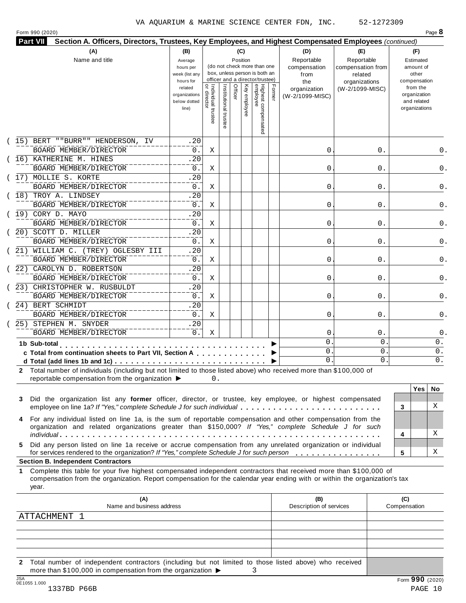| (15) BERT ""BURR"" HENDERSON, IV<br>BOARD MEMBER/DIRECTOR<br>16) KATHERINE M. HINES<br>BOARD MEMBER/DIRECTOR<br>17) MOLLIE S. KORTE<br>BOARD MEMBER/DIRECTOR<br>18) TROY A. LINDSEY<br>BOARD MEMBER/DIRECTOR<br>(19) CORY D. MAYO | related<br>organizations<br>below dotted<br>line)<br>.20<br>$0$ .<br>.20<br>0.<br>.20<br>0.<br>.20                                                                                                                                                                                                                                                                                    | Individual trustee<br>  or director<br>Χ<br>Χ                                                                                          | Institutional truste                                                            | Officer | Key employee                                            | Highest compensated<br>employee | Former | organization<br>(W-2/1099-MISC) | (W-2/1099-MISC)                                     | from the<br>organization<br>and related<br>organizations                                                                                                                                                                                                                                                                                                                                                                                                                                                                                                                                                                                                                                                                                                                                                                                                                                                                                                                                                                                                                                                                                                                            |
|-----------------------------------------------------------------------------------------------------------------------------------------------------------------------------------------------------------------------------------|---------------------------------------------------------------------------------------------------------------------------------------------------------------------------------------------------------------------------------------------------------------------------------------------------------------------------------------------------------------------------------------|----------------------------------------------------------------------------------------------------------------------------------------|---------------------------------------------------------------------------------|---------|---------------------------------------------------------|---------------------------------|--------|---------------------------------|-----------------------------------------------------|-------------------------------------------------------------------------------------------------------------------------------------------------------------------------------------------------------------------------------------------------------------------------------------------------------------------------------------------------------------------------------------------------------------------------------------------------------------------------------------------------------------------------------------------------------------------------------------------------------------------------------------------------------------------------------------------------------------------------------------------------------------------------------------------------------------------------------------------------------------------------------------------------------------------------------------------------------------------------------------------------------------------------------------------------------------------------------------------------------------------------------------------------------------------------------------|
|                                                                                                                                                                                                                                   |                                                                                                                                                                                                                                                                                                                                                                                       |                                                                                                                                        |                                                                                 |         |                                                         |                                 |        |                                 |                                                     |                                                                                                                                                                                                                                                                                                                                                                                                                                                                                                                                                                                                                                                                                                                                                                                                                                                                                                                                                                                                                                                                                                                                                                                     |
|                                                                                                                                                                                                                                   |                                                                                                                                                                                                                                                                                                                                                                                       |                                                                                                                                        |                                                                                 |         |                                                         |                                 |        |                                 |                                                     |                                                                                                                                                                                                                                                                                                                                                                                                                                                                                                                                                                                                                                                                                                                                                                                                                                                                                                                                                                                                                                                                                                                                                                                     |
|                                                                                                                                                                                                                                   |                                                                                                                                                                                                                                                                                                                                                                                       |                                                                                                                                        |                                                                                 |         |                                                         |                                 |        | 0                               | 0.                                                  | 0.                                                                                                                                                                                                                                                                                                                                                                                                                                                                                                                                                                                                                                                                                                                                                                                                                                                                                                                                                                                                                                                                                                                                                                                  |
|                                                                                                                                                                                                                                   |                                                                                                                                                                                                                                                                                                                                                                                       |                                                                                                                                        |                                                                                 |         |                                                         |                                 |        | 0                               | 0.                                                  | 0.                                                                                                                                                                                                                                                                                                                                                                                                                                                                                                                                                                                                                                                                                                                                                                                                                                                                                                                                                                                                                                                                                                                                                                                  |
|                                                                                                                                                                                                                                   |                                                                                                                                                                                                                                                                                                                                                                                       |                                                                                                                                        |                                                                                 |         |                                                         |                                 |        |                                 |                                                     |                                                                                                                                                                                                                                                                                                                                                                                                                                                                                                                                                                                                                                                                                                                                                                                                                                                                                                                                                                                                                                                                                                                                                                                     |
|                                                                                                                                                                                                                                   |                                                                                                                                                                                                                                                                                                                                                                                       | X                                                                                                                                      |                                                                                 |         |                                                         |                                 |        | 0                               | 0.                                                  | 0.                                                                                                                                                                                                                                                                                                                                                                                                                                                                                                                                                                                                                                                                                                                                                                                                                                                                                                                                                                                                                                                                                                                                                                                  |
|                                                                                                                                                                                                                                   |                                                                                                                                                                                                                                                                                                                                                                                       |                                                                                                                                        |                                                                                 |         |                                                         |                                 |        |                                 |                                                     |                                                                                                                                                                                                                                                                                                                                                                                                                                                                                                                                                                                                                                                                                                                                                                                                                                                                                                                                                                                                                                                                                                                                                                                     |
|                                                                                                                                                                                                                                   | 0.                                                                                                                                                                                                                                                                                                                                                                                    | Χ                                                                                                                                      |                                                                                 |         |                                                         |                                 |        | 0                               | 0.                                                  | 0.                                                                                                                                                                                                                                                                                                                                                                                                                                                                                                                                                                                                                                                                                                                                                                                                                                                                                                                                                                                                                                                                                                                                                                                  |
|                                                                                                                                                                                                                                   | .20                                                                                                                                                                                                                                                                                                                                                                                   |                                                                                                                                        |                                                                                 |         |                                                         |                                 |        |                                 |                                                     |                                                                                                                                                                                                                                                                                                                                                                                                                                                                                                                                                                                                                                                                                                                                                                                                                                                                                                                                                                                                                                                                                                                                                                                     |
| BOARD MEMBER/DIRECTOR                                                                                                                                                                                                             | 0.                                                                                                                                                                                                                                                                                                                                                                                    | Χ                                                                                                                                      |                                                                                 |         |                                                         |                                 |        | 0                               | 0.                                                  | 0.                                                                                                                                                                                                                                                                                                                                                                                                                                                                                                                                                                                                                                                                                                                                                                                                                                                                                                                                                                                                                                                                                                                                                                                  |
| 20) SCOTT D. MILLER                                                                                                                                                                                                               | .20                                                                                                                                                                                                                                                                                                                                                                                   |                                                                                                                                        |                                                                                 |         |                                                         |                                 |        |                                 |                                                     |                                                                                                                                                                                                                                                                                                                                                                                                                                                                                                                                                                                                                                                                                                                                                                                                                                                                                                                                                                                                                                                                                                                                                                                     |
|                                                                                                                                                                                                                                   | $0$ .                                                                                                                                                                                                                                                                                                                                                                                 | X                                                                                                                                      |                                                                                 |         |                                                         |                                 |        | 0                               | 0.                                                  | 0.                                                                                                                                                                                                                                                                                                                                                                                                                                                                                                                                                                                                                                                                                                                                                                                                                                                                                                                                                                                                                                                                                                                                                                                  |
|                                                                                                                                                                                                                                   | .20                                                                                                                                                                                                                                                                                                                                                                                   |                                                                                                                                        |                                                                                 |         |                                                         |                                 |        |                                 |                                                     |                                                                                                                                                                                                                                                                                                                                                                                                                                                                                                                                                                                                                                                                                                                                                                                                                                                                                                                                                                                                                                                                                                                                                                                     |
|                                                                                                                                                                                                                                   | $0$ .                                                                                                                                                                                                                                                                                                                                                                                 | X                                                                                                                                      |                                                                                 |         |                                                         |                                 |        | 0                               | 0.                                                  | 0.                                                                                                                                                                                                                                                                                                                                                                                                                                                                                                                                                                                                                                                                                                                                                                                                                                                                                                                                                                                                                                                                                                                                                                                  |
|                                                                                                                                                                                                                                   |                                                                                                                                                                                                                                                                                                                                                                                       |                                                                                                                                        |                                                                                 |         |                                                         |                                 |        |                                 |                                                     |                                                                                                                                                                                                                                                                                                                                                                                                                                                                                                                                                                                                                                                                                                                                                                                                                                                                                                                                                                                                                                                                                                                                                                                     |
|                                                                                                                                                                                                                                   |                                                                                                                                                                                                                                                                                                                                                                                       |                                                                                                                                        |                                                                                 |         |                                                         |                                 |        |                                 |                                                     | 0.                                                                                                                                                                                                                                                                                                                                                                                                                                                                                                                                                                                                                                                                                                                                                                                                                                                                                                                                                                                                                                                                                                                                                                                  |
|                                                                                                                                                                                                                                   |                                                                                                                                                                                                                                                                                                                                                                                       |                                                                                                                                        |                                                                                 |         |                                                         |                                 |        |                                 |                                                     |                                                                                                                                                                                                                                                                                                                                                                                                                                                                                                                                                                                                                                                                                                                                                                                                                                                                                                                                                                                                                                                                                                                                                                                     |
|                                                                                                                                                                                                                                   |                                                                                                                                                                                                                                                                                                                                                                                       |                                                                                                                                        |                                                                                 |         |                                                         |                                 |        |                                 |                                                     | 0.                                                                                                                                                                                                                                                                                                                                                                                                                                                                                                                                                                                                                                                                                                                                                                                                                                                                                                                                                                                                                                                                                                                                                                                  |
|                                                                                                                                                                                                                                   |                                                                                                                                                                                                                                                                                                                                                                                       |                                                                                                                                        |                                                                                 |         |                                                         |                                 |        |                                 |                                                     |                                                                                                                                                                                                                                                                                                                                                                                                                                                                                                                                                                                                                                                                                                                                                                                                                                                                                                                                                                                                                                                                                                                                                                                     |
|                                                                                                                                                                                                                                   |                                                                                                                                                                                                                                                                                                                                                                                       |                                                                                                                                        |                                                                                 |         |                                                         |                                 |        |                                 |                                                     | 0.                                                                                                                                                                                                                                                                                                                                                                                                                                                                                                                                                                                                                                                                                                                                                                                                                                                                                                                                                                                                                                                                                                                                                                                  |
|                                                                                                                                                                                                                                   |                                                                                                                                                                                                                                                                                                                                                                                       |                                                                                                                                        |                                                                                 |         |                                                         |                                 |        |                                 |                                                     | 0.                                                                                                                                                                                                                                                                                                                                                                                                                                                                                                                                                                                                                                                                                                                                                                                                                                                                                                                                                                                                                                                                                                                                                                                  |
|                                                                                                                                                                                                                                   |                                                                                                                                                                                                                                                                                                                                                                                       |                                                                                                                                        |                                                                                 |         |                                                         |                                 |        |                                 |                                                     | 0.                                                                                                                                                                                                                                                                                                                                                                                                                                                                                                                                                                                                                                                                                                                                                                                                                                                                                                                                                                                                                                                                                                                                                                                  |
|                                                                                                                                                                                                                                   |                                                                                                                                                                                                                                                                                                                                                                                       |                                                                                                                                        |                                                                                 |         |                                                         |                                 |        |                                 |                                                     | $0$ .                                                                                                                                                                                                                                                                                                                                                                                                                                                                                                                                                                                                                                                                                                                                                                                                                                                                                                                                                                                                                                                                                                                                                                               |
|                                                                                                                                                                                                                                   |                                                                                                                                                                                                                                                                                                                                                                                       |                                                                                                                                        |                                                                                 |         |                                                         |                                 |        | $\mathbf 0$ .                   | 0                                                   | 0.                                                                                                                                                                                                                                                                                                                                                                                                                                                                                                                                                                                                                                                                                                                                                                                                                                                                                                                                                                                                                                                                                                                                                                                  |
|                                                                                                                                                                                                                                   |                                                                                                                                                                                                                                                                                                                                                                                       |                                                                                                                                        |                                                                                 |         |                                                         |                                 |        |                                 |                                                     | <b>Yes</b><br>No.<br>X<br>3                                                                                                                                                                                                                                                                                                                                                                                                                                                                                                                                                                                                                                                                                                                                                                                                                                                                                                                                                                                                                                                                                                                                                         |
|                                                                                                                                                                                                                                   |                                                                                                                                                                                                                                                                                                                                                                                       |                                                                                                                                        |                                                                                 |         |                                                         |                                 |        |                                 |                                                     | X<br>4<br>х<br>5                                                                                                                                                                                                                                                                                                                                                                                                                                                                                                                                                                                                                                                                                                                                                                                                                                                                                                                                                                                                                                                                                                                                                                    |
|                                                                                                                                                                                                                                   |                                                                                                                                                                                                                                                                                                                                                                                       |                                                                                                                                        |                                                                                 |         |                                                         |                                 |        |                                 |                                                     |                                                                                                                                                                                                                                                                                                                                                                                                                                                                                                                                                                                                                                                                                                                                                                                                                                                                                                                                                                                                                                                                                                                                                                                     |
|                                                                                                                                                                                                                                   |                                                                                                                                                                                                                                                                                                                                                                                       |                                                                                                                                        |                                                                                 |         |                                                         |                                 |        |                                 |                                                     |                                                                                                                                                                                                                                                                                                                                                                                                                                                                                                                                                                                                                                                                                                                                                                                                                                                                                                                                                                                                                                                                                                                                                                                     |
| (A)                                                                                                                                                                                                                               |                                                                                                                                                                                                                                                                                                                                                                                       |                                                                                                                                        |                                                                                 |         |                                                         |                                 |        | (B)                             |                                                     | (C)<br>Compensation                                                                                                                                                                                                                                                                                                                                                                                                                                                                                                                                                                                                                                                                                                                                                                                                                                                                                                                                                                                                                                                                                                                                                                 |
|                                                                                                                                                                                                                                   |                                                                                                                                                                                                                                                                                                                                                                                       |                                                                                                                                        |                                                                                 |         |                                                         |                                 |        |                                 |                                                     |                                                                                                                                                                                                                                                                                                                                                                                                                                                                                                                                                                                                                                                                                                                                                                                                                                                                                                                                                                                                                                                                                                                                                                                     |
|                                                                                                                                                                                                                                   |                                                                                                                                                                                                                                                                                                                                                                                       |                                                                                                                                        |                                                                                 |         |                                                         |                                 |        |                                 |                                                     |                                                                                                                                                                                                                                                                                                                                                                                                                                                                                                                                                                                                                                                                                                                                                                                                                                                                                                                                                                                                                                                                                                                                                                                     |
|                                                                                                                                                                                                                                   |                                                                                                                                                                                                                                                                                                                                                                                       |                                                                                                                                        |                                                                                 |         |                                                         |                                 |        |                                 |                                                     |                                                                                                                                                                                                                                                                                                                                                                                                                                                                                                                                                                                                                                                                                                                                                                                                                                                                                                                                                                                                                                                                                                                                                                                     |
|                                                                                                                                                                                                                                   |                                                                                                                                                                                                                                                                                                                                                                                       |                                                                                                                                        |                                                                                 |         |                                                         |                                 |        |                                 |                                                     |                                                                                                                                                                                                                                                                                                                                                                                                                                                                                                                                                                                                                                                                                                                                                                                                                                                                                                                                                                                                                                                                                                                                                                                     |
|                                                                                                                                                                                                                                   | BOARD MEMBER/DIRECTOR<br>21) WILLIAM C. (TREY) OGLESBY III<br>BOARD MEMBER/DIRECTOR<br>22) CAROLYN D. ROBERTSON<br>BOARD MEMBER/DIRECTOR<br>23) CHRISTOPHER W. RUSBULDT<br>BOARD MEMBER/DIRECTOR<br>24) BERT SCHMIDT<br>BOARD MEMBER/DIRECTOR<br>25) STEPHEN M. SNYDER<br>BOARD MEMBER/DIRECTOR<br>1b Sub-total<br><b>Section B. Independent Contractors</b><br>year.<br>ATTACHMENT 1 | .20<br>$0$ .<br>.20<br>0.<br>.20<br>0.<br>.20<br>$0$ .<br>reportable compensation from the organization ▶<br>Name and business address | Χ<br>Χ<br>X<br>Χ<br>more than \$100,000 in compensation from the organization ▶ | 0.      | c Total from continuation sheets to Part VII, Section A |                                 |        |                                 | 0<br>0<br>0<br>0<br>$\mathbf 0$ .<br>$\mathbf{0}$ . | 0.<br>0.<br>0.<br>$0$ .<br>0<br>0<br>2 Total number of individuals (including but not limited to those listed above) who received more than \$100,000 of<br>Did the organization list any former officer, director, or trustee, key employee, or highest compensated<br>employee on line 1a? If "Yes," complete Schedule J for such individual<br>For any individual listed on line 1a, is the sum of reportable compensation and other compensation from the<br>organization and related organizations greater than \$150,000? If "Yes," complete Schedule J for such<br>Did any person listed on line 1a receive or accrue compensation from any unrelated organization or individual<br>for services rendered to the organization? If "Yes," complete Schedule J for such person<br>Complete this table for your five highest compensated independent contractors that received more than \$100,000 of<br>compensation from the organization. Report compensation for the calendar year ending with or within the organization's tax<br>Description of services<br>2 Total number of independent contractors (including but not limited to those listed above) who received<br>3 |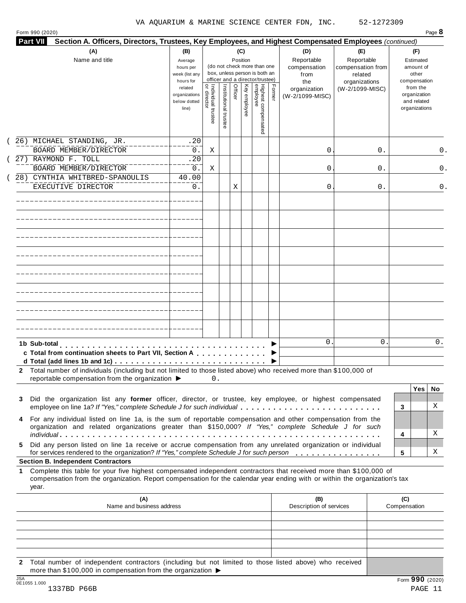| <b>Part VII</b><br>Section A. Officers, Directors, Trustees, Key Employees, and Highest Compensated Employees (continued)                                                                                                                                                                                   |                                                                |                                     |                       |                 |              |                                                                    |        |                                           |                                                   |                                                                          |
|-------------------------------------------------------------------------------------------------------------------------------------------------------------------------------------------------------------------------------------------------------------------------------------------------------------|----------------------------------------------------------------|-------------------------------------|-----------------------|-----------------|--------------|--------------------------------------------------------------------|--------|-------------------------------------------|---------------------------------------------------|--------------------------------------------------------------------------|
| (A)<br>Name and title                                                                                                                                                                                                                                                                                       | (B)<br>Average<br>hours per<br>week (list any                  |                                     |                       | (C)<br>Position |              | (do not check more than one<br>box, unless person is both an       |        | (D)<br>Reportable<br>compensation<br>from | (E)<br>Reportable<br>compensation from<br>related | (F)<br>Estimated<br>amount of<br>other                                   |
|                                                                                                                                                                                                                                                                                                             | hours for<br>related<br>organizations<br>below dotted<br>line) | Individual trustee<br>  or director | Institutional trustee | Officer         | Key employee | officer and a director/trustee)<br>Highest compensated<br>employee | Former | the<br>organization<br>(W-2/1099-MISC)    | organizations<br>(W-2/1099-MISC)                  | compensation<br>from the<br>organization<br>and related<br>organizations |
| 26) MICHAEL STANDING, JR.<br>BOARD MEMBER/DIRECTOR                                                                                                                                                                                                                                                          | .20<br>$0$ .                                                   | Χ                                   |                       |                 |              |                                                                    |        | 0                                         | 0.                                                | 0.                                                                       |
| 27) RAYMOND F. TOLL<br>BOARD MEMBER/DIRECTOR                                                                                                                                                                                                                                                                | .20<br>0.                                                      | Χ                                   |                       |                 |              |                                                                    |        | 0                                         | 0.                                                | 0.                                                                       |
| 28) CYNTHIA WHITBRED-SPANOULIS<br>EXECUTIVE DIRECTOR                                                                                                                                                                                                                                                        | 40.00<br>0.                                                    |                                     |                       | Χ               |              |                                                                    |        | 0                                         | 0.                                                | 0.                                                                       |
|                                                                                                                                                                                                                                                                                                             |                                                                |                                     |                       |                 |              |                                                                    |        |                                           |                                                   |                                                                          |
|                                                                                                                                                                                                                                                                                                             |                                                                |                                     |                       |                 |              |                                                                    |        |                                           |                                                   |                                                                          |
|                                                                                                                                                                                                                                                                                                             |                                                                |                                     |                       |                 |              |                                                                    |        |                                           |                                                   |                                                                          |
|                                                                                                                                                                                                                                                                                                             |                                                                |                                     |                       |                 |              |                                                                    |        |                                           |                                                   |                                                                          |
|                                                                                                                                                                                                                                                                                                             |                                                                |                                     |                       |                 |              |                                                                    |        |                                           |                                                   |                                                                          |
|                                                                                                                                                                                                                                                                                                             |                                                                |                                     |                       |                 |              |                                                                    |        |                                           |                                                   |                                                                          |
|                                                                                                                                                                                                                                                                                                             |                                                                |                                     |                       |                 |              |                                                                    |        |                                           |                                                   |                                                                          |
|                                                                                                                                                                                                                                                                                                             |                                                                |                                     |                       |                 |              |                                                                    |        |                                           |                                                   |                                                                          |
| 1b Sub-total<br>c Total from continuation sheets to Part VII, Section A                                                                                                                                                                                                                                     |                                                                |                                     |                       |                 |              |                                                                    |        | 0                                         | 0                                                 | 0.                                                                       |
| 2 Total number of individuals (including but not limited to those listed above) who received more than \$100,000 of<br>reportable compensation from the organization $\blacktriangleright$                                                                                                                  |                                                                | 0.                                  |                       |                 |              |                                                                    |        |                                           |                                                   |                                                                          |
| Did the organization list any former officer, director, or trustee, key employee, or highest compensated<br>3<br>employee on line 1a? If "Yes," complete Schedule J for such individual                                                                                                                     |                                                                |                                     |                       |                 |              |                                                                    |        |                                           |                                                   | Yes<br>No.<br>X<br>3                                                     |
| For any individual listed on line 1a, is the sum of reportable compensation and other compensation from the<br>4<br>organization and related organizations greater than \$150,000? If "Yes," complete Schedule J for such                                                                                   |                                                                |                                     |                       |                 |              |                                                                    |        |                                           |                                                   | Χ<br>4                                                                   |
| Did any person listed on line 1a receive or accrue compensation from any unrelated organization or individual<br>5.<br>for services rendered to the organization? If "Yes," complete Schedule J for such person                                                                                             |                                                                |                                     |                       |                 |              |                                                                    |        |                                           |                                                   | Χ<br>5                                                                   |
| <b>Section B. Independent Contractors</b><br>Complete this table for your five highest compensated independent contractors that received more than \$100,000 of<br>1<br>compensation from the organization. Report compensation for the calendar year ending with or within the organization's tax<br>year. |                                                                |                                     |                       |                 |              |                                                                    |        |                                           |                                                   |                                                                          |
|                                                                                                                                                                                                                                                                                                             |                                                                |                                     |                       |                 |              |                                                                    |        | (B)                                       |                                                   |                                                                          |

**2** Total number of independent contractors (including but not limited to those listed above) who received more than \$100,000 in compensation from the organization  $\blacktriangleright$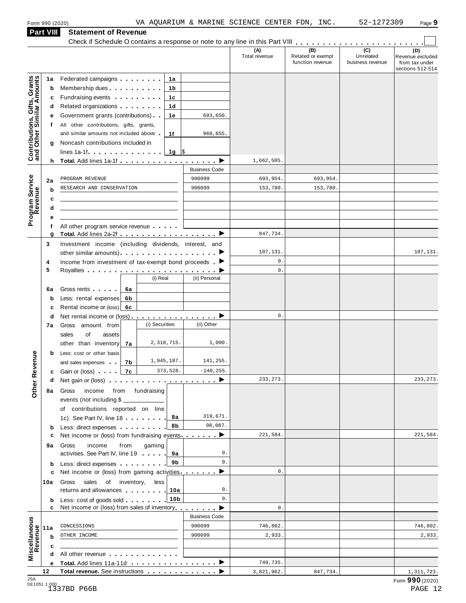**Part VIII Statement of Revenue**

#### Statement of Revenue<br>Check if Schedule O contains a response or note to any line in this Part VIII **manual Check if Schedule O contains (D)** Revenue excluded from tax under sections 512-514 **(A)** Total revenue **(B)** Related or exempt function revenue **(C)** Unrelated business revenue **1a** Federated campaigns **manual**<br> **b** Membership dues **manual c** Fundraising events **manual**<br>**d** Related organizations **manual** Federated campaigns **manual** Membership dues **man m m m m m m m m m m m**<br>Fundraising events **man m m m m m m m m m 1b 1c 1d 1e 1f f d** Related organizations<br>**e** Government grants (contributions) **g** Noncash contributions included in<br>lines 1a-1f **matures** in metal of state in the state of state in the state in the state in the state in the state in the state in the state in the state in the state in the state in th All other contributions, gifts, grants, and similar amounts not included above  $\blacksquare$ **<sup>h</sup> Total.** Add lines 1a-1f m m m m m m m m m m m m m m m m m m I **Contributions, Gifts, Grants and Other Similar A mounts**  $h$ Business Code **2a PROGRAM REVENUE**<br> **b RESEARCH AND CONSERVATION** 900099 153,780. 153,780. 153,780. **cd f e 6a** Gross rents<br> **b** Less: rental expenses **6b c** Rental income or (loss) **6c** | **b** Less: cost or other basis<br>and sales expenses and sales expenses<br> **c**Gain or (loss) All other program service revenue <sup>m</sup> <sup>m</sup> <sup>m</sup> <sup>m</sup> <sup>m</sup> **<sup>g</sup> Total.** Add lines 2a-2f <sup>m</sup> <sup>m</sup> <sup>m</sup> <sup>m</sup> <sup>m</sup> <sup>m</sup> <sup>m</sup> <sup>m</sup> <sup>m</sup> <sup>m</sup> <sup>m</sup> <sup>m</sup> <sup>m</sup> <sup>m</sup> <sup>m</sup> <sup>m</sup> <sup>m</sup> <sup>m</sup> <sup>I</sup> Program<br>Reve<br>. . . . . **Service<br>Revenue<br>a**<br>a<br>a **3** Investment income (including dividends, interest, and Investment income (including dividends, interest, and<br>other similar amounts)  $\blacksquare$  $\frac{1}{\epsilon}$  $\begin{array}{|c|c|c|}\n\hline\n\hline\n\end{array}$  $\overline{\phantom{0}}$  $\bullet$  $\begin{array}{|c|c|c|}\n\hline\n\hline\n\end{array}$  $\overrightarrow{ }$  $\overrightarrow{ }$ **4 5** Income from investment of tax-exempt bond proceeds m Royalties om investment of tax-exempt bond proceeds . (i) Real (ii) Personal Gross rents m m m m m **6a 7a** other than inventory **7b 7c <sup>d</sup>** Net rental income or (loss) m m m m m m m m m m m m m m m m **7a** Gross amount from sales of assets and sales expenses **<sup>d</sup>** Net gain or (loss) m m m m m m m m m m m m m m m m m m m m **8a** Gross income from fundraising **b** Less: direct expenses **9a** activities. See Part IV, line 19<br>**b** Less: direct expenses **manual 10a** Gross sales of inventory, less **b** Less: cost of goods sold **........** 10b **11a** CONCESSIONS<br>**b** OTHER INCOME **c** events (not including \$ of contributions reported on line **8a 8b 9a 9b 10a** of contributions reported on line<br>1c). See Part IV, line 18 c Net income or (loss) from fundraising events **manual** income from gaming activities. See Part IV, line 19 **c** Net income or (loss) from gaming activities manners  $\blacktriangleright$ returns and allowances Less: cost of goods sold <sup>m</sup> <sup>m</sup> <sup>m</sup> <sup>m</sup> <sup>m</sup> <sup>m</sup> <sup>m</sup> <sup>m</sup> **<sup>c</sup>** Net income or (loss) from sales of inventory<sup>m</sup> <sup>m</sup> <sup>m</sup> <sup>m</sup> <sup>m</sup> <sup>m</sup> <sup>m</sup> <sup>m</sup> **Other Revenue** Business Code **c**  $\frac{1}{\text{All other revenue}}$  **a d** All other revenue<br>
<u>e Total. Add lines 11a-11d</u><br>
<u>——————————————————</u> **Miscellaneous**<br>
Revenue<br> **Revenue**<br> **a**<br> **a**<br> **a**<br> **a <sup>12</sup> Total revenue.** See instructions m m m m m m m m m m m m m I 693,650. 968,855. 1,662,505. PROGRAM REVENUE 1900099 800099 693,954. 693,954. 847,734. 107,131. 107,131. 0.  $\mathbf{0}$ .  $\mathbf{0}$ . 2,318,715. 1,000. 1,945,187. 141,255  $-140,255$ 233,273. 319,671. 98,087. 221,584. 221,584. 0.  $\mathbf{0}$ .  $\mathbf{0}$ . 0.  $\mathbf{0}$ .  $\mathbf{0}$ . CONCESSIONS | 900099 | 746,802. | | | 746,802. OTHER INCOME 900099 2,933. 2,933. 749,735. 3,821,962. 847,734. 1,311,723.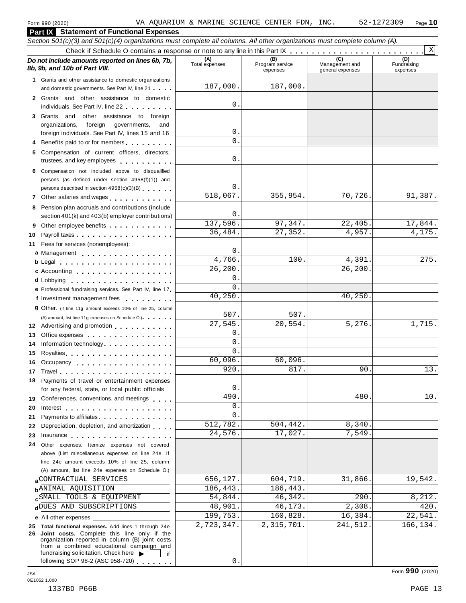**Part IX Statement of Functional Expenses**

|    | Section 501(c)(3) and 501(c)(4) organizations must complete all columns. All other organizations must complete column (A).                 |                       |                                    |                                           |                                |
|----|--------------------------------------------------------------------------------------------------------------------------------------------|-----------------------|------------------------------------|-------------------------------------------|--------------------------------|
|    |                                                                                                                                            |                       |                                    |                                           | $\mathbf{x}$                   |
|    | Do not include amounts reported on lines 6b, 7b,<br>8b, 9b, and 10b of Part VIII.                                                          | (A)<br>Total expenses | (B)<br>Program service<br>expenses | (C)<br>Management and<br>general expenses | (D)<br>Fundraising<br>expenses |
|    | 1 Grants and other assistance to domestic organizations                                                                                    |                       |                                    |                                           |                                |
|    | and domestic governments. See Part IV, line 21                                                                                             | 187,000.              | 187,000.                           |                                           |                                |
|    | 2 Grants and other assistance to domestic                                                                                                  |                       |                                    |                                           |                                |
|    | individuals. See Part IV, line 22                                                                                                          | 0.                    |                                    |                                           |                                |
|    | 3 Grants and other assistance to foreign                                                                                                   |                       |                                    |                                           |                                |
|    | organizations,<br>foreign<br>governments,<br>and                                                                                           | 0.                    |                                    |                                           |                                |
|    | foreign individuals. See Part IV, lines 15 and 16                                                                                          | 0.                    |                                    |                                           |                                |
|    | Benefits paid to or for members                                                                                                            |                       |                                    |                                           |                                |
| 5. | Compensation of current officers, directors,                                                                                               | 0.                    |                                    |                                           |                                |
|    | trustees, and key employees expressed and the state of                                                                                     |                       |                                    |                                           |                                |
|    | 6 Compensation not included above to disqualified                                                                                          |                       |                                    |                                           |                                |
|    | persons (as defined under section 4958(f)(1)) and<br>persons described in section 4958(c)(3)(B)                                            | 0.                    |                                    |                                           |                                |
|    |                                                                                                                                            | 518,067.              | 355,954.                           | 70,726.                                   | 91,387.                        |
|    | 7 Other salaries and wages<br>1.1.1.1.1.1                                                                                                  |                       |                                    |                                           |                                |
|    | 8 Pension plan accruals and contributions (include<br>section 401(k) and 403(b) employer contributions)                                    | 0.                    |                                    |                                           |                                |
|    |                                                                                                                                            | 137,596.              | 97,347.                            | 22,405.                                   | 17,844.                        |
| 9  | Other employee benefits                                                                                                                    | 36,484.               | 27,352.                            | 4,957.                                    | 4,175.                         |
| 10 | Payroll taxes<br>11 Fees for services (nonemployees):                                                                                      |                       |                                    |                                           |                                |
|    | a Management                                                                                                                               | 0.                    |                                    |                                           |                                |
|    | $b$ Legal $\ldots$ , $\ldots$ , $\ldots$ , $\ldots$ , $\ldots$ , $\ldots$                                                                  | 4,766.                | 100.                               | 4,391                                     | 275.                           |
|    | c Accounting                                                                                                                               | 26,200.               |                                    | 26, 200.                                  |                                |
|    |                                                                                                                                            | $0$ .                 |                                    |                                           |                                |
|    | e Professional fundraising services. See Part IV, line 17                                                                                  | $\Omega$ .            |                                    |                                           |                                |
|    | f Investment management fees                                                                                                               | 40,250.               |                                    | 40,250                                    |                                |
|    | <b>g</b> Other. (If line 11g amount exceeds 10% of line 25, column                                                                         |                       |                                    |                                           |                                |
|    | (A) amount, list line 11g expenses on Schedule O.)                                                                                         | 507.                  | 507.                               |                                           |                                |
|    | 12 Advertising and promotion                                                                                                               | 27,545.               | 20,554.                            | 5,276.                                    | 1,715.                         |
| 13 | Office expenses                                                                                                                            | 0.                    |                                    |                                           |                                |
| 14 | Information technology                                                                                                                     | 0.                    |                                    |                                           |                                |
| 15 |                                                                                                                                            | $\Omega$ .            |                                    |                                           |                                |
| 16 | Occupancy entering the set of the set of the set of the set of the set of the set of the set of the set of the                             | 60,096.               | 60,096.                            |                                           |                                |
| 17 |                                                                                                                                            | 920.                  | 817.                               | 90                                        | 13.                            |
|    | Payments of travel or entertainment expenses                                                                                               |                       |                                    |                                           |                                |
|    | for any federal, state, or local public officials                                                                                          | $\mathsf{O}$          |                                    |                                           |                                |
|    | 19 Conferences, conventions, and meetings                                                                                                  | 490                   |                                    | 480                                       | 10.                            |
| 20 | Interest $\ldots$ , $\ldots$ , $\ldots$ , $\ldots$ , $\ldots$ , $\ldots$ , $\ldots$                                                        | 0.                    |                                    |                                           |                                |
| 21 | Payments to affiliates <b>Exercise 20</b>                                                                                                  | $\Omega$ .            |                                    |                                           |                                |
| 22 | Depreciation, depletion, and amortization                                                                                                  | 512,782.              | 504,442.                           | 8,340                                     |                                |
| 23 | Insurance experience and the set of the set of the set of the set of the set of the set of the set of the set o                            | 24,576.               | 17,027.                            | 7,549                                     |                                |
| 24 | Other expenses. Itemize expenses not covered                                                                                               |                       |                                    |                                           |                                |
|    | above (List miscellaneous expenses on line 24e. If                                                                                         |                       |                                    |                                           |                                |
|    | line 24e amount exceeds 10% of line 25, column                                                                                             |                       |                                    |                                           |                                |
|    | (A) amount, list line 24e expenses on Schedule O.)                                                                                         |                       |                                    |                                           |                                |
|    | CONTRACTUAL SERVICES                                                                                                                       | 656,127.              | 604,719.                           | 31,866                                    | 19,542.                        |
|    | <b>b</b> ANIMAL AQUISITION                                                                                                                 | 186,443.              | 186,443.                           |                                           |                                |
|    | <b>c</b> SMALL TOOLS & EQUIPMENT                                                                                                           | 54,844.               | 46,342.                            | 290                                       | 8,212.                         |
|    | dDUES AND SUBSCRIPTIONS                                                                                                                    | 48,901.               | 46,173.                            | 2,308.                                    | 420.                           |
|    | e All other expenses                                                                                                                       | 199,753.              | 160,828.                           | 16,384.                                   | 22,541.                        |
|    | 25 Total functional expenses. Add lines 1 through 24e                                                                                      | 2,723,347.            | 2,315,701.                         | 241,512.                                  | 166,134.                       |
| 26 | Joint costs. Complete this line only if the<br>organization reported in column (B) joint costs<br>from a combined educational campaign and |                       |                                    |                                           |                                |
|    | fundraising solicitation. Check here $\blacktriangleright$<br>if                                                                           |                       |                                    |                                           |                                |
|    | following SOP 98-2 (ASC 958-720)                                                                                                           | 0.                    |                                    |                                           |                                |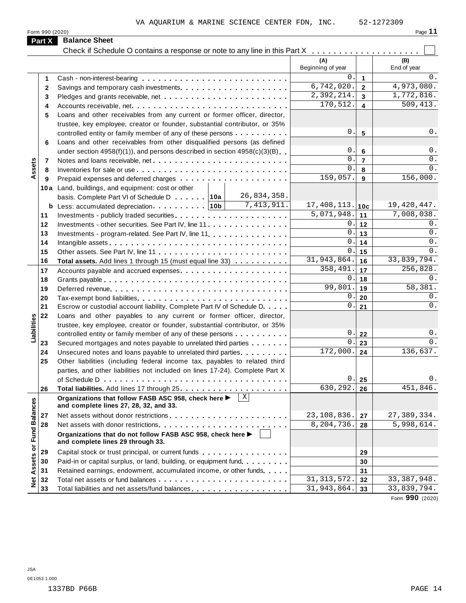| Page |  |
|------|--|
|      |  |

| Part X<br><b>Balance Sheet</b><br>(A)<br>(B)<br>Beginning of year<br>End of year<br>0.<br>$\mathbf{1}$<br>1<br>6,742,020.<br>4,973,080.<br>$\overline{2}$<br>2<br>2,392,214.<br>$\overline{\mathbf{3}}$<br>3<br>509, 413.<br>170,512.<br>$\overline{\mathbf{4}}$<br>Accounts receivable, net<br>4<br>Loans and other receivables from any current or former officer, director,<br>5<br>trustee, key employee, creator or founder, substantial contributor, or 35%<br>0.<br>$5\phantom{1}$<br>controlled entity or family member of any of these persons<br>Loans and other receivables from other disqualified persons (as defined<br>6<br>0.<br>$6\phantom{1}$<br>under section $4958(f)(1)$ , and persons described in section $4958(c)(3)(B)$<br>0.<br>$\overline{7}$<br>Assets<br>7<br>0.<br>8<br>8<br>159,057.<br>156,000.<br>9<br>9<br>10a Land, buildings, and equipment: cost or other<br>26,834,358.<br>basis. Complete Part VI of Schedule D 10a<br>7,413,911.<br>$17,408,113.$ 10c<br>19, 420, 447.<br>7,008,038.<br>5,071,948.<br>11<br>11<br>0.<br>0.<br>12<br>12<br>Investments - other securities. See Part IV, line 11.<br>0.<br>$0$ .<br>13<br>13<br>Investments - program-related. See Part IV, line 11.<br>$0$ .<br>0.<br>14<br>14<br>0.<br>0.<br>15<br>15<br>31,943,864.<br>33,839,794.<br>16<br>16<br>Total assets. Add lines 1 through 15 (must equal line 33)<br>358,491.<br>256,828.<br>17<br>17<br>$0$ .<br>0.<br>18<br>18<br>99,801.<br>58,381.<br>19<br>19<br>0.<br>0.<br>20<br>20<br>0.<br>0.<br>21<br>21<br>Escrow or custodial account liability. Complete Part IV of Schedule D.<br>22<br>Loans and other payables to any current or former officer, director,<br>Liabilities<br>trustee, key employee, creator or founder, substantial contributor, or 35%<br>$0$ .<br>0.<br>22<br>controlled entity or family member of any of these persons<br>0.<br>0.<br>23<br>Secured mortgages and notes payable to unrelated third parties<br>23<br>172,000.<br>$\overline{136,}637.$<br>24<br>24<br>Unsecured notes and loans payable to unrelated third parties.<br>25<br>Other liabilities (including federal income tax, payables to related third<br>parties, and other liabilities not included on lines 17-24). Complete Part X<br>0.<br>0.<br>25<br>630, 292.<br>451,846.<br>26<br>26<br>$\mid x \mid$<br>Organizations that follow FASB ASC 958, check here ><br><b>Fund Balances</b><br>and complete lines 27, 28, 32, and 33.<br>23,108,836.<br>27,389,334.<br>27<br>27<br>8,204,736.<br>5,998,614.<br>28<br>28<br>Organizations that do not follow FASB ASC 958, check here ▶<br>and complete lines 29 through 33.<br>Net Assets or<br>29<br>Capital stock or trust principal, or current funds<br>29 | Form 990 (2020) |                                                                   |    | Page 11     |
|------------------------------------------------------------------------------------------------------------------------------------------------------------------------------------------------------------------------------------------------------------------------------------------------------------------------------------------------------------------------------------------------------------------------------------------------------------------------------------------------------------------------------------------------------------------------------------------------------------------------------------------------------------------------------------------------------------------------------------------------------------------------------------------------------------------------------------------------------------------------------------------------------------------------------------------------------------------------------------------------------------------------------------------------------------------------------------------------------------------------------------------------------------------------------------------------------------------------------------------------------------------------------------------------------------------------------------------------------------------------------------------------------------------------------------------------------------------------------------------------------------------------------------------------------------------------------------------------------------------------------------------------------------------------------------------------------------------------------------------------------------------------------------------------------------------------------------------------------------------------------------------------------------------------------------------------------------------------------------------------------------------------------------------------------------------------------------------------------------------------------------------------------------------------------------------------------------------------------------------------------------------------------------------------------------------------------------------------------------------------------------------------------------------------------------------------------------------------------------------------------------------------------------------------------------------------------------------------------------------------------------------------------------------------------------------------------------------------------------------|-----------------|-------------------------------------------------------------------|----|-------------|
|                                                                                                                                                                                                                                                                                                                                                                                                                                                                                                                                                                                                                                                                                                                                                                                                                                                                                                                                                                                                                                                                                                                                                                                                                                                                                                                                                                                                                                                                                                                                                                                                                                                                                                                                                                                                                                                                                                                                                                                                                                                                                                                                                                                                                                                                                                                                                                                                                                                                                                                                                                                                                                                                                                                                          |                 |                                                                   |    |             |
|                                                                                                                                                                                                                                                                                                                                                                                                                                                                                                                                                                                                                                                                                                                                                                                                                                                                                                                                                                                                                                                                                                                                                                                                                                                                                                                                                                                                                                                                                                                                                                                                                                                                                                                                                                                                                                                                                                                                                                                                                                                                                                                                                                                                                                                                                                                                                                                                                                                                                                                                                                                                                                                                                                                                          |                 |                                                                   |    |             |
|                                                                                                                                                                                                                                                                                                                                                                                                                                                                                                                                                                                                                                                                                                                                                                                                                                                                                                                                                                                                                                                                                                                                                                                                                                                                                                                                                                                                                                                                                                                                                                                                                                                                                                                                                                                                                                                                                                                                                                                                                                                                                                                                                                                                                                                                                                                                                                                                                                                                                                                                                                                                                                                                                                                                          |                 |                                                                   |    |             |
|                                                                                                                                                                                                                                                                                                                                                                                                                                                                                                                                                                                                                                                                                                                                                                                                                                                                                                                                                                                                                                                                                                                                                                                                                                                                                                                                                                                                                                                                                                                                                                                                                                                                                                                                                                                                                                                                                                                                                                                                                                                                                                                                                                                                                                                                                                                                                                                                                                                                                                                                                                                                                                                                                                                                          |                 |                                                                   |    | 0.          |
|                                                                                                                                                                                                                                                                                                                                                                                                                                                                                                                                                                                                                                                                                                                                                                                                                                                                                                                                                                                                                                                                                                                                                                                                                                                                                                                                                                                                                                                                                                                                                                                                                                                                                                                                                                                                                                                                                                                                                                                                                                                                                                                                                                                                                                                                                                                                                                                                                                                                                                                                                                                                                                                                                                                                          |                 |                                                                   |    |             |
|                                                                                                                                                                                                                                                                                                                                                                                                                                                                                                                                                                                                                                                                                                                                                                                                                                                                                                                                                                                                                                                                                                                                                                                                                                                                                                                                                                                                                                                                                                                                                                                                                                                                                                                                                                                                                                                                                                                                                                                                                                                                                                                                                                                                                                                                                                                                                                                                                                                                                                                                                                                                                                                                                                                                          |                 |                                                                   |    | 1,772,816.  |
|                                                                                                                                                                                                                                                                                                                                                                                                                                                                                                                                                                                                                                                                                                                                                                                                                                                                                                                                                                                                                                                                                                                                                                                                                                                                                                                                                                                                                                                                                                                                                                                                                                                                                                                                                                                                                                                                                                                                                                                                                                                                                                                                                                                                                                                                                                                                                                                                                                                                                                                                                                                                                                                                                                                                          |                 |                                                                   |    |             |
|                                                                                                                                                                                                                                                                                                                                                                                                                                                                                                                                                                                                                                                                                                                                                                                                                                                                                                                                                                                                                                                                                                                                                                                                                                                                                                                                                                                                                                                                                                                                                                                                                                                                                                                                                                                                                                                                                                                                                                                                                                                                                                                                                                                                                                                                                                                                                                                                                                                                                                                                                                                                                                                                                                                                          |                 |                                                                   |    |             |
|                                                                                                                                                                                                                                                                                                                                                                                                                                                                                                                                                                                                                                                                                                                                                                                                                                                                                                                                                                                                                                                                                                                                                                                                                                                                                                                                                                                                                                                                                                                                                                                                                                                                                                                                                                                                                                                                                                                                                                                                                                                                                                                                                                                                                                                                                                                                                                                                                                                                                                                                                                                                                                                                                                                                          |                 |                                                                   |    |             |
|                                                                                                                                                                                                                                                                                                                                                                                                                                                                                                                                                                                                                                                                                                                                                                                                                                                                                                                                                                                                                                                                                                                                                                                                                                                                                                                                                                                                                                                                                                                                                                                                                                                                                                                                                                                                                                                                                                                                                                                                                                                                                                                                                                                                                                                                                                                                                                                                                                                                                                                                                                                                                                                                                                                                          |                 |                                                                   |    | 0.          |
|                                                                                                                                                                                                                                                                                                                                                                                                                                                                                                                                                                                                                                                                                                                                                                                                                                                                                                                                                                                                                                                                                                                                                                                                                                                                                                                                                                                                                                                                                                                                                                                                                                                                                                                                                                                                                                                                                                                                                                                                                                                                                                                                                                                                                                                                                                                                                                                                                                                                                                                                                                                                                                                                                                                                          |                 |                                                                   |    |             |
|                                                                                                                                                                                                                                                                                                                                                                                                                                                                                                                                                                                                                                                                                                                                                                                                                                                                                                                                                                                                                                                                                                                                                                                                                                                                                                                                                                                                                                                                                                                                                                                                                                                                                                                                                                                                                                                                                                                                                                                                                                                                                                                                                                                                                                                                                                                                                                                                                                                                                                                                                                                                                                                                                                                                          |                 |                                                                   |    | 0.          |
|                                                                                                                                                                                                                                                                                                                                                                                                                                                                                                                                                                                                                                                                                                                                                                                                                                                                                                                                                                                                                                                                                                                                                                                                                                                                                                                                                                                                                                                                                                                                                                                                                                                                                                                                                                                                                                                                                                                                                                                                                                                                                                                                                                                                                                                                                                                                                                                                                                                                                                                                                                                                                                                                                                                                          |                 |                                                                   |    | 0.          |
|                                                                                                                                                                                                                                                                                                                                                                                                                                                                                                                                                                                                                                                                                                                                                                                                                                                                                                                                                                                                                                                                                                                                                                                                                                                                                                                                                                                                                                                                                                                                                                                                                                                                                                                                                                                                                                                                                                                                                                                                                                                                                                                                                                                                                                                                                                                                                                                                                                                                                                                                                                                                                                                                                                                                          |                 |                                                                   |    | 0.          |
|                                                                                                                                                                                                                                                                                                                                                                                                                                                                                                                                                                                                                                                                                                                                                                                                                                                                                                                                                                                                                                                                                                                                                                                                                                                                                                                                                                                                                                                                                                                                                                                                                                                                                                                                                                                                                                                                                                                                                                                                                                                                                                                                                                                                                                                                                                                                                                                                                                                                                                                                                                                                                                                                                                                                          |                 |                                                                   |    |             |
|                                                                                                                                                                                                                                                                                                                                                                                                                                                                                                                                                                                                                                                                                                                                                                                                                                                                                                                                                                                                                                                                                                                                                                                                                                                                                                                                                                                                                                                                                                                                                                                                                                                                                                                                                                                                                                                                                                                                                                                                                                                                                                                                                                                                                                                                                                                                                                                                                                                                                                                                                                                                                                                                                                                                          |                 |                                                                   |    |             |
|                                                                                                                                                                                                                                                                                                                                                                                                                                                                                                                                                                                                                                                                                                                                                                                                                                                                                                                                                                                                                                                                                                                                                                                                                                                                                                                                                                                                                                                                                                                                                                                                                                                                                                                                                                                                                                                                                                                                                                                                                                                                                                                                                                                                                                                                                                                                                                                                                                                                                                                                                                                                                                                                                                                                          |                 |                                                                   |    |             |
|                                                                                                                                                                                                                                                                                                                                                                                                                                                                                                                                                                                                                                                                                                                                                                                                                                                                                                                                                                                                                                                                                                                                                                                                                                                                                                                                                                                                                                                                                                                                                                                                                                                                                                                                                                                                                                                                                                                                                                                                                                                                                                                                                                                                                                                                                                                                                                                                                                                                                                                                                                                                                                                                                                                                          |                 |                                                                   |    |             |
|                                                                                                                                                                                                                                                                                                                                                                                                                                                                                                                                                                                                                                                                                                                                                                                                                                                                                                                                                                                                                                                                                                                                                                                                                                                                                                                                                                                                                                                                                                                                                                                                                                                                                                                                                                                                                                                                                                                                                                                                                                                                                                                                                                                                                                                                                                                                                                                                                                                                                                                                                                                                                                                                                                                                          |                 |                                                                   |    |             |
|                                                                                                                                                                                                                                                                                                                                                                                                                                                                                                                                                                                                                                                                                                                                                                                                                                                                                                                                                                                                                                                                                                                                                                                                                                                                                                                                                                                                                                                                                                                                                                                                                                                                                                                                                                                                                                                                                                                                                                                                                                                                                                                                                                                                                                                                                                                                                                                                                                                                                                                                                                                                                                                                                                                                          |                 |                                                                   |    |             |
|                                                                                                                                                                                                                                                                                                                                                                                                                                                                                                                                                                                                                                                                                                                                                                                                                                                                                                                                                                                                                                                                                                                                                                                                                                                                                                                                                                                                                                                                                                                                                                                                                                                                                                                                                                                                                                                                                                                                                                                                                                                                                                                                                                                                                                                                                                                                                                                                                                                                                                                                                                                                                                                                                                                                          |                 |                                                                   |    |             |
|                                                                                                                                                                                                                                                                                                                                                                                                                                                                                                                                                                                                                                                                                                                                                                                                                                                                                                                                                                                                                                                                                                                                                                                                                                                                                                                                                                                                                                                                                                                                                                                                                                                                                                                                                                                                                                                                                                                                                                                                                                                                                                                                                                                                                                                                                                                                                                                                                                                                                                                                                                                                                                                                                                                                          |                 |                                                                   |    |             |
|                                                                                                                                                                                                                                                                                                                                                                                                                                                                                                                                                                                                                                                                                                                                                                                                                                                                                                                                                                                                                                                                                                                                                                                                                                                                                                                                                                                                                                                                                                                                                                                                                                                                                                                                                                                                                                                                                                                                                                                                                                                                                                                                                                                                                                                                                                                                                                                                                                                                                                                                                                                                                                                                                                                                          |                 |                                                                   |    |             |
|                                                                                                                                                                                                                                                                                                                                                                                                                                                                                                                                                                                                                                                                                                                                                                                                                                                                                                                                                                                                                                                                                                                                                                                                                                                                                                                                                                                                                                                                                                                                                                                                                                                                                                                                                                                                                                                                                                                                                                                                                                                                                                                                                                                                                                                                                                                                                                                                                                                                                                                                                                                                                                                                                                                                          |                 |                                                                   |    |             |
|                                                                                                                                                                                                                                                                                                                                                                                                                                                                                                                                                                                                                                                                                                                                                                                                                                                                                                                                                                                                                                                                                                                                                                                                                                                                                                                                                                                                                                                                                                                                                                                                                                                                                                                                                                                                                                                                                                                                                                                                                                                                                                                                                                                                                                                                                                                                                                                                                                                                                                                                                                                                                                                                                                                                          |                 |                                                                   |    |             |
|                                                                                                                                                                                                                                                                                                                                                                                                                                                                                                                                                                                                                                                                                                                                                                                                                                                                                                                                                                                                                                                                                                                                                                                                                                                                                                                                                                                                                                                                                                                                                                                                                                                                                                                                                                                                                                                                                                                                                                                                                                                                                                                                                                                                                                                                                                                                                                                                                                                                                                                                                                                                                                                                                                                                          |                 |                                                                   |    |             |
|                                                                                                                                                                                                                                                                                                                                                                                                                                                                                                                                                                                                                                                                                                                                                                                                                                                                                                                                                                                                                                                                                                                                                                                                                                                                                                                                                                                                                                                                                                                                                                                                                                                                                                                                                                                                                                                                                                                                                                                                                                                                                                                                                                                                                                                                                                                                                                                                                                                                                                                                                                                                                                                                                                                                          |                 |                                                                   |    |             |
|                                                                                                                                                                                                                                                                                                                                                                                                                                                                                                                                                                                                                                                                                                                                                                                                                                                                                                                                                                                                                                                                                                                                                                                                                                                                                                                                                                                                                                                                                                                                                                                                                                                                                                                                                                                                                                                                                                                                                                                                                                                                                                                                                                                                                                                                                                                                                                                                                                                                                                                                                                                                                                                                                                                                          |                 |                                                                   |    |             |
|                                                                                                                                                                                                                                                                                                                                                                                                                                                                                                                                                                                                                                                                                                                                                                                                                                                                                                                                                                                                                                                                                                                                                                                                                                                                                                                                                                                                                                                                                                                                                                                                                                                                                                                                                                                                                                                                                                                                                                                                                                                                                                                                                                                                                                                                                                                                                                                                                                                                                                                                                                                                                                                                                                                                          |                 |                                                                   |    |             |
|                                                                                                                                                                                                                                                                                                                                                                                                                                                                                                                                                                                                                                                                                                                                                                                                                                                                                                                                                                                                                                                                                                                                                                                                                                                                                                                                                                                                                                                                                                                                                                                                                                                                                                                                                                                                                                                                                                                                                                                                                                                                                                                                                                                                                                                                                                                                                                                                                                                                                                                                                                                                                                                                                                                                          |                 |                                                                   |    |             |
|                                                                                                                                                                                                                                                                                                                                                                                                                                                                                                                                                                                                                                                                                                                                                                                                                                                                                                                                                                                                                                                                                                                                                                                                                                                                                                                                                                                                                                                                                                                                                                                                                                                                                                                                                                                                                                                                                                                                                                                                                                                                                                                                                                                                                                                                                                                                                                                                                                                                                                                                                                                                                                                                                                                                          |                 |                                                                   |    |             |
|                                                                                                                                                                                                                                                                                                                                                                                                                                                                                                                                                                                                                                                                                                                                                                                                                                                                                                                                                                                                                                                                                                                                                                                                                                                                                                                                                                                                                                                                                                                                                                                                                                                                                                                                                                                                                                                                                                                                                                                                                                                                                                                                                                                                                                                                                                                                                                                                                                                                                                                                                                                                                                                                                                                                          |                 |                                                                   |    |             |
|                                                                                                                                                                                                                                                                                                                                                                                                                                                                                                                                                                                                                                                                                                                                                                                                                                                                                                                                                                                                                                                                                                                                                                                                                                                                                                                                                                                                                                                                                                                                                                                                                                                                                                                                                                                                                                                                                                                                                                                                                                                                                                                                                                                                                                                                                                                                                                                                                                                                                                                                                                                                                                                                                                                                          |                 |                                                                   |    |             |
|                                                                                                                                                                                                                                                                                                                                                                                                                                                                                                                                                                                                                                                                                                                                                                                                                                                                                                                                                                                                                                                                                                                                                                                                                                                                                                                                                                                                                                                                                                                                                                                                                                                                                                                                                                                                                                                                                                                                                                                                                                                                                                                                                                                                                                                                                                                                                                                                                                                                                                                                                                                                                                                                                                                                          |                 |                                                                   |    |             |
|                                                                                                                                                                                                                                                                                                                                                                                                                                                                                                                                                                                                                                                                                                                                                                                                                                                                                                                                                                                                                                                                                                                                                                                                                                                                                                                                                                                                                                                                                                                                                                                                                                                                                                                                                                                                                                                                                                                                                                                                                                                                                                                                                                                                                                                                                                                                                                                                                                                                                                                                                                                                                                                                                                                                          |                 |                                                                   |    |             |
|                                                                                                                                                                                                                                                                                                                                                                                                                                                                                                                                                                                                                                                                                                                                                                                                                                                                                                                                                                                                                                                                                                                                                                                                                                                                                                                                                                                                                                                                                                                                                                                                                                                                                                                                                                                                                                                                                                                                                                                                                                                                                                                                                                                                                                                                                                                                                                                                                                                                                                                                                                                                                                                                                                                                          |                 |                                                                   |    |             |
|                                                                                                                                                                                                                                                                                                                                                                                                                                                                                                                                                                                                                                                                                                                                                                                                                                                                                                                                                                                                                                                                                                                                                                                                                                                                                                                                                                                                                                                                                                                                                                                                                                                                                                                                                                                                                                                                                                                                                                                                                                                                                                                                                                                                                                                                                                                                                                                                                                                                                                                                                                                                                                                                                                                                          |                 |                                                                   |    |             |
|                                                                                                                                                                                                                                                                                                                                                                                                                                                                                                                                                                                                                                                                                                                                                                                                                                                                                                                                                                                                                                                                                                                                                                                                                                                                                                                                                                                                                                                                                                                                                                                                                                                                                                                                                                                                                                                                                                                                                                                                                                                                                                                                                                                                                                                                                                                                                                                                                                                                                                                                                                                                                                                                                                                                          |                 |                                                                   |    |             |
|                                                                                                                                                                                                                                                                                                                                                                                                                                                                                                                                                                                                                                                                                                                                                                                                                                                                                                                                                                                                                                                                                                                                                                                                                                                                                                                                                                                                                                                                                                                                                                                                                                                                                                                                                                                                                                                                                                                                                                                                                                                                                                                                                                                                                                                                                                                                                                                                                                                                                                                                                                                                                                                                                                                                          |                 |                                                                   |    |             |
|                                                                                                                                                                                                                                                                                                                                                                                                                                                                                                                                                                                                                                                                                                                                                                                                                                                                                                                                                                                                                                                                                                                                                                                                                                                                                                                                                                                                                                                                                                                                                                                                                                                                                                                                                                                                                                                                                                                                                                                                                                                                                                                                                                                                                                                                                                                                                                                                                                                                                                                                                                                                                                                                                                                                          |                 |                                                                   |    |             |
|                                                                                                                                                                                                                                                                                                                                                                                                                                                                                                                                                                                                                                                                                                                                                                                                                                                                                                                                                                                                                                                                                                                                                                                                                                                                                                                                                                                                                                                                                                                                                                                                                                                                                                                                                                                                                                                                                                                                                                                                                                                                                                                                                                                                                                                                                                                                                                                                                                                                                                                                                                                                                                                                                                                                          |                 |                                                                   |    |             |
|                                                                                                                                                                                                                                                                                                                                                                                                                                                                                                                                                                                                                                                                                                                                                                                                                                                                                                                                                                                                                                                                                                                                                                                                                                                                                                                                                                                                                                                                                                                                                                                                                                                                                                                                                                                                                                                                                                                                                                                                                                                                                                                                                                                                                                                                                                                                                                                                                                                                                                                                                                                                                                                                                                                                          |                 |                                                                   |    |             |
|                                                                                                                                                                                                                                                                                                                                                                                                                                                                                                                                                                                                                                                                                                                                                                                                                                                                                                                                                                                                                                                                                                                                                                                                                                                                                                                                                                                                                                                                                                                                                                                                                                                                                                                                                                                                                                                                                                                                                                                                                                                                                                                                                                                                                                                                                                                                                                                                                                                                                                                                                                                                                                                                                                                                          |                 |                                                                   |    |             |
|                                                                                                                                                                                                                                                                                                                                                                                                                                                                                                                                                                                                                                                                                                                                                                                                                                                                                                                                                                                                                                                                                                                                                                                                                                                                                                                                                                                                                                                                                                                                                                                                                                                                                                                                                                                                                                                                                                                                                                                                                                                                                                                                                                                                                                                                                                                                                                                                                                                                                                                                                                                                                                                                                                                                          | 30              | Paid-in or capital surplus, or land, building, or equipment fund. | 30 |             |
| Retained earnings, endowment, accumulated income, or other funds<br>31<br>31                                                                                                                                                                                                                                                                                                                                                                                                                                                                                                                                                                                                                                                                                                                                                                                                                                                                                                                                                                                                                                                                                                                                                                                                                                                                                                                                                                                                                                                                                                                                                                                                                                                                                                                                                                                                                                                                                                                                                                                                                                                                                                                                                                                                                                                                                                                                                                                                                                                                                                                                                                                                                                                             |                 |                                                                   |    |             |
| 31, 313, 572.<br>32<br>32                                                                                                                                                                                                                                                                                                                                                                                                                                                                                                                                                                                                                                                                                                                                                                                                                                                                                                                                                                                                                                                                                                                                                                                                                                                                                                                                                                                                                                                                                                                                                                                                                                                                                                                                                                                                                                                                                                                                                                                                                                                                                                                                                                                                                                                                                                                                                                                                                                                                                                                                                                                                                                                                                                                |                 |                                                                   |    | 33,387,948. |
| 31,943,864.<br>33,839,794.<br>33<br>Total liabilities and net assets/fund balances<br>33                                                                                                                                                                                                                                                                                                                                                                                                                                                                                                                                                                                                                                                                                                                                                                                                                                                                                                                                                                                                                                                                                                                                                                                                                                                                                                                                                                                                                                                                                                                                                                                                                                                                                                                                                                                                                                                                                                                                                                                                                                                                                                                                                                                                                                                                                                                                                                                                                                                                                                                                                                                                                                                 |                 |                                                                   |    |             |

Form **990** (2020)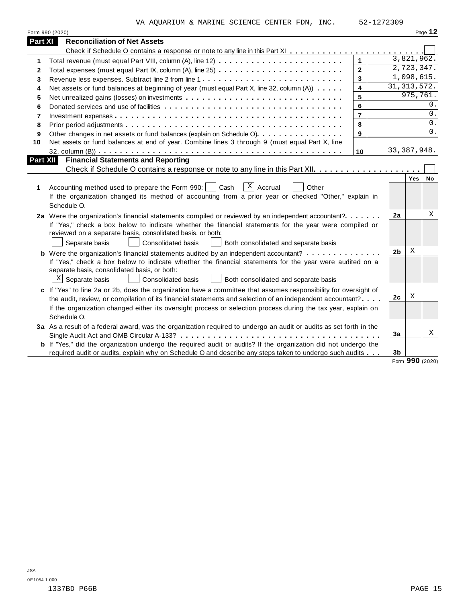VA AQUARIUM & MARINE SCIENCE CENTER FDN, INC. 52-1272309

|                 | Form 990 (2020)                                                                                                                                                                                                                                                                                                                                            |                |                |               | Page 12 |
|-----------------|------------------------------------------------------------------------------------------------------------------------------------------------------------------------------------------------------------------------------------------------------------------------------------------------------------------------------------------------------------|----------------|----------------|---------------|---------|
| <b>Part XI</b>  | <b>Reconciliation of Net Assets</b>                                                                                                                                                                                                                                                                                                                        |                |                |               |         |
|                 |                                                                                                                                                                                                                                                                                                                                                            |                |                |               |         |
| 1               |                                                                                                                                                                                                                                                                                                                                                            | $\mathbf{1}$   |                | 3,821,962.    |         |
| 2               |                                                                                                                                                                                                                                                                                                                                                            | $\overline{2}$ |                | 2,723,347.    |         |
| 3               |                                                                                                                                                                                                                                                                                                                                                            | $\mathbf{3}$   |                | 1,098,615.    |         |
| 4               | Net assets or fund balances at beginning of year (must equal Part X, line 32, column (A))                                                                                                                                                                                                                                                                  | 4              |                | 31, 313, 572. |         |
| 5               |                                                                                                                                                                                                                                                                                                                                                            | 5              |                | 975,761.      |         |
| 6               |                                                                                                                                                                                                                                                                                                                                                            | 6              |                |               | 0.      |
| 7               |                                                                                                                                                                                                                                                                                                                                                            | $\overline{7}$ |                |               | 0.      |
| 8               |                                                                                                                                                                                                                                                                                                                                                            | 8              |                |               | 0.      |
| 9               | Other changes in net assets or fund balances (explain on Schedule O).                                                                                                                                                                                                                                                                                      | 9              |                |               | 0.      |
| 10              | Net assets or fund balances at end of year. Combine lines 3 through 9 (must equal Part X, line                                                                                                                                                                                                                                                             |                |                |               |         |
|                 |                                                                                                                                                                                                                                                                                                                                                            | 10             |                | 33, 387, 948. |         |
| <b>Part XII</b> | <b>Financial Statements and Reporting</b>                                                                                                                                                                                                                                                                                                                  |                |                |               |         |
|                 |                                                                                                                                                                                                                                                                                                                                                            |                |                |               |         |
| 1               | $X$ Accrual<br>Other<br>Accounting method used to prepare the Form 990:  <br>Cash<br>If the organization changed its method of accounting from a prior year or checked "Other," explain in<br>Schedule O.                                                                                                                                                  |                |                | Yes           | No      |
|                 | 2a Were the organization's financial statements compiled or reviewed by an independent accountant?<br>If "Yes," check a box below to indicate whether the financial statements for the year were compiled or<br>reviewed on a separate basis, consolidated basis, or both:<br>Separate basis<br>Consolidated basis<br>Both consolidated and separate basis |                | 2a             |               | X       |
|                 | <b>b</b> Were the organization's financial statements audited by an independent accountant?<br>If "Yes," check a box below to indicate whether the financial statements for the year were audited on a<br>separate basis, consolidated basis, or both:<br>$X$ Separate basis<br>Consolidated basis<br>Both consolidated and separate basis                 |                | 2 <sub>b</sub> | Χ             |         |
|                 | c If "Yes" to line 2a or 2b, does the organization have a committee that assumes responsibility for oversight of                                                                                                                                                                                                                                           |                |                |               |         |
|                 | the audit, review, or compilation of its financial statements and selection of an independent accountant?                                                                                                                                                                                                                                                  |                | 2c             | Χ             |         |
|                 | If the organization changed either its oversight process or selection process during the tax year, explain on<br>Schedule O.                                                                                                                                                                                                                               |                |                |               |         |
|                 | 3a As a result of a federal award, was the organization required to undergo an audit or audits as set forth in the                                                                                                                                                                                                                                         |                |                |               |         |
|                 |                                                                                                                                                                                                                                                                                                                                                            |                | 3a             |               | X       |
|                 | <b>b</b> If "Yes," did the organization undergo the required audit or audits? If the organization did not undergo the                                                                                                                                                                                                                                      |                |                |               |         |
|                 | required audit or audits, explain why on Schedule O and describe any steps taken to undergo such audits                                                                                                                                                                                                                                                    |                | 3 <sub>b</sub> | $000$ (2020)  |         |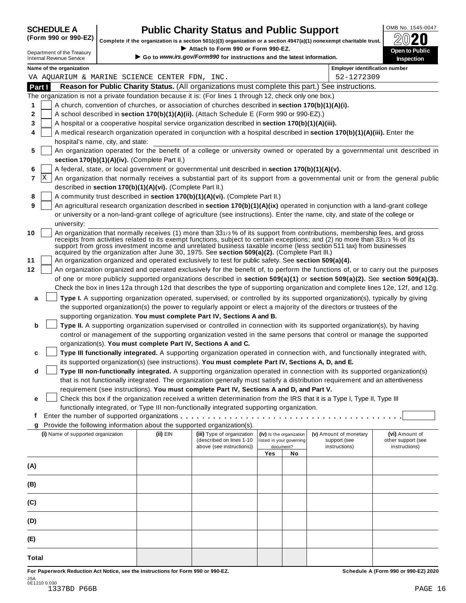| <b>SCHEDULE A</b> |  |
|-------------------|--|
|                   |  |

## **CHEDULE A Public Charity Status and Public Support**  $\frac{100\text{dB No. }1545-0047}{000\text{dB No.}}$

(Form 990 or 990-EZ) complete if the organization is a section 501(c)(3) organization or a section 4947(a)(1) nonexempt charitable trust.  $2020$ 

|                                 |                                    |                                   |                                                            | Complete if the organization is a section 501(c)(3) organization or a section 4947(a)(1) nonexempt charitable trust. |     |                                                      |                                                                                                                                                                                                                                                                                                                                                                                                                                                                                                        | BWŁU                                                                                                                             |
|---------------------------------|------------------------------------|-----------------------------------|------------------------------------------------------------|----------------------------------------------------------------------------------------------------------------------|-----|------------------------------------------------------|--------------------------------------------------------------------------------------------------------------------------------------------------------------------------------------------------------------------------------------------------------------------------------------------------------------------------------------------------------------------------------------------------------------------------------------------------------------------------------------------------------|----------------------------------------------------------------------------------------------------------------------------------|
| <b>Internal Revenue Service</b> | Department of the Treasury         |                                   |                                                            | Attach to Form 990 or Form 990-EZ.<br>Go to www.irs.gov/Form990 for instructions and the latest information.         |     |                                                      |                                                                                                                                                                                                                                                                                                                                                                                                                                                                                                        | Open to Public<br>Inspection                                                                                                     |
|                                 | Name of the organization           |                                   |                                                            |                                                                                                                      |     |                                                      | <b>Employer identification number</b>                                                                                                                                                                                                                                                                                                                                                                                                                                                                  |                                                                                                                                  |
|                                 |                                    |                                   | VA AQUARIUM & MARINE SCIENCE CENTER FDN, INC.              |                                                                                                                      |     |                                                      | 52-1272309                                                                                                                                                                                                                                                                                                                                                                                                                                                                                             |                                                                                                                                  |
| Part I                          |                                    |                                   |                                                            |                                                                                                                      |     |                                                      | Reason for Public Charity Status. (All organizations must complete this part.) See instructions.                                                                                                                                                                                                                                                                                                                                                                                                       |                                                                                                                                  |
|                                 |                                    |                                   |                                                            | The organization is not a private foundation because it is: (For lines 1 through 12, check only one box.)            |     |                                                      |                                                                                                                                                                                                                                                                                                                                                                                                                                                                                                        |                                                                                                                                  |
| 1                               |                                    |                                   |                                                            | A church, convention of churches, or association of churches described in section 170(b)(1)(A)(i).                   |     |                                                      |                                                                                                                                                                                                                                                                                                                                                                                                                                                                                                        |                                                                                                                                  |
| 2                               |                                    |                                   |                                                            | A school described in section 170(b)(1)(A)(ii). (Attach Schedule E (Form 990 or 990-EZ).)                            |     |                                                      |                                                                                                                                                                                                                                                                                                                                                                                                                                                                                                        |                                                                                                                                  |
| 3                               |                                    |                                   |                                                            | A hospital or a cooperative hospital service organization described in section 170(b)(1)(A)(iii).                    |     |                                                      |                                                                                                                                                                                                                                                                                                                                                                                                                                                                                                        |                                                                                                                                  |
| 4                               |                                    | hospital's name, city, and state: |                                                            |                                                                                                                      |     |                                                      | A medical research organization operated in conjunction with a hospital described in section 170(b)(1)(A)(iii). Enter the                                                                                                                                                                                                                                                                                                                                                                              |                                                                                                                                  |
| 5                               |                                    |                                   |                                                            |                                                                                                                      |     |                                                      |                                                                                                                                                                                                                                                                                                                                                                                                                                                                                                        | An organization operated for the benefit of a college or university owned or operated by a governmental unit described in        |
|                                 |                                    |                                   | section 170(b)(1)(A)(iv). (Complete Part II.)              |                                                                                                                      |     |                                                      |                                                                                                                                                                                                                                                                                                                                                                                                                                                                                                        |                                                                                                                                  |
| 6                               |                                    |                                   |                                                            | A federal, state, or local government or governmental unit described in section 170(b)(1)(A)(v).                     |     |                                                      |                                                                                                                                                                                                                                                                                                                                                                                                                                                                                                        |                                                                                                                                  |
| X<br>7                          |                                    |                                   |                                                            |                                                                                                                      |     |                                                      |                                                                                                                                                                                                                                                                                                                                                                                                                                                                                                        | An organization that normally receives a substantial part of its support from a governmental unit or from the general public     |
|                                 |                                    |                                   | described in section 170(b)(1)(A)(vi). (Complete Part II.) |                                                                                                                      |     |                                                      |                                                                                                                                                                                                                                                                                                                                                                                                                                                                                                        |                                                                                                                                  |
| 8                               |                                    |                                   |                                                            | A community trust described in section 170(b)(1)(A)(vi). (Complete Part II.)                                         |     |                                                      |                                                                                                                                                                                                                                                                                                                                                                                                                                                                                                        |                                                                                                                                  |
| 9                               |                                    |                                   |                                                            |                                                                                                                      |     |                                                      | An agricultural research organization described in section 170(b)(1)(A)(ix) operated in conjunction with a land-grant college                                                                                                                                                                                                                                                                                                                                                                          |                                                                                                                                  |
|                                 |                                    |                                   |                                                            |                                                                                                                      |     |                                                      | or university or a non-land-grant college of agriculture (see instructions). Enter the name, city, and state of the college or                                                                                                                                                                                                                                                                                                                                                                         |                                                                                                                                  |
|                                 | university:                        |                                   |                                                            |                                                                                                                      |     |                                                      |                                                                                                                                                                                                                                                                                                                                                                                                                                                                                                        |                                                                                                                                  |
| 10                              |                                    |                                   |                                                            | acquired by the organization after June 30, 1975. See section 509(a)(2). (Complete Part III.)                        |     |                                                      | An organization that normally receives (1) more than 331/3% of its support from contributions, membership fees, and gross<br>receipts from activities related to its exempt functions, subject to certain exceptions; and (2) no more than 331/3 % of its<br>support from gross investment income and unrelated business taxable income (less section 511 tax) from businesses                                                                                                                         |                                                                                                                                  |
| 11                              |                                    |                                   |                                                            | An organization organized and operated exclusively to test for public safety. See section 509(a)(4).                 |     |                                                      |                                                                                                                                                                                                                                                                                                                                                                                                                                                                                                        |                                                                                                                                  |
| 12                              |                                    |                                   |                                                            |                                                                                                                      |     |                                                      |                                                                                                                                                                                                                                                                                                                                                                                                                                                                                                        | An organization organized and operated exclusively for the benefit of, to perform the functions of, or to carry out the purposes |
|                                 |                                    |                                   |                                                            |                                                                                                                      |     |                                                      |                                                                                                                                                                                                                                                                                                                                                                                                                                                                                                        | of one or more publicly supported organizations described in section 509(a)(1) or section 509(a)(2). See section 509(a)(3).      |
|                                 |                                    |                                   |                                                            |                                                                                                                      |     |                                                      |                                                                                                                                                                                                                                                                                                                                                                                                                                                                                                        | Check the box in lines 12a through 12d that describes the type of supporting organization and complete lines 12e, 12f, and 12g.  |
| a<br>b                          |                                    |                                   |                                                            | supporting organization. You must complete Part IV, Sections A and B.                                                |     |                                                      | Type I. A supporting organization operated, supervised, or controlled by its supported organization(s), typically by giving<br>the supported organization(s) the power to regularly appoint or elect a majority of the directors or trustees of the<br>Type II. A supporting organization supervised or controlled in connection with its supported organization(s), by having<br>control or management of the supporting organization vested in the same persons that control or manage the supported |                                                                                                                                  |
|                                 |                                    |                                   |                                                            | organization(s). You must complete Part IV, Sections A and C.                                                        |     |                                                      |                                                                                                                                                                                                                                                                                                                                                                                                                                                                                                        |                                                                                                                                  |
| c                               |                                    |                                   |                                                            |                                                                                                                      |     |                                                      | Type III functionally integrated. A supporting organization operated in connection with, and functionally integrated with,                                                                                                                                                                                                                                                                                                                                                                             |                                                                                                                                  |
|                                 |                                    |                                   |                                                            | its supported organization(s) (see instructions). You must complete Part IV, Sections A, D, and E.                   |     |                                                      |                                                                                                                                                                                                                                                                                                                                                                                                                                                                                                        |                                                                                                                                  |
| d                               |                                    |                                   |                                                            |                                                                                                                      |     |                                                      | Type III non-functionally integrated. A supporting organization operated in connection with its supported organization(s)                                                                                                                                                                                                                                                                                                                                                                              |                                                                                                                                  |
|                                 |                                    |                                   |                                                            |                                                                                                                      |     |                                                      | that is not functionally integrated. The organization generally must satisfy a distribution requirement and an attentiveness                                                                                                                                                                                                                                                                                                                                                                           |                                                                                                                                  |
|                                 |                                    |                                   |                                                            | requirement (see instructions). You must complete Part IV, Sections A and D, and Part V.                             |     |                                                      |                                                                                                                                                                                                                                                                                                                                                                                                                                                                                                        |                                                                                                                                  |
| е                               |                                    |                                   |                                                            |                                                                                                                      |     |                                                      | Check this box if the organization received a written determination from the IRS that it is a Type I, Type II, Type III                                                                                                                                                                                                                                                                                                                                                                                |                                                                                                                                  |
|                                 |                                    |                                   |                                                            | functionally integrated, or Type III non-functionally integrated supporting organization.                            |     |                                                      |                                                                                                                                                                                                                                                                                                                                                                                                                                                                                                        |                                                                                                                                  |
| t                               |                                    |                                   |                                                            |                                                                                                                      |     |                                                      |                                                                                                                                                                                                                                                                                                                                                                                                                                                                                                        |                                                                                                                                  |
| g                               |                                    |                                   |                                                            | Provide the following information about the supported organization(s).                                               |     |                                                      |                                                                                                                                                                                                                                                                                                                                                                                                                                                                                                        |                                                                                                                                  |
|                                 | (i) Name of supported organization |                                   | $(ii)$ EIN                                                 | (iii) Type of organization<br>(described on lines 1-10                                                               |     | (iv) Is the organization<br>listed in your governing | (v) Amount of monetary<br>support (see                                                                                                                                                                                                                                                                                                                                                                                                                                                                 | (vi) Amount of<br>other support (see                                                                                             |
|                                 |                                    |                                   |                                                            | above (see instructions))                                                                                            |     | document?                                            | instructions)                                                                                                                                                                                                                                                                                                                                                                                                                                                                                          | instructions)                                                                                                                    |
|                                 |                                    |                                   |                                                            |                                                                                                                      | Yes | No                                                   |                                                                                                                                                                                                                                                                                                                                                                                                                                                                                                        |                                                                                                                                  |
| (A)                             |                                    |                                   |                                                            |                                                                                                                      |     |                                                      |                                                                                                                                                                                                                                                                                                                                                                                                                                                                                                        |                                                                                                                                  |
| (B)                             |                                    |                                   |                                                            |                                                                                                                      |     |                                                      |                                                                                                                                                                                                                                                                                                                                                                                                                                                                                                        |                                                                                                                                  |
| (C)                             |                                    |                                   |                                                            |                                                                                                                      |     |                                                      |                                                                                                                                                                                                                                                                                                                                                                                                                                                                                                        |                                                                                                                                  |
| (D)                             |                                    |                                   |                                                            |                                                                                                                      |     |                                                      |                                                                                                                                                                                                                                                                                                                                                                                                                                                                                                        |                                                                                                                                  |
| (E)                             |                                    |                                   |                                                            |                                                                                                                      |     |                                                      |                                                                                                                                                                                                                                                                                                                                                                                                                                                                                                        |                                                                                                                                  |
| Total                           |                                    |                                   |                                                            |                                                                                                                      |     |                                                      |                                                                                                                                                                                                                                                                                                                                                                                                                                                                                                        |                                                                                                                                  |
|                                 |                                    |                                   |                                                            |                                                                                                                      |     |                                                      |                                                                                                                                                                                                                                                                                                                                                                                                                                                                                                        |                                                                                                                                  |

For Paperwork Reduction Act Notice, see the Instructions for Form 990 or 990-EZ. Schedule A (Form 990 or 990-EZ) 2020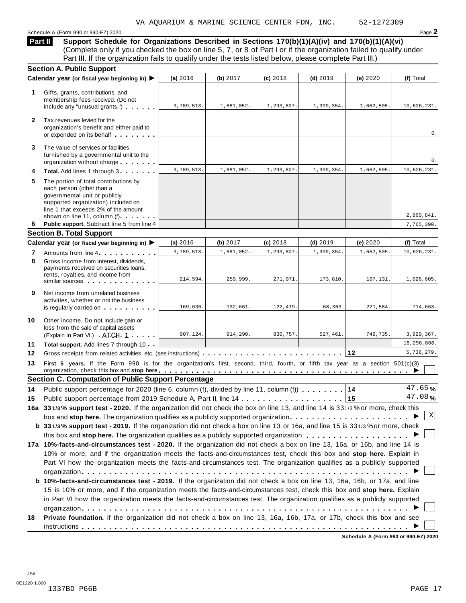Schedule <sup>A</sup> (Form <sup>990</sup> or 990-EZ) <sup>2020</sup> Page **2**

**Support Schedule for Organizations Described in Sections 170(b)(1)(A)(iv) and 170(b)(1)(A)(vi)** (Complete only if you checked the box on line 5, 7, or 8 of Part I or if the organization failed to qualify under Part III. If the organization fails to qualify under the tests listed below, please complete Part III.) **Part II**

|              | <b>Section A. Public Support</b>                                                                                                                                                                                   |            |            |            |            |            |                      |
|--------------|--------------------------------------------------------------------------------------------------------------------------------------------------------------------------------------------------------------------|------------|------------|------------|------------|------------|----------------------|
|              | Calendar year (or fiscal year beginning in) ▶                                                                                                                                                                      | (a) 2016   | (b) 2017   | $(c)$ 2018 | $(d)$ 2019 | (e) 2020   | (f) Total            |
| 1            | Gifts, grants, contributions, and<br>membership fees received. (Do not<br>include any "unusual grants.")                                                                                                           | 3,789,513. | 1,881,052. | 1,293,807. | 1,999,354. | 1,662,505. | 10,626,231.          |
| $\mathbf{2}$ | Tax revenues levied for the<br>organization's benefit and either paid to<br>or expended on its behalf                                                                                                              |            |            |            |            |            | 0.                   |
| 3            | The value of services or facilities<br>furnished by a governmental unit to the<br>organization without charge                                                                                                      |            |            |            |            |            | 0.                   |
| 4            | Total. Add lines 1 through 3                                                                                                                                                                                       | 3,789,513. | 1,881,052. | 1,293,807. | 1,999,354. | 1,662,505. | 10,626,231.          |
| 5            | The portion of total contributions by<br>each person (other than a<br>governmental unit or publicly<br>supported organization) included on<br>line 1 that exceeds 2% of the amount<br>shown on line 11, column (f) |            |            |            |            |            | 2,860,841.           |
| 6            | Public support. Subtract line 5 from line 4                                                                                                                                                                        |            |            |            |            |            | 7,765,390.           |
|              | <b>Section B. Total Support</b>                                                                                                                                                                                    |            |            |            |            |            |                      |
|              | Calendar year (or fiscal year beginning in) ▶                                                                                                                                                                      | (a) 2016   | (b) 2017   | $(c)$ 2018 | $(d)$ 2019 | (e) 2020   | (f) Total            |
| 7            | Amounts from line 4                                                                                                                                                                                                | 3,789,513. | 1,881,052. | 1,293,807. | 1,999,354. | 1,662,505. | 10,626,231.          |
| 8            | Gross income from interest, dividends,<br>payments received on securities loans,<br>rents, royalties, and income from<br>similar sources experiences                                                               | 214,594.   | 259,999.   | 271,071.   | 173,810.   | 107,131.   | 1,026,605.           |
| 9            | Net income from unrelated business<br>activities, whether or not the business<br>is regularly carried on the control of the set of the set of the set of the set of the set of the set of the s                    | 169,636.   | 132,661.   | 122, 419.  | 68,363.    | 221,584.   | 714,663.             |
| 10           | Other income. Do not include gain or<br>loss from the sale of capital assets<br>(Explain in Part VI.) ATCH 1                                                                                                       | 907,124.   | 914,290.   | 830,757.   | 527,461.   | 749,735.   | 3,929,367.           |
| 11           | Total support. Add lines 7 through 10                                                                                                                                                                              |            |            |            |            |            | 16,296,866.          |
| 12           | Gross receipts from related activities, etc. (see instructions)                                                                                                                                                    |            |            |            |            | 12         | 5,736,279.           |
| 13           | First 5 years. If the Form 990 is for the organization's first, second, third, fourth, or fifth tax year as a section 501(c)(3)                                                                                    |            |            |            |            |            |                      |
|              | <b>Section C. Computation of Public Support Percentage</b>                                                                                                                                                         |            |            |            |            |            |                      |
| 14           | Public support percentage for 2020 (line 6, column (f), divided by line 11, column (f)                                                                                                                             |            |            |            |            | 14         | 47.65%               |
| 15           |                                                                                                                                                                                                                    |            |            |            |            | 15         | $\overline{47.08}$ % |
|              | 16a 331/3% support test - 2020. If the organization did not check the box on line 13, and line 14 is 331/3% or more, check this                                                                                    |            |            |            |            |            |                      |
|              | box and stop here. The organization qualifies as a publicly supported organization $\ldots \ldots \ldots \ldots \ldots \ldots \ldots$                                                                              |            |            |            |            |            | Χ                    |
|              | b 331/3% support test - 2019. If the organization did not check a box on line 13 or 16a, and line 15 is 331/3% or more, check                                                                                      |            |            |            |            |            |                      |
|              |                                                                                                                                                                                                                    |            |            |            |            |            |                      |
|              | 17a 10%-facts-and-circumstances test - 2020. If the organization did not check a box on line 13, 16a, or 16b, and line 14 is                                                                                       |            |            |            |            |            |                      |
|              | 10% or more, and if the organization meets the facts-and-circumstances test, check this box and stop here. Explain in                                                                                              |            |            |            |            |            |                      |
|              | Part VI how the organization meets the facts-and-circumstances test. The organization qualifies as a publicly supported                                                                                            |            |            |            |            |            |                      |
|              |                                                                                                                                                                                                                    |            |            |            |            |            |                      |
|              | b 10%-facts-and-circumstances test - 2019. If the organization did not check a box on line 13, 16a, 16b, or 17a, and line                                                                                          |            |            |            |            |            |                      |
|              | 15 is 10% or more, and if the organization meets the facts-and-circumstances test, check this box and stop here. Explain                                                                                           |            |            |            |            |            |                      |
|              | in Part VI how the organization meets the facts-and-circumstances test. The organization qualifies as a publicly supported                                                                                         |            |            |            |            |            |                      |
|              |                                                                                                                                                                                                                    |            |            |            |            |            |                      |
| 18           | Private foundation. If the organization did not check a box on line 13, 16a, 16b, 17a, or 17b, check this box and see                                                                                              |            |            |            |            |            |                      |
|              |                                                                                                                                                                                                                    |            |            |            |            |            |                      |

**Schedule A (Form 990 or 990-EZ) 2020**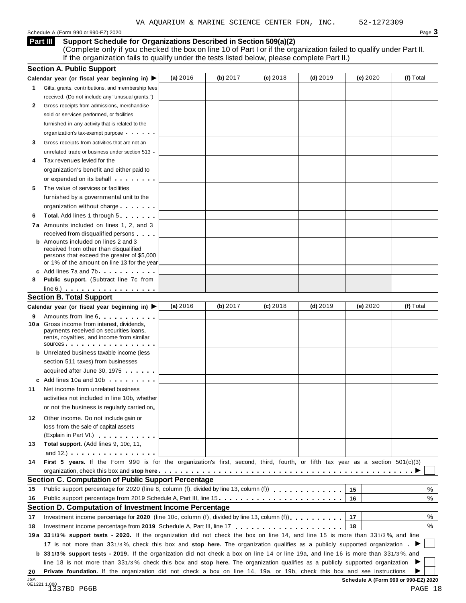Schedule <sup>A</sup> (Form <sup>990</sup> or 990-EZ) <sup>2020</sup> Page **3**

**Support Schedule for Organizations Described in Section 509(a)(2) Part III**

(Complete only if you checked the box on line 10 of Part I or if the organization failed to qualify under Part II. If the organization fails to qualify under the tests listed below, please complete Part II.)

|    | <b>Section A. Public Support</b>                                                                                                                                                                                                     |          |          |            |            |          |           |
|----|--------------------------------------------------------------------------------------------------------------------------------------------------------------------------------------------------------------------------------------|----------|----------|------------|------------|----------|-----------|
|    | Calendar year (or fiscal year beginning in) $\blacktriangleright$                                                                                                                                                                    | (a) 2016 | (b) 2017 | $(c)$ 2018 | $(d)$ 2019 | (e) 2020 | (f) Total |
| 1. | Gifts, grants, contributions, and membership fees                                                                                                                                                                                    |          |          |            |            |          |           |
|    | received. (Do not include any "unusual grants.")                                                                                                                                                                                     |          |          |            |            |          |           |
| 2  | Gross receipts from admissions, merchandise                                                                                                                                                                                          |          |          |            |            |          |           |
|    | sold or services performed, or facilities                                                                                                                                                                                            |          |          |            |            |          |           |
|    | furnished in any activity that is related to the                                                                                                                                                                                     |          |          |            |            |          |           |
|    | organization's tax-exempt purpose                                                                                                                                                                                                    |          |          |            |            |          |           |
| 3  | Gross receipts from activities that are not an                                                                                                                                                                                       |          |          |            |            |          |           |
|    | unrelated trade or business under section 513                                                                                                                                                                                        |          |          |            |            |          |           |
| 4  | Tax revenues levied for the                                                                                                                                                                                                          |          |          |            |            |          |           |
|    | organization's benefit and either paid to                                                                                                                                                                                            |          |          |            |            |          |           |
|    | or expended on its behalf <b>contains the set of the set of the set of the set of the set of the set of the set of the set of the set of the set of the set of the set of the set of the set of the set of the set of the set of</b> |          |          |            |            |          |           |
| 5  | The value of services or facilities                                                                                                                                                                                                  |          |          |            |            |          |           |
|    | furnished by a governmental unit to the                                                                                                                                                                                              |          |          |            |            |          |           |
|    |                                                                                                                                                                                                                                      |          |          |            |            |          |           |
|    | organization without charge                                                                                                                                                                                                          |          |          |            |            |          |           |
| 6  | <b>Total.</b> Add lines 1 through 5                                                                                                                                                                                                  |          |          |            |            |          |           |
|    | 7a Amounts included on lines 1, 2, and 3                                                                                                                                                                                             |          |          |            |            |          |           |
|    | received from disqualified persons<br><b>b</b> Amounts included on lines 2 and 3                                                                                                                                                     |          |          |            |            |          |           |
|    | received from other than disqualified                                                                                                                                                                                                |          |          |            |            |          |           |
|    | persons that exceed the greater of \$5,000                                                                                                                                                                                           |          |          |            |            |          |           |
|    | or 1% of the amount on line 13 for the year                                                                                                                                                                                          |          |          |            |            |          |           |
|    | c Add lines 7a and 7b                                                                                                                                                                                                                |          |          |            |            |          |           |
| 8  | <b>Public support.</b> (Subtract line 7c from                                                                                                                                                                                        |          |          |            |            |          |           |
|    | $line 6.)$                                                                                                                                                                                                                           |          |          |            |            |          |           |
|    | <b>Section B. Total Support</b>                                                                                                                                                                                                      |          |          |            |            |          |           |
|    | Calendar year (or fiscal year beginning in) ▶                                                                                                                                                                                        | (a) 2016 | (b) 2017 | $(c)$ 2018 | $(d)$ 2019 | (e) 2020 | (f) Total |
| 9  | Amounts from line 6 <b>Amounts</b> from line 6                                                                                                                                                                                       |          |          |            |            |          |           |
|    | 10 a Gross income from interest, dividends,                                                                                                                                                                                          |          |          |            |            |          |           |
|    | payments received on securities loans,<br>rents, royalties, and income from similar                                                                                                                                                  |          |          |            |            |          |           |
|    | sources                                                                                                                                                                                                                              |          |          |            |            |          |           |
|    | <b>b</b> Unrelated business taxable income (less                                                                                                                                                                                     |          |          |            |            |          |           |
|    | section 511 taxes) from businesses                                                                                                                                                                                                   |          |          |            |            |          |           |
|    | acquired after June 30, 1975                                                                                                                                                                                                         |          |          |            |            |          |           |
|    | c Add lines 10a and 10b                                                                                                                                                                                                              |          |          |            |            |          |           |
| 11 | Net income from unrelated business                                                                                                                                                                                                   |          |          |            |            |          |           |
|    | activities not included in line 10b, whether                                                                                                                                                                                         |          |          |            |            |          |           |
|    | or not the business is regularly carried on                                                                                                                                                                                          |          |          |            |            |          |           |
|    |                                                                                                                                                                                                                                      |          |          |            |            |          |           |
| 12 | Other income. Do not include gain or                                                                                                                                                                                                 |          |          |            |            |          |           |
|    | loss from the sale of capital assets                                                                                                                                                                                                 |          |          |            |            |          |           |
|    | (Explain in Part VI.) <b>All Accords</b>                                                                                                                                                                                             |          |          |            |            |          |           |
| 13 | Total support. (Add lines 9, 10c, 11,                                                                                                                                                                                                |          |          |            |            |          |           |
|    | and $12.$ ) $\ldots$ $\ldots$ $\ldots$ $\ldots$ $\ldots$                                                                                                                                                                             |          |          |            |            |          |           |
| 14 | First 5 years. If the Form 990 is for the organization's first, second, third, fourth, or fifth tax year as a section 501(c)(3)                                                                                                      |          |          |            |            |          |           |
|    |                                                                                                                                                                                                                                      |          |          |            |            |          |           |
|    | Section C. Computation of Public Support Percentage                                                                                                                                                                                  |          |          |            |            |          |           |
| 15 | Public support percentage for 2020 (line 8, column (f), divided by line 13, column (f)                                                                                                                                               |          |          |            |            | 15       | %         |
| 16 | Public support percentage from 2019 Schedule A, Part III, line 15.                                                                                                                                                                   |          |          |            |            | 16       | %         |
|    | Section D. Computation of Investment Income Percentage                                                                                                                                                                               |          |          |            |            |          |           |
| 17 | Investment income percentage for 2020 (line 10c, column (f), divided by line 13, column (f)), $\ldots$ , , , , , , ,                                                                                                                 |          |          |            |            | 17       | %         |
| 18 | Investment income percentage from 2019 Schedule A, Part III, line 17                                                                                                                                                                 |          |          |            |            | 18       | %         |
|    | 19a 331/3% support tests - 2020. If the organization did not check the box on line 14, and line 15 is more than 331/3%, and line                                                                                                     |          |          |            |            |          |           |
|    |                                                                                                                                                                                                                                      |          |          |            |            |          |           |
|    | 17 is not more than 331/3%, check this box and stop here. The organization qualifies as a publicly supported organization                                                                                                            |          |          |            |            |          |           |
|    | <b>b</b> 331/3% support tests - 2019. If the organization did not check a box on line 14 or line 19a, and line 16 is more than 331/3%, and                                                                                           |          |          |            |            |          |           |
|    | line 18 is not more than 331/3%, check this box and stop here. The organization qualifies as a publicly supported organization                                                                                                       |          |          |            |            |          |           |
| 20 | Private foundation. If the organization did not check a box on line 14, 19a, or 19b, check this box and see instructions                                                                                                             |          |          |            |            |          |           |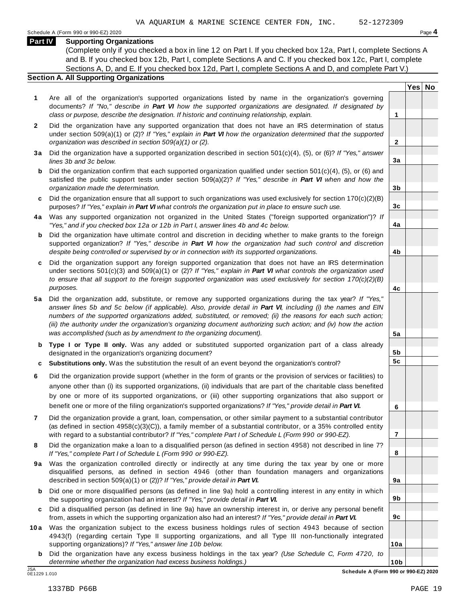#### **Part IV Supporting Organizations**

(Complete only if you checked a box in line 12 on Part I. If you checked box 12a, Part I, complete Sections A and B. If you checked box 12b, Part I, complete Sections A and C. If you checked box 12c, Part I, complete Sections A, D, and E. If you checked box 12d, Part I, complete Sections A and D, and complete Part V.)

### **Section A. All Supporting Organizations**

- **1** Are all of the organization's supported organizations listed by name in the organization's governing documents? *If "No," describe in Part VI how the supported organizations are designated. If designated by class or purpose, describe the designation. If historic and continuing relationship, explain.* **1**
- **2** Did the organization have any supported organization that does not have an IRS determination of status under section 509(a)(1) or (2)? *If"Yes," explain in Part VI how the organization determined that the supported organization was described in section 509(a)(1) or (2).*
- **3 a** Did the organization have a supported organization described in section 501(c)(4), (5), or (6)? *If "Yes," answer lines 3b and 3c below.*
- **b** Did the organization confirm that each supported organization qualified under section 501(c)(4), (5), or (6) and | satisfied the public support tests under section 509(a)(2)? *If "Yes," describe in Part VI when and how the organization made the determination.*
- **c** Did the organization ensure that all support to such organizations was used exclusively for section 170(c)(2)(B) purposes? *If"Yes," explain in Part VI what controls the organization put in place to ensure such use.*
- **4 a** Was any supported organization not organized in the United States ("foreign supported organization")? *If "Yes," and if you checked box 12a or 12b in Part I, answer lines 4b and 4c below.*
- **b** Did the organization have ultimate control and discretion in deciding whether to make grants to the foreign | supported organization? *If "Yes," describe in Part VI how the organization had such control and discretion despite being controlled or supervised by or in connection with its supported organizations.*
- **c** Did the organization support any foreign supported organization that does not have an IRS determination | under sections 501(c)(3) and 509(a)(1) or (2)? *If "Yes," explain in Part VI what controls the organization used to ensure that all support to the foreign supported organization was used exclusively for section 170(c)(2)(B) purposes.*
- **5 a** Did the organization add, substitute, or remove any supported organizations during the tax year? *If "Yes,"* answer lines 5b and 5c below (if applicable). Also, provide detail in Part VI, including (i) the names and EIN *numbers of the supported organizations added, substituted, or removed; (ii) the reasons for each such action;* (iii) the authority under the organization's organizing document authorizing such action; and (iv) how the action *was accomplished (such as by amendment to the organizing document).*
- **b Type I or Type II only.** Was any added or substituted supported organization part of a class already designated in the organization's organizing document?
- **c Substitutions only.** Was the substitution the result of an event beyond the organization's control?
- **6** Did the organization provide support (whether in the form of grants or the provision of services or facilities) to anyone other than (i) its supported organizations, (ii) individuals that are part of the charitable class benefited by one or more of its supported organizations, or (iii) other supporting organizations that also support or benefit one or more of the filing organization's supported organizations? *If"Yes," provide detail in Part VI.*
- **7** Did the organization provide a grant, loan, compensation, or other similar payment to a substantial contributor (as defined in section 4958(c)(3)(C)), a family member of a substantial contributor, or a 35% controlled entity with regard to a substantial contributor? *If"Yes," complete Part I of Schedule L (Form 990 or 990-EZ).*
- **8** Did the organization make a loan to a disqualified person (as defined in section 4958) not described in line 7? *If "Yes," complete Part I of Schedule L (Form 990 or 990-EZ).*
- **9a** Was the organization controlled directly or indirectly at any time during the tax year by one or more | disqualified persons, as defined in section 4946 (other than foundation managers and organizations described in section 509(a)(1) or (2))? *If"Yes," provide detail in Part VI.*
- **b** Did one or more disqualified persons (as defined in line 9a) hold a controlling interest in any entity in which | the supporting organization had an interest? *If"Yes," provide detail in Part VI.*
- **c** Did a disqualified person (as defined in line 9a) have an ownership interest in, or derive any personal benefit from, assets in which the supporting organization also had an interest? *If"Yes," provide detail in Part VI.*
- **10a** Was the organization subject to the excess business holdings rules of section 4943 because of section | 4943(f) (regarding certain Type II supporting organizations, and all Type III non-functionally integrated supporting organizations)? *If"Yes," answer line 10b below.*
	- **b** Did the organization have any excess business holdings in the tax year? *(Use Schedule C, Form 4720, to determine whether the organization had excess business holdings.)*

0E1229 1.010

**2**

**3a**

**3b**

**3c**

**4a**

**4b**

**4c**

**5a**

**5b 5c**

**6**

**7**

**8**

**9a**

**9b**

**9c**

**10a**

**Yes No**

**10b** JSA **Schedule A (Form 990 or 990-EZ) 2020**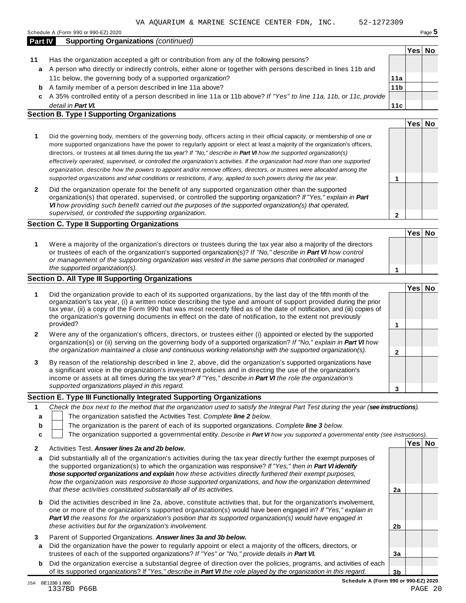Schedule <sup>A</sup> (Form <sup>990</sup> or 990-EZ) <sup>2020</sup> Page **5**

|    |                                                                                                                    |                 | Yes⊺ | No |
|----|--------------------------------------------------------------------------------------------------------------------|-----------------|------|----|
| 11 | Has the organization accepted a gift or contribution from any of the following persons?                            |                 |      |    |
| a  | A person who directly or indirectly controls, either alone or together with persons described in lines 11b and     |                 |      |    |
|    | 11c below, the governing body of a supported organization?                                                         | 11a             |      |    |
| b  | A family member of a person described in line 11a above?                                                           | 11 <sub>b</sub> |      |    |
| c  | A 35% controlled entity of a person described in line 11a or 11b above? If "Yes" to line 11a, 11b, or 11c, provide |                 |      |    |
|    | detail in <b>Part VI.</b>                                                                                          | 11c             |      |    |
|    | <b>Section B. Type I Supporting Organizations</b>                                                                  |                 |      |    |
|    |                                                                                                                    |                 | Yes. |    |

| Did the governing body, members of the governing body, officers acting in their official capacity, or membership of one or<br>more supported organizations have the power to regularly appoint or elect at least a majority of the organization's officers,<br>directors, or trustees at all times during the tax year? If "No," describe in Part VI how the supported organization(s)<br>effectively operated, supervised, or controlled the organization's activities. If the organization had more than one supported<br>organization, describe how the powers to appoint and/or remove officers, directors, or trustees were allocated among the |  |
|------------------------------------------------------------------------------------------------------------------------------------------------------------------------------------------------------------------------------------------------------------------------------------------------------------------------------------------------------------------------------------------------------------------------------------------------------------------------------------------------------------------------------------------------------------------------------------------------------------------------------------------------------|--|
| supported organizations and what conditions or restrictions, if any, applied to such powers during the tax year.                                                                                                                                                                                                                                                                                                                                                                                                                                                                                                                                     |  |
|                                                                                                                                                                                                                                                                                                                                                                                                                                                                                                                                                                                                                                                      |  |

**2** Did the organization operate for the benefit of any supported organization other than the supported organization(s) that operated, supervised, or controlled the supporting organization? *If "Yes," explain in Part VI how providing such benefit carried out the purposes of the supported organization(s) that operated, supervised, or controlled the supporting organization.*

#### **Section C. Type II Supporting Organizations**

**1 Yes No 1** Were a majority of the organization's directors or trustees during the tax year also a majority of the directors or trustees of each of the organization's supported organization(s)? *If"No," describe in Part VI how control or management of the supporting organization was vested in the same persons that controlled or managed the supported organization(s).*

#### **Section D. All Type III Supporting Organizations**

|              |                                                                                                                                                                                                                                                                                                                                                                                                                                                                                          | Yes⊺ |  |
|--------------|------------------------------------------------------------------------------------------------------------------------------------------------------------------------------------------------------------------------------------------------------------------------------------------------------------------------------------------------------------------------------------------------------------------------------------------------------------------------------------------|------|--|
|              | Did the organization provide to each of its supported organizations, by the last day of the fifth month of the<br>organization's tax year, (i) a written notice describing the type and amount of support provided during the prior<br>tax year, (ii) a copy of the Form 990 that was most recently filed as of the date of notification, and (iii) copies of<br>the organization's governing documents in effect on the date of notification, to the extent not previously<br>provided? |      |  |
| $\mathbf{2}$ | Were any of the organization's officers, directors, or trustees either (i) appointed or elected by the supported<br>organization(s) or (ii) serving on the governing body of a supported organization? If "No," explain in <b>Part VI</b> how                                                                                                                                                                                                                                            |      |  |
|              | the organization maintained a close and continuous working relationship with the supported organization(s).                                                                                                                                                                                                                                                                                                                                                                              |      |  |
| 3            | By reason of the relationship described in line 2, above, did the organization's supported organizations have<br>a significant voice in the organization's investment policies and in directing the use of the organization's<br>income or assets at all times during the tax year? If "Yes," describe in Part VI the role the organization's                                                                                                                                            |      |  |
|              | supported organizations played in this regard.                                                                                                                                                                                                                                                                                                                                                                                                                                           |      |  |

#### **Section E. Type III Functionally Integrated Supporting Organizations**

|  | Check the box next to the method that the organization used to satisfy the Integral Part Test during the year (see instructions).                                                                                                 |      |    |
|--|-----------------------------------------------------------------------------------------------------------------------------------------------------------------------------------------------------------------------------------|------|----|
|  | The organization satisfied the Activities Test. Complete line 2 below.                                                                                                                                                            |      |    |
|  | The organization is the parent of each of its supported organizations. Complete line 3 below.                                                                                                                                     |      |    |
|  | The organization supported a governmental entity. Describe in Part VI how you supported a governmental entity (see instructions).                                                                                                 |      |    |
|  | $\mathbf{A}$ . The contract of the contract of the contract of the contract of the contract of the contract of the contract of the contract of the contract of the contract of the contract of the contract of the contract of th | Yesl | No |

|   | ACTIVIDES TEST. AUSWEI IHES Za and ZD DEIDW.                                                                                                                                                                                                                                                                                                                                                                                                              |                |  |
|---|-----------------------------------------------------------------------------------------------------------------------------------------------------------------------------------------------------------------------------------------------------------------------------------------------------------------------------------------------------------------------------------------------------------------------------------------------------------|----------------|--|
| a | Did substantially all of the organization's activities during the tax year directly further the exempt purposes of<br>the supported organization(s) to which the organization was responsive? If "Yes," then in Part VI identify<br>those supported organizations and explain how these activities directly furthered their exempt purposes,<br>how the organization was responsive to those supported organizations, and how the organization determined |                |  |
|   | that these activities constituted substantially all of its activities.                                                                                                                                                                                                                                                                                                                                                                                    | 2a             |  |
| b | Did the activities described in line 2a, above, constitute activities that, but for the organization's involvement,<br>one or more of the organization's supported organization(s) would have been engaged in? If "Yes," explain in<br><b>Part VI</b> the reasons for the organization's position that its supported organization(s) would have engaged in<br>these activities but for the organization's involvement.                                    | 2 <sub>b</sub> |  |
|   |                                                                                                                                                                                                                                                                                                                                                                                                                                                           |                |  |
| 3 | Parent of Supported Organizations. Answer lines 3a and 3b below.                                                                                                                                                                                                                                                                                                                                                                                          |                |  |
| a | Did the organization have the power to regularly appoint or elect a majority of the officers, directors, or<br>trustees of each of the supported organizations? If "Yes" or "No," provide details in Part VI.                                                                                                                                                                                                                                             | 3a             |  |
| b | Did the organization exercise a substantial degree of direction over the policies, programs, and activities of each                                                                                                                                                                                                                                                                                                                                       |                |  |
|   | of its supported organizations? If "Yes," describe in <b>Part VI</b> the role played by the organization in this regard.                                                                                                                                                                                                                                                                                                                                  | 3b             |  |

**2**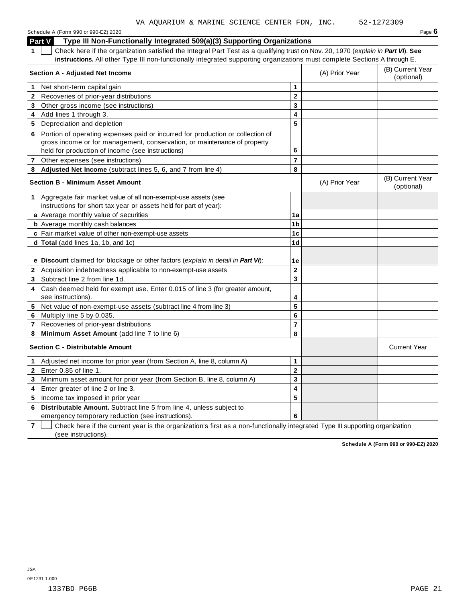Schedule <sup>A</sup> (Form <sup>990</sup> or 990-EZ) <sup>2020</sup> Page **6 Part V Type III Non-Functionally Integrated 509(a)(3) Supporting Organizations 1** Check here if the organization satisfied the Integral Part Test as a qualifying trust on Nov. 20, 1970 (*explain in Part VI*). **See instructions.** All other Type III non-functionally integrated supporting organizations must complete Sections A through E. (B) Current Year **Section <sup>A</sup> - Adjusted Net Income** (A) Prior Year (optional) **1** Net short-term capital gain **1 1 2 3 4 5 2** Recoveries of prior-year distributions **3** Other gross income (see instructions) **4** Add lines 1 through 3. **5** Depreciation and depletion **6** Portion of operating expenses paid or incurred for production or collection of gross income or for management, conservation, or maintenance of property held for production of income (see instructions) **6 7** Other expenses (see instructions) **7 8 Adjusted Net Income** (subtract lines 5, 6, and 7 from line 4) **8** (B) Current Year **Section <sup>B</sup> - Minimum Asset Amount** (A) Prior Year (optional) **1** Aggregate fair market value of all non-exempt-use assets (see instructions for short tax year or assets held for part of year): **a** Average monthly value of securities **1a 1b 1c 1d 1e b** Average monthly cash balances **c** Fair market value of other non-exempt-use assets **d Total** (add lines 1a, 1b, and 1c) **e Discount** claimed for blockage or other factors (*explain in detail in Part VI*): **2** Acquisition indebtedness applicable to non-exempt-use assets **2 3 4 5 6 7 8 3** Subtract line 2 from line 1d. **4** Cash deemed held for exempt use. Enter 0.015 of line 3 (for greater amount, see instructions). **5** Net value of non-exempt-use assets (subtract line 4 from line 3) **6** Multiply line 5 by 0.035. **7** Recoveries of prior-year distributions **8 Minimum Asset Amount** (add line 7 to line 6) **Section C -** Distributable Amount **Current Year** Current Year **Current Year** Current Year **Current Year 1** Adjusted net income for prior year (from Section A, line 8, column A) **1 2 3 4 5 2** Enter 0.85 of line 1. **3** Minimum asset amount for prior year (from Section B, line 8, column A) **4** Enter greater of line 2 or line 3. **5** Income tax imposed in prior year VA AQUARIUM & MARINE SCIENCE CENTER FDN, INC. 52-1272309

**7** Check here if the current year is the organization's first as a non-functionally integrated Type III supporting organization (see instructions).

**6 Distributable Amount.** Subtract line 5 from line 4, unless subject to

emergency temporary reduction (see instructions).

**6**

**Schedule A (Form 990 or 990-EZ) 2020**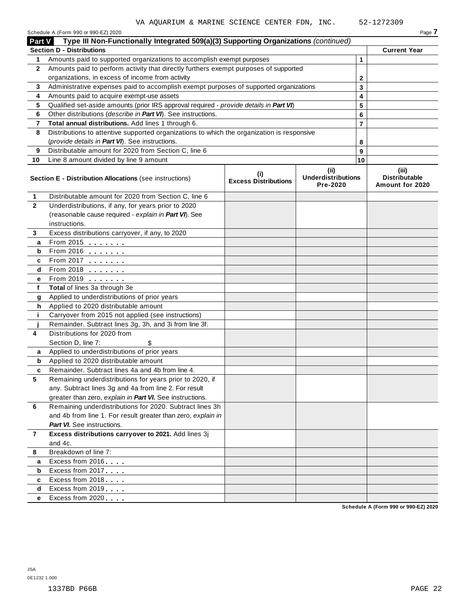|                | Schedule A (Form 990 or 990-EZ) 2020                                                       |                                    |                                                       |                | Page 7                                           |
|----------------|--------------------------------------------------------------------------------------------|------------------------------------|-------------------------------------------------------|----------------|--------------------------------------------------|
| Part V         | Type III Non-Functionally Integrated 509(a)(3) Supporting Organizations (continued)        |                                    |                                                       |                |                                                  |
|                | <b>Section D - Distributions</b>                                                           |                                    |                                                       |                | <b>Current Year</b>                              |
| 1              | Amounts paid to supported organizations to accomplish exempt purposes                      |                                    |                                                       | $\mathbf{1}$   |                                                  |
| $\mathbf{2}$   | Amounts paid to perform activity that directly furthers exempt purposes of supported       |                                    |                                                       |                |                                                  |
|                | organizations, in excess of income from activity                                           |                                    | 2                                                     |                |                                                  |
| 3              | Administrative expenses paid to accomplish exempt purposes of supported organizations      |                                    |                                                       | 3              |                                                  |
| 4              | Amounts paid to acquire exempt-use assets                                                  |                                    |                                                       | 4              |                                                  |
| 5              | Qualified set-aside amounts (prior IRS approval required - provide details in Part VI)     |                                    |                                                       | 5              |                                                  |
| 6              | Other distributions (describe in Part VI). See instructions.                               |                                    |                                                       | 6              |                                                  |
| 7              | Total annual distributions. Add lines 1 through 6.                                         |                                    |                                                       | $\overline{7}$ |                                                  |
| 8              | Distributions to attentive supported organizations to which the organization is responsive |                                    |                                                       |                |                                                  |
|                | (provide details in Part VI). See instructions.                                            |                                    |                                                       | 8              |                                                  |
| 9              | Distributable amount for 2020 from Section C, line 6                                       |                                    |                                                       | 9              |                                                  |
| 10             | Line 8 amount divided by line 9 amount                                                     |                                    |                                                       | 10             |                                                  |
|                | Section E - Distribution Allocations (see instructions)                                    | (i)<br><b>Excess Distributions</b> | (iii)<br><b>Underdistributions</b><br><b>Pre-2020</b> |                | (iii)<br><b>Distributable</b><br>Amount for 2020 |
| 1              | Distributable amount for 2020 from Section C, line 6                                       |                                    |                                                       |                |                                                  |
| $\mathbf{2}$   | Underdistributions, if any, for years prior to 2020                                        |                                    |                                                       |                |                                                  |
|                | (reasonable cause required - explain in Part VI). See                                      |                                    |                                                       |                |                                                  |
|                | instructions.                                                                              |                                    |                                                       |                |                                                  |
| 3              | Excess distributions carryover, if any, to 2020                                            |                                    |                                                       |                |                                                  |
| a              | From 2015 $\frac{1}{2}$                                                                    |                                    |                                                       |                |                                                  |
| b              | From 2016 <b></b>                                                                          |                                    |                                                       |                |                                                  |
| c              | From 2017                                                                                  |                                    |                                                       |                |                                                  |
| d              | From 2018                                                                                  |                                    |                                                       |                |                                                  |
| е              | From 2019 <b></b>                                                                          |                                    |                                                       |                |                                                  |
| f              | Total of lines 3a through 3e                                                               |                                    |                                                       |                |                                                  |
| g              | Applied to underdistributions of prior years                                               |                                    |                                                       |                |                                                  |
| h              | Applied to 2020 distributable amount                                                       |                                    |                                                       |                |                                                  |
| j.             | Carryover from 2015 not applied (see instructions)                                         |                                    |                                                       |                |                                                  |
|                | Remainder. Subtract lines 3g, 3h, and 3i from line 3f.                                     |                                    |                                                       |                |                                                  |
| 4              | Distributions for 2020 from                                                                |                                    |                                                       |                |                                                  |
|                | Section D, line 7:<br>\$                                                                   |                                    |                                                       |                |                                                  |
| a              | Applied to underdistributions of prior years                                               |                                    |                                                       |                |                                                  |
| b              | Applied to 2020 distributable amount                                                       |                                    |                                                       |                |                                                  |
|                | Remainder. Subtract lines 4a and 4b from line 4.                                           |                                    |                                                       |                |                                                  |
| 5              | Remaining underdistributions for years prior to 2020, if                                   |                                    |                                                       |                |                                                  |
|                | any. Subtract lines 3g and 4a from line 2. For result                                      |                                    |                                                       |                |                                                  |
|                | greater than zero, explain in Part VI. See instructions.                                   |                                    |                                                       |                |                                                  |
| 6              | Remaining underdistributions for 2020. Subtract lines 3h                                   |                                    |                                                       |                |                                                  |
|                | and 4b from line 1. For result greater than zero, explain in                               |                                    |                                                       |                |                                                  |
|                | <b>Part VI.</b> See instructions.                                                          |                                    |                                                       |                |                                                  |
| $\overline{7}$ | Excess distributions carryover to 2021. Add lines 3j                                       |                                    |                                                       |                |                                                  |
|                | and 4c.                                                                                    |                                    |                                                       |                |                                                  |
| 8              | Breakdown of line 7:                                                                       |                                    |                                                       |                |                                                  |
| a              | Excess from 2016                                                                           |                                    |                                                       |                |                                                  |
| b              | Excess from 2017                                                                           |                                    |                                                       |                |                                                  |
| c              | Excess from 2018                                                                           |                                    |                                                       |                |                                                  |
| d              | Excess from 2019                                                                           |                                    |                                                       |                |                                                  |
| е              | Excess from 2020                                                                           |                                    |                                                       |                |                                                  |

**Schedule A (Form 990 or 990-EZ) 2020**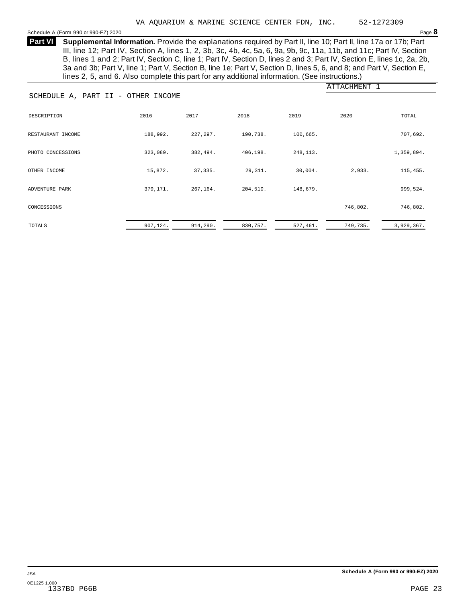<span id="page-20-0"></span>Schedule <sup>A</sup> (Form <sup>990</sup> or 990-EZ) <sup>2020</sup> Page **8**

**Supplemental Information.** Provide the explanations required by Part II, line 10; Part II, line 17a or 17b; Part **Part VI** III, line 12; Part IV, Section A, lines 1, 2, 3b, 3c, 4b, 4c, 5a, 6, 9a, 9b, 9c, 11a, 11b, and 11c; Part IV, Section B, lines 1 and 2; Part IV, Section C, line 1; Part IV, Section D, lines 2 and 3; Part IV, Section E, lines 1c, 2a, 2b, 3a and 3b; Part V, line 1; Part V, Section B, line 1e; Part V, Section D, lines 5, 6, and 8; and Part V, Section E, lines 2, 5, and 6. Also complete this part for any additional information. (See instructions.)

|                                    |           |           |          |           | ATTACHMENT 1 |            |
|------------------------------------|-----------|-----------|----------|-----------|--------------|------------|
| SCHEDULE A, PART II - OTHER INCOME |           |           |          |           |              |            |
| DESCRIPTION                        | 2016      | 2017      | 2018     | 2019      | 2020         | TOTAL      |
| RESTAURANT INCOME                  | 188,992.  | 227,297.  | 190,738. | 100,665.  |              | 707,692.   |
| PHOTO CONCESSIONS                  | 323,089.  | 382,494.  | 406,198. | 248, 113. |              | 1,359,894. |
| OTHER INCOME                       | 15,872.   | 37,335.   | 29,311.  | 30,004.   | 2,933.       | 115,455.   |
| ADVENTURE PARK                     | 379,171.  | 267,164.  | 204,510. | 148,679.  |              | 999,524.   |
| CONCESSIONS                        |           |           |          |           | 746,802.     | 746,802.   |
| TOTALS                             | 907, 124. | 914, 290. | 830,757. | 527,461.  | 749,735.     | 3,929,367. |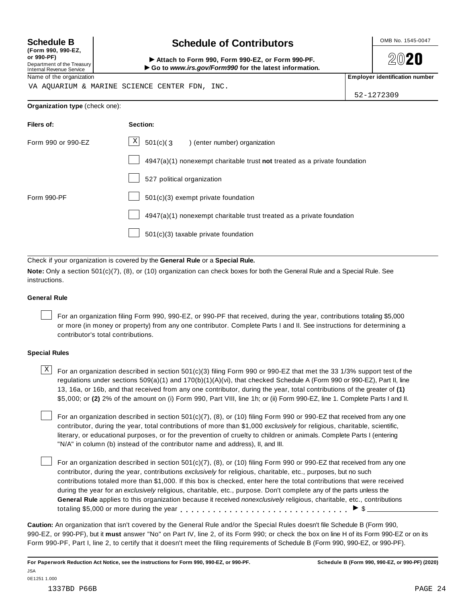**(Form 990, 990-EZ, or 990-PF)** Department of the Treasury<br>Internal Revenue Service

# **Schedule B chedule of Contributors**

**2020** 

(Form 990, 990-EZ,<br>
or 990-PF,<br>
Department of the Treasury **COLOCY**<br>
Internal Revenue Service **COLOCY**<br>
Name of the organization<br>
Name of the organization

VA AQUARIUM & MARINE SCIENCE CENTER FDN, INC.

52-1272309

#### **Organization type** (check one):

| Filers of:         | Section:                                                                    |
|--------------------|-----------------------------------------------------------------------------|
| Form 990 or 990-EZ | $\mathbf{X}$<br>501(c)(3<br>enter number) organization                      |
|                    | $4947(a)(1)$ nonexempt charitable trust not treated as a private foundation |
|                    | 527 political organization                                                  |
| Form 990-PF        | 501(c)(3) exempt private foundation                                         |
|                    | 4947(a)(1) nonexempt charitable trust treated as a private foundation       |
|                    | $501(c)(3)$ taxable private foundation                                      |

Check if your organization is covered by the **General Rule** or a **Special Rule.**

**Note:** Only a section 501(c)(7), (8), or (10) organization can check boxes for both the General Rule and a Special Rule. See instructions.

#### **General Rule**

For an organization filing Form 990, 990-EZ, or 990-PF that received, during the year, contributions totaling \$5,000 or more (in money or property) from any one contributor. Complete Parts I and II. See instructions for determining a contributor's total contributions.

#### **Special Rules**

 $\text{X}$  For an organization described in section 501(c)(3) filing Form 990 or 990-EZ that met the 33 1/3% support test of the regulations under sections 509(a)(1) and 170(b)(1)(A)(vi), that checked Schedule A (Form 990 or 990-EZ), Part II, line 13, 16a, or 16b, and that received from any one contributor, during the year, total contributions of the greater of **(1)** \$5,000; or **(2)** 2% of the amount on (i) Form 990, Part VIII, line 1h; or (ii) Form 990-EZ, line 1. Complete Parts I and II.

For an organization described in section 501(c)(7), (8), or (10) filing Form 990 or 990-EZ that received from any one contributor, during the year, total contributions of more than \$1,000 *exclusively* for religious, charitable, scientific, literary, or educational purposes, or for the prevention of cruelty to children or animals. Complete Parts I (entering "N/A" in column (b) instead of the contributor name and address), II, and III.

For an organization described in section 501(c)(7), (8), or (10) filing Form 990 or 990-EZ that received from any one contributor, during the year, contributions *exclusively* for religious, charitable, etc., purposes, but no such contributions totaled more than \$1,000. If this box is checked, enter here the total contributions that were received during the year for an *exclusively* religious, charitable, etc., purpose. Don't complete any of the parts unless the **General Rule** applies to this organization because it received *nonexclusively* religious, charitable, etc., contributions totaling \$5,000 or more during the year  $\ldots \ldots \ldots \ldots \ldots \ldots \ldots \ldots \ldots \vdots$ 

**Caution:** An organization that isn't covered by the General Rule and/or the Special Rules doesn't file Schedule B (Form 990, 990-EZ, or 990-PF), but it **must** answer "No" on Part IV, line 2, of its Form 990; or check the box on line H of its Form 990-EZ or on its Form 990-PF, Part I, line 2, to certify that it doesn't meet the filing requirements of Schedule B (Form 990, 990-EZ, or 990-PF).

0E1251 1.000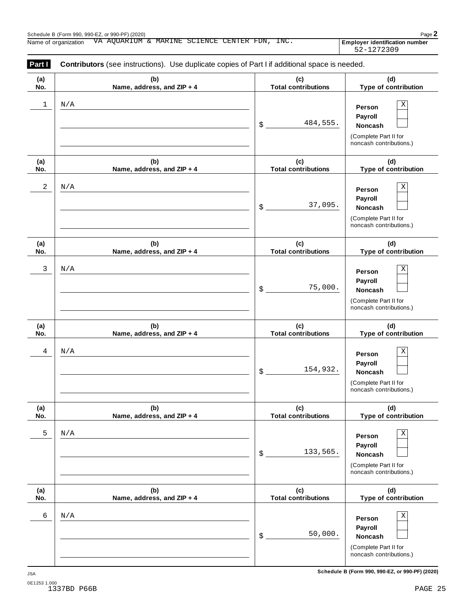| Part I     | Contributors (see instructions). Use duplicate copies of Part I if additional space is needed. |                                   |                                                                                                 |
|------------|------------------------------------------------------------------------------------------------|-----------------------------------|-------------------------------------------------------------------------------------------------|
| (a)<br>No. | (b)<br>Name, address, and ZIP + 4                                                              | (c)<br><b>Total contributions</b> | (d)<br>Type of contribution                                                                     |
| 1          | N/A                                                                                            | 484,555.<br>\$                    | $\mathbf X$<br>Person<br>Payroll<br>Noncash<br>(Complete Part II for<br>noncash contributions.) |
| (a)<br>No. | (b)<br>Name, address, and ZIP + 4                                                              | (c)<br><b>Total contributions</b> | (d)<br>Type of contribution                                                                     |
| 2          | N/A                                                                                            | 37,095.<br>\$                     | $\mathbf X$<br>Person<br>Payroll<br>Noncash<br>(Complete Part II for<br>noncash contributions.) |
| (a)<br>No. | (b)<br>Name, address, and ZIP + 4                                                              | (c)<br><b>Total contributions</b> | (d)<br>Type of contribution                                                                     |
| 3          | N/A                                                                                            | 75,000.<br>\$                     | $\mathbf X$<br>Person<br>Payroll<br>Noncash<br>(Complete Part II for<br>noncash contributions.) |
| (a)<br>No. | (b)<br>Name, address, and ZIP + 4                                                              | (c)<br><b>Total contributions</b> | (d)<br>Type of contribution                                                                     |
| 4          | N/A                                                                                            | 154,932.<br>\$                    | $\mathbf X$<br>Person<br>Payroll<br>Noncash<br>(Complete Part II for<br>noncash contributions.) |
| (a)<br>No. | (b)<br>Name, address, and ZIP + 4                                                              | (c)<br><b>Total contributions</b> | (d)<br>Type of contribution                                                                     |
| 5          | N/A                                                                                            | 133,565.<br>\$                    | Χ<br>Person<br>Payroll<br><b>Noncash</b><br>(Complete Part II for<br>noncash contributions.)    |
| (a)<br>No. | (b)<br>Name, address, and ZIP + 4                                                              | (c)<br><b>Total contributions</b> | (d)<br>Type of contribution                                                                     |
| 6          | N/A                                                                                            | 50,000.<br>\$                     | $\mathbf X$<br>Person<br>Payroll<br>Noncash<br>(Complete Part II for<br>noncash contributions.) |

**Schedule B (Form 990, 990-EZ, or 990-PF) (2020)** JSA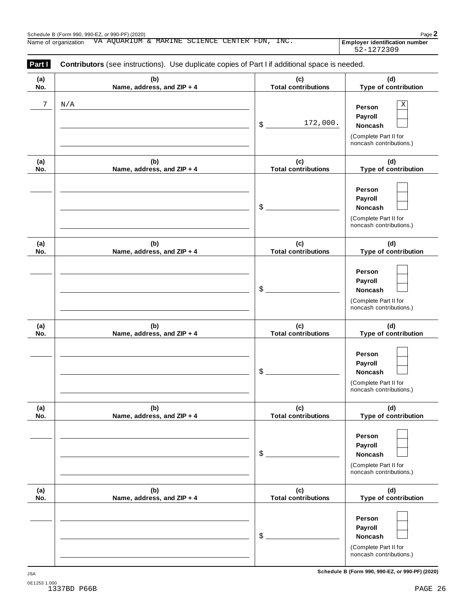| Part I     | Contributors (see instructions). Use duplicate copies of Part I if additional space is needed. |                                   |                                                                                         |
|------------|------------------------------------------------------------------------------------------------|-----------------------------------|-----------------------------------------------------------------------------------------|
| (a)<br>No. | (b)<br>Name, address, and ZIP + 4                                                              | (c)<br><b>Total contributions</b> | (d)<br>Type of contribution                                                             |
| 7          | N/A                                                                                            | 172,000.<br>\$                    | Χ<br>Person<br>Payroll<br>Noncash<br>(Complete Part II for<br>noncash contributions.)   |
| (a)<br>No. | (b)<br>Name, address, and ZIP + 4                                                              | (c)<br><b>Total contributions</b> | (d)<br>Type of contribution                                                             |
|            |                                                                                                | \$                                | Person<br>Payroll<br>Noncash<br>(Complete Part II for<br>noncash contributions.)        |
| (a)<br>No. | (b)<br>Name, address, and ZIP + 4                                                              | (c)<br><b>Total contributions</b> | (d)<br>Type of contribution                                                             |
|            |                                                                                                | \$                                | Person<br>Payroll<br>Noncash<br>(Complete Part II for<br>noncash contributions.)        |
| (a)<br>No. | (b)<br>Name, address, and ZIP + 4                                                              | (c)<br><b>Total contributions</b> | (d)<br>Type of contribution                                                             |
|            |                                                                                                | \$                                | Person<br>Payroll<br>Noncash<br>(Complete Part II for<br>noncash contributions.)        |
| (a)<br>No. | (b)<br>Name, address, and ZIP + 4                                                              | (c)<br><b>Total contributions</b> | (d)<br>Type of contribution                                                             |
|            |                                                                                                | \$                                | Person<br>Payroll<br><b>Noncash</b><br>(Complete Part II for<br>noncash contributions.) |
| (a)<br>No. | (b)<br>Name, address, and ZIP + 4                                                              | (c)<br><b>Total contributions</b> | (d)<br>Type of contribution                                                             |
|            |                                                                                                | \$                                | Person<br>Payroll<br>Noncash<br>(Complete Part II for<br>noncash contributions.)        |

**Schedule B (Form 990, 990-EZ, or 990-PF) (2020)** JSA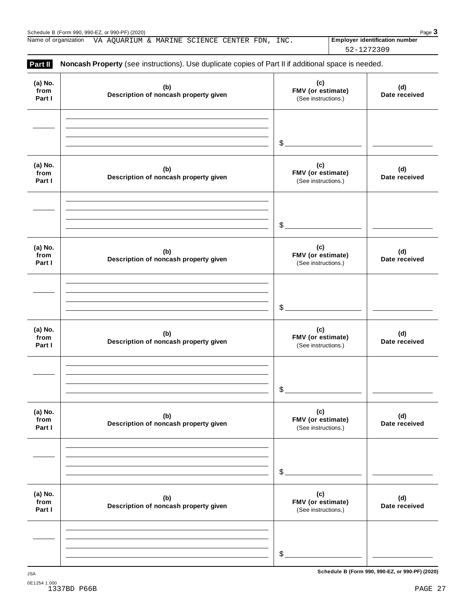Schedule B (Form 990, 990-EZ, or 990-PF) (2020)<br>Name of organization VA AQUARIUM & MARINE SCIENCE CENTER FDN, INC. **Page 3**<br>Name of organization VA AQUARIUM & MARINE SCIENCE CENTER FDN, INC. **Page 1** Name of organization VA AQUARIUM & MARINE SCIENCE CENTER FDN, INC. **Employer identification number** 

52-1272309

| (a) No.<br>from<br>Part I | (b)<br>Description of noncash property given | (c)<br>FMV (or estimate)<br>(See instructions.) | (d)<br>Date received |
|---------------------------|----------------------------------------------|-------------------------------------------------|----------------------|
|                           |                                              | $\frac{1}{2}$                                   |                      |
| (a) No.<br>from<br>Part I | (b)<br>Description of noncash property given | (c)<br>FMV (or estimate)<br>(See instructions.) | (d)<br>Date received |
|                           |                                              | $\frac{1}{2}$                                   |                      |
| (a) No.<br>from<br>Part I | (b)<br>Description of noncash property given | (c)<br>FMV (or estimate)<br>(See instructions.) | (d)<br>Date received |
|                           |                                              | $\delta$                                        |                      |
| (a) No.<br>from<br>Part I | (b)<br>Description of noncash property given | (c)<br>FMV (or estimate)<br>(See instructions.) | (d)<br>Date received |
|                           |                                              | \$                                              |                      |
| (a) No.<br>from<br>Part I | (b)<br>Description of noncash property given | (c)<br>FMV (or estimate)<br>(See instructions.) | (d)<br>Date received |
|                           |                                              | \$                                              |                      |
| (a) No.<br>from<br>Part I | (b)<br>Description of noncash property given | (c)<br>FMV (or estimate)<br>(See instructions.) | (d)<br>Date received |
|                           |                                              | $$$ .                                           |                      |

**Schedule B (Form 990, 990-EZ, or 990-PF) (2020)** JSA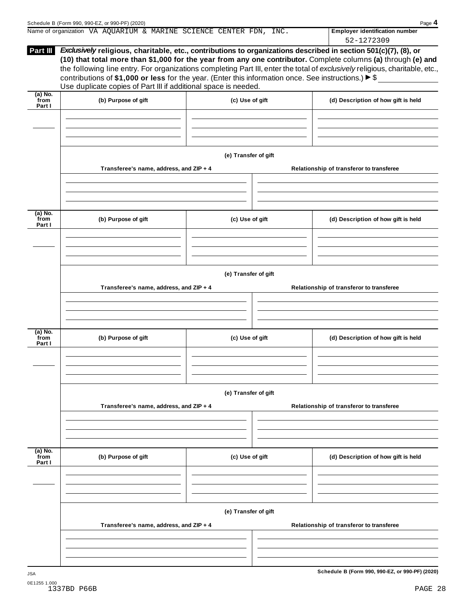| Schedule B (Form 990, 990-EZ, or 990-PF) (2020)                                                                                                                                                                                                                                                                                                                                                                                         | Page 4                                |
|-----------------------------------------------------------------------------------------------------------------------------------------------------------------------------------------------------------------------------------------------------------------------------------------------------------------------------------------------------------------------------------------------------------------------------------------|---------------------------------------|
| Name of organization VA AQUARIUM & MARINE SCIENCE CENTER FDN, INC.                                                                                                                                                                                                                                                                                                                                                                      | <b>Employer identification number</b> |
|                                                                                                                                                                                                                                                                                                                                                                                                                                         | 52-1272309                            |
| Exclusively religious, charitable, etc., contributions to organizations described in section 501(c)(7), (8), or<br><b>Part III</b>                                                                                                                                                                                                                                                                                                      |                                       |
| (10) that total more than \$1,000 for the year from any one contributor. Complete columns (a) through (e) and<br>the following line entry. For organizations completing Part III, enter the total of exclusively religious, charitable, etc.,<br>contributions of \$1,000 or less for the year. (Enter this information once. See instructions.) $\triangleright$ \$<br>Use duplicate copies of Part III if additional space is needed. |                                       |
| $(A)$ No                                                                                                                                                                                                                                                                                                                                                                                                                                |                                       |

| $(a)$ No.<br>from<br>Part I | (b) Purpose of gift                     | (c) Use of gift      | (d) Description of how gift is held             |
|-----------------------------|-----------------------------------------|----------------------|-------------------------------------------------|
|                             |                                         |                      |                                                 |
|                             |                                         |                      |                                                 |
|                             |                                         |                      |                                                 |
|                             |                                         | (e) Transfer of gift |                                                 |
|                             | Transferee's name, address, and ZIP + 4 |                      | Relationship of transferor to transferee        |
|                             |                                         |                      |                                                 |
|                             |                                         |                      |                                                 |
|                             |                                         |                      |                                                 |
| $(a)$ No.<br>from<br>Part I | (b) Purpose of gift                     | (c) Use of gift      | (d) Description of how gift is held             |
|                             |                                         |                      |                                                 |
|                             |                                         |                      |                                                 |
|                             |                                         |                      |                                                 |
|                             |                                         | (e) Transfer of gift |                                                 |
|                             | Transferee's name, address, and ZIP + 4 |                      | Relationship of transferor to transferee        |
|                             |                                         |                      |                                                 |
|                             |                                         |                      |                                                 |
|                             |                                         |                      |                                                 |
| $(a)$ No.<br>from<br>Part I | (b) Purpose of gift                     | (c) Use of gift      | (d) Description of how gift is held             |
|                             |                                         |                      |                                                 |
|                             |                                         |                      |                                                 |
|                             |                                         |                      |                                                 |
|                             |                                         | (e) Transfer of gift |                                                 |
|                             | Transferee's name, address, and ZIP + 4 |                      | Relationship of transferor to transferee        |
|                             |                                         |                      |                                                 |
|                             |                                         |                      |                                                 |
|                             |                                         |                      |                                                 |
| (a) No.<br>from<br>Part I   | (b) Purpose of gift                     | (c) Use of gift      | (d) Description of how gift is held             |
|                             |                                         |                      |                                                 |
|                             |                                         |                      |                                                 |
|                             |                                         |                      |                                                 |
|                             |                                         |                      |                                                 |
|                             |                                         | (e) Transfer of gift |                                                 |
|                             | Transferee's name, address, and ZIP + 4 |                      | Relationship of transferor to transferee        |
|                             |                                         |                      |                                                 |
|                             |                                         |                      |                                                 |
|                             |                                         |                      |                                                 |
| <b>JSA</b>                  |                                         |                      | Schedule B (Form 990, 990-EZ, or 990-PF) (2020) |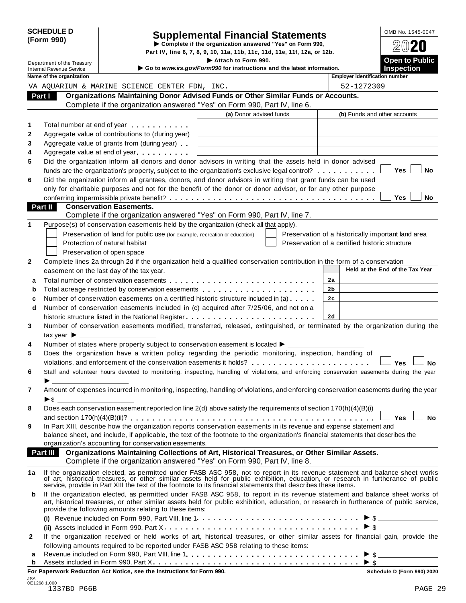| <b>SCHEDULE D</b><br>(Form 990)                               |                                           |                                                                                                                                                                                                                                                                                                                                  | <b>Supplemental Financial Statements</b><br>Complete if the organization answered "Yes" on Form 990,<br>Part IV, line 6, 7, 8, 9, 10, 11a, 11b, 11c, 11d, 11e, 11f, 12a, or 12b. |                                                    | OMB No. 1545-0047<br>$20$ 20               |
|---------------------------------------------------------------|-------------------------------------------|----------------------------------------------------------------------------------------------------------------------------------------------------------------------------------------------------------------------------------------------------------------------------------------------------------------------------------|----------------------------------------------------------------------------------------------------------------------------------------------------------------------------------|----------------------------------------------------|--------------------------------------------|
| Department of the Treasury<br><b>Internal Revenue Service</b> |                                           |                                                                                                                                                                                                                                                                                                                                  | Attach to Form 990.<br>Go to www.irs.gov/Form990 for instructions and the latest information.                                                                                    |                                                    | <b>Open to Public</b><br><b>Inspection</b> |
|                                                               | Name of the organization                  |                                                                                                                                                                                                                                                                                                                                  |                                                                                                                                                                                  | <b>Employer identification number</b>              |                                            |
|                                                               |                                           | VA AQUARIUM & MARINE SCIENCE CENTER FDN, INC.                                                                                                                                                                                                                                                                                    |                                                                                                                                                                                  | 52-1272309                                         |                                            |
| Part I                                                        |                                           | Organizations Maintaining Donor Advised Funds or Other Similar Funds or Accounts.<br>Complete if the organization answered "Yes" on Form 990, Part IV, line 6.                                                                                                                                                                   |                                                                                                                                                                                  |                                                    |                                            |
|                                                               |                                           |                                                                                                                                                                                                                                                                                                                                  | (a) Donor advised funds                                                                                                                                                          | (b) Funds and other accounts                       |                                            |
|                                                               |                                           |                                                                                                                                                                                                                                                                                                                                  |                                                                                                                                                                                  |                                                    |                                            |
| 1                                                             |                                           | Total number at end of year entitled as a set of the set of year                                                                                                                                                                                                                                                                 |                                                                                                                                                                                  |                                                    |                                            |
| $\mathbf{2}$<br>3                                             |                                           | Aggregate value of contributions to (during year)                                                                                                                                                                                                                                                                                |                                                                                                                                                                                  |                                                    |                                            |
| 4                                                             |                                           | Aggregate value of grants from (during year)<br>Aggregate value at end of year                                                                                                                                                                                                                                                   |                                                                                                                                                                                  |                                                    |                                            |
| 5                                                             |                                           | Did the organization inform all donors and donor advisors in writing that the assets held in donor advised                                                                                                                                                                                                                       |                                                                                                                                                                                  |                                                    |                                            |
|                                                               |                                           | funds are the organization's property, subject to the organization's exclusive legal control?                                                                                                                                                                                                                                    |                                                                                                                                                                                  |                                                    | Yes<br>No                                  |
| 6                                                             |                                           | Did the organization inform all grantees, donors, and donor advisors in writing that grant funds can be used                                                                                                                                                                                                                     |                                                                                                                                                                                  |                                                    |                                            |
|                                                               |                                           | only for charitable purposes and not for the benefit of the donor or donor advisor, or for any other purpose                                                                                                                                                                                                                     |                                                                                                                                                                                  |                                                    |                                            |
|                                                               |                                           |                                                                                                                                                                                                                                                                                                                                  |                                                                                                                                                                                  |                                                    | <b>Yes</b><br><b>No</b>                    |
| Part II                                                       |                                           | <b>Conservation Easements.</b>                                                                                                                                                                                                                                                                                                   |                                                                                                                                                                                  |                                                    |                                            |
|                                                               |                                           | Complete if the organization answered "Yes" on Form 990, Part IV, line 7.                                                                                                                                                                                                                                                        |                                                                                                                                                                                  |                                                    |                                            |
| 1                                                             |                                           | Purpose(s) of conservation easements held by the organization (check all that apply).                                                                                                                                                                                                                                            |                                                                                                                                                                                  |                                                    |                                            |
|                                                               |                                           | Preservation of land for public use (for example, recreation or education)                                                                                                                                                                                                                                                       |                                                                                                                                                                                  | Preservation of a historically important land area |                                            |
|                                                               |                                           | Protection of natural habitat                                                                                                                                                                                                                                                                                                    |                                                                                                                                                                                  | Preservation of a certified historic structure     |                                            |
|                                                               |                                           | Preservation of open space                                                                                                                                                                                                                                                                                                       |                                                                                                                                                                                  |                                                    |                                            |
| $\mathbf{2}$                                                  |                                           | Complete lines 2a through 2d if the organization held a qualified conservation contribution in the form of a conservation                                                                                                                                                                                                        |                                                                                                                                                                                  |                                                    |                                            |
|                                                               |                                           | easement on the last day of the tax year.                                                                                                                                                                                                                                                                                        |                                                                                                                                                                                  |                                                    | Held at the End of the Tax Year            |
| a                                                             |                                           |                                                                                                                                                                                                                                                                                                                                  |                                                                                                                                                                                  | 2a                                                 |                                            |
| b                                                             |                                           |                                                                                                                                                                                                                                                                                                                                  |                                                                                                                                                                                  | 2b                                                 |                                            |
| c                                                             |                                           | Number of conservation easements on a certified historic structure included in (a)                                                                                                                                                                                                                                               |                                                                                                                                                                                  | 2c                                                 |                                            |
| d                                                             |                                           | Number of conservation easements included in (c) acquired after 7/25/06, and not on a                                                                                                                                                                                                                                            |                                                                                                                                                                                  |                                                    |                                            |
|                                                               |                                           | historic structure listed in the National Register                                                                                                                                                                                                                                                                               |                                                                                                                                                                                  | 2d                                                 |                                            |
| 3                                                             |                                           | Number of conservation easements modified, transferred, released, extinguished, or terminated by the organization during the                                                                                                                                                                                                     |                                                                                                                                                                                  |                                                    |                                            |
|                                                               | $\mathsf{tax}$ vear $\blacktriangleright$ |                                                                                                                                                                                                                                                                                                                                  |                                                                                                                                                                                  |                                                    |                                            |
| 4                                                             |                                           | Number of states where property subject to conservation easement is located ▶ _                                                                                                                                                                                                                                                  |                                                                                                                                                                                  |                                                    |                                            |
| 5                                                             |                                           | Does the organization have a written policy regarding the periodic monitoring, inspection, handling of                                                                                                                                                                                                                           |                                                                                                                                                                                  |                                                    |                                            |
|                                                               |                                           | violations, and enforcement of the conservation easements it holds?                                                                                                                                                                                                                                                              |                                                                                                                                                                                  |                                                    | <b>Yes</b><br>No                           |
| 6                                                             |                                           | Staff and volunteer hours devoted to monitoring, inspecting, handling of violations, and enforcing conservation easements during the year                                                                                                                                                                                        |                                                                                                                                                                                  |                                                    |                                            |
|                                                               |                                           |                                                                                                                                                                                                                                                                                                                                  |                                                                                                                                                                                  |                                                    |                                            |
| $\overline{7}$                                                |                                           | Amount of expenses incurred in monitoring, inspecting, handling of violations, and enforcing conservation easements during the year                                                                                                                                                                                              |                                                                                                                                                                                  |                                                    |                                            |
|                                                               | $\triangleright$ \$                       |                                                                                                                                                                                                                                                                                                                                  |                                                                                                                                                                                  |                                                    |                                            |
| 8                                                             |                                           | Does each conservation easement reported on line 2(d) above satisfy the requirements of section 170(h)(4)(B)(i)                                                                                                                                                                                                                  |                                                                                                                                                                                  |                                                    |                                            |
|                                                               |                                           |                                                                                                                                                                                                                                                                                                                                  |                                                                                                                                                                                  |                                                    | <b>No</b><br><b>Yes</b>                    |
| 9                                                             |                                           | In Part XIII, describe how the organization reports conservation easements in its revenue and expense statement and                                                                                                                                                                                                              |                                                                                                                                                                                  |                                                    |                                            |
|                                                               |                                           | balance sheet, and include, if applicable, the text of the footnote to the organization's financial statements that describes the                                                                                                                                                                                                |                                                                                                                                                                                  |                                                    |                                            |
|                                                               |                                           | organization's accounting for conservation easements.                                                                                                                                                                                                                                                                            |                                                                                                                                                                                  |                                                    |                                            |
|                                                               | <b>Part III</b>                           | Organizations Maintaining Collections of Art, Historical Treasures, or Other Similar Assets.                                                                                                                                                                                                                                     |                                                                                                                                                                                  |                                                    |                                            |
|                                                               |                                           | Complete if the organization answered "Yes" on Form 990, Part IV, line 8.                                                                                                                                                                                                                                                        |                                                                                                                                                                                  |                                                    |                                            |
| 1a                                                            |                                           | If the organization elected, as permitted under FASB ASC 958, not to report in its revenue statement and balance sheet works of art, historical treasures, or other similar assets held for public exhibition, education, or r                                                                                                   |                                                                                                                                                                                  |                                                    |                                            |
| b                                                             |                                           | If the organization elected, as permitted under FASB ASC 958, to report in its revenue statement and balance sheet works of<br>art, historical treasures, or other similar assets held for public exhibition, education, or research in furtherance of public service,<br>provide the following amounts relating to these items: |                                                                                                                                                                                  |                                                    |                                            |
|                                                               |                                           |                                                                                                                                                                                                                                                                                                                                  |                                                                                                                                                                                  |                                                    |                                            |
|                                                               |                                           | (ii) Assets included in Form 990, Part X $\ldots \ldots \ldots \ldots \ldots \ldots \ldots \ldots \ldots \ldots \ldots \ldots \blacktriangleright$ \$ $\ldots$ $\blacktriangleright$ 5                                                                                                                                           |                                                                                                                                                                                  |                                                    |                                            |
| $\mathbf{2}$                                                  |                                           | If the organization received or held works of art, historical treasures, or other similar assets for financial gain, provide the                                                                                                                                                                                                 |                                                                                                                                                                                  |                                                    |                                            |
|                                                               |                                           | following amounts required to be reported under FASB ASC 958 relating to these items:                                                                                                                                                                                                                                            |                                                                                                                                                                                  |                                                    |                                            |
| a                                                             |                                           |                                                                                                                                                                                                                                                                                                                                  |                                                                                                                                                                                  |                                                    |                                            |
|                                                               |                                           | $\frac{1}{2}$ and $\frac{1}{2}$ is the state of $\frac{1}{2}$ in Figure 0.00. Deat $\frac{1}{2}$                                                                                                                                                                                                                                 |                                                                                                                                                                                  |                                                    |                                            |

**For Paperwork Reduction Act Notice, see the Instructions for Form 990. Schedule D (Form 990) 2020**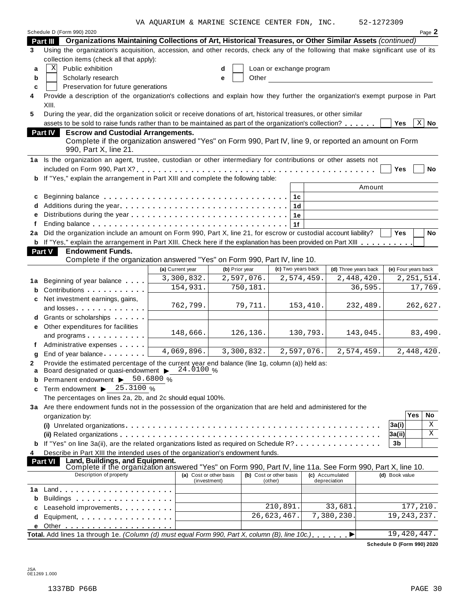VA AQUARIUM & MARINE SCIENCE CENTER FDN, INC. 52-1272309

|    | Schedule D (Form 990) 2020                                                                                                                                      |                         |                |          |                          |            |                      |                |                     | Page 2       |
|----|-----------------------------------------------------------------------------------------------------------------------------------------------------------------|-------------------------|----------------|----------|--------------------------|------------|----------------------|----------------|---------------------|--------------|
|    | Organizations Maintaining Collections of Art, Historical Treasures, or Other Similar Assets (continued)<br>Part III                                             |                         |                |          |                          |            |                      |                |                     |              |
| 3  | Using the organization's acquisition, accession, and other records, check any of the following that make significant use of its                                 |                         |                |          |                          |            |                      |                |                     |              |
|    | collection items (check all that apply):                                                                                                                        |                         |                |          |                          |            |                      |                |                     |              |
| a  | Public exhibition<br>Χ                                                                                                                                          |                         | d              |          | Loan or exchange program |            |                      |                |                     |              |
| b  | Scholarly research                                                                                                                                              |                         | е              | Other    |                          |            |                      |                |                     |              |
| c  | Preservation for future generations                                                                                                                             |                         |                |          |                          |            |                      |                |                     |              |
| 4  | Provide a description of the organization's collections and explain how they further the organization's exempt purpose in Part                                  |                         |                |          |                          |            |                      |                |                     |              |
|    | XIII.                                                                                                                                                           |                         |                |          |                          |            |                      |                |                     |              |
| 5  | During the year, did the organization solicit or receive donations of art, historical treasures, or other similar                                               |                         |                |          |                          |            |                      |                |                     |              |
|    | assets to be sold to raise funds rather than to be maintained as part of the organization's collection?                                                         |                         |                |          |                          |            |                      | <b>Yes</b>     | $\mathbf{X}$        | No           |
|    | <b>Escrow and Custodial Arrangements.</b><br><b>Part IV</b>                                                                                                     |                         |                |          |                          |            |                      |                |                     |              |
|    | Complete if the organization answered "Yes" on Form 990, Part IV, line 9, or reported an amount on Form                                                         |                         |                |          |                          |            |                      |                |                     |              |
|    | 990, Part X, line 21.                                                                                                                                           |                         |                |          |                          |            |                      |                |                     |              |
|    | 1a Is the organization an agent, trustee, custodian or other intermediary for contributions or other assets not                                                 |                         |                |          |                          |            |                      |                |                     |              |
|    |                                                                                                                                                                 |                         |                |          |                          |            |                      | Yes            |                     | No           |
| b  | If "Yes," explain the arrangement in Part XIII and complete the following table:                                                                                |                         |                |          |                          |            |                      |                |                     |              |
|    |                                                                                                                                                                 |                         |                |          |                          |            |                      | Amount         |                     |              |
| c  |                                                                                                                                                                 |                         |                |          |                          |            |                      |                |                     |              |
|    |                                                                                                                                                                 |                         |                |          | 1 <sub>d</sub>           |            |                      |                |                     |              |
| е  |                                                                                                                                                                 |                         |                |          | 1е                       |            |                      |                |                     |              |
|    |                                                                                                                                                                 |                         |                |          | 1f                       |            |                      |                |                     |              |
| 2a | Did the organization include an amount on Form 990, Part X, line 21, for escrow or custodial account liability?                                                 |                         |                |          |                          |            |                      | Yes            |                     | No           |
| b  | If "Yes," explain the arrangement in Part XIII. Check here if the explanation has been provided on Part XIII                                                    |                         |                |          |                          |            |                      |                |                     |              |
|    | <b>Endowment Funds.</b><br><b>Part V</b>                                                                                                                        |                         |                |          |                          |            |                      |                |                     |              |
|    | Complete if the organization answered "Yes" on Form 990, Part IV, line 10.                                                                                      |                         |                |          |                          |            |                      |                |                     |              |
|    |                                                                                                                                                                 | (a) Current year        | (b) Prior year |          | (c) Two years back       |            | (d) Three years back |                | (e) Four years back |              |
|    |                                                                                                                                                                 | 3,300,832.              | 2,597,076.     |          |                          | 2,574,459. | 2,448,420.           |                |                     | 2, 251, 514. |
| 1a | Beginning of year balance                                                                                                                                       | 154,931.                |                | 750,181. |                          |            | 36,595.              |                |                     | 17,769.      |
| b  | Contributions <b>Contributions</b>                                                                                                                              |                         |                |          |                          |            |                      |                |                     |              |
| c  | Net investment earnings, gains,                                                                                                                                 |                         |                |          |                          |            |                      |                |                     |              |
|    | and losses experiences and losses                                                                                                                               | 762,799.                |                | 79,711.  |                          | 153,410.   | 232,489.             |                |                     | 262,627.     |
| d  | Grants or scholarships                                                                                                                                          |                         |                |          |                          |            |                      |                |                     |              |
| е  | Other expenditures for facilities                                                                                                                               |                         |                |          |                          |            |                      |                |                     |              |
|    | and programs                                                                                                                                                    | 148,666.                |                | 126,136. |                          | 130,793.   | 143,045.             |                |                     | 83,490.      |
|    | Administrative expenses                                                                                                                                         | 4,069,896.              | 3,300,832.     |          |                          |            |                      |                |                     | 2,448,420.   |
| a  | End of year balance                                                                                                                                             |                         |                |          |                          | 2,597,076. | 2,574,459.           |                |                     |              |
| 2  | Provide the estimated percentage of the current year end balance (line 1g, column (a)) held as:                                                                 |                         |                |          |                          |            |                      |                |                     |              |
| a  | Board designated or quasi-endowment $\triangleright$ 24.0100 %                                                                                                  |                         |                |          |                          |            |                      |                |                     |              |
| b  | Permanent endowment >                                                                                                                                           | 50.6800 $%$             |                |          |                          |            |                      |                |                     |              |
| c  | Term endowment $\triangleright$ 25.3100 %                                                                                                                       |                         |                |          |                          |            |                      |                |                     |              |
|    | The percentages on lines 2a, 2b, and 2c should equal 100%.                                                                                                      |                         |                |          |                          |            |                      |                |                     |              |
|    | 3a Are there endowment funds not in the possession of the organization that are held and administered for the                                                   |                         |                |          |                          |            |                      |                |                     |              |
|    | organization by:                                                                                                                                                |                         |                |          |                          |            |                      |                | Yes                 | No           |
|    |                                                                                                                                                                 |                         |                |          |                          |            |                      | 3a(i)          |                     | Χ            |
|    |                                                                                                                                                                 |                         |                |          |                          |            |                      | 3a(ii)         |                     | X            |
| b  | If "Yes" on line 3a(ii), are the related organizations listed as required on Schedule R?                                                                        |                         |                |          |                          |            |                      | 3b             |                     |              |
| 4  | Describe in Part XIII the intended uses of the organization's endowment funds.                                                                                  |                         |                |          |                          |            |                      |                |                     |              |
|    | Land, Buildings, and Equipment.<br>Complete if the organization answered "Yes" on Form 990, Part IV, line 11a. See Form 990, Part X, line 10.<br><b>Part VI</b> |                         |                |          |                          |            |                      |                |                     |              |
|    | Description of property                                                                                                                                         | (a) Cost or other basis |                |          | (b) Cost or other basis  |            | (c) Accumulated      | (d) Book value |                     |              |
|    |                                                                                                                                                                 | (investment)            |                |          | (other)                  |            | depreciation         |                |                     |              |
| 1a |                                                                                                                                                                 |                         |                |          |                          |            |                      |                |                     |              |
| b  | Buildings                                                                                                                                                       |                         |                |          |                          |            |                      |                |                     |              |
| c  | Leasehold improvements experiences                                                                                                                              |                         |                |          | 210,891.                 |            | 33,681               |                | 177, 210.           |              |
| d  | Equipment experience in the set of the set of the set of the set of the set of the set of the set of the set o                                                  |                         |                |          | 26,623,467.              |            | 7,380,230            |                | 19, 243, 237.       |              |
| е  |                                                                                                                                                                 |                         |                |          |                          |            |                      |                |                     |              |
|    | Total. Add lines 1a through 1e. (Column (d) must equal Form 990, Part X, column (B), line 10c.)                                                                 |                         |                |          |                          |            | ▶                    |                | 19,420,447.         |              |

**Schedule D (Form 990) 2020**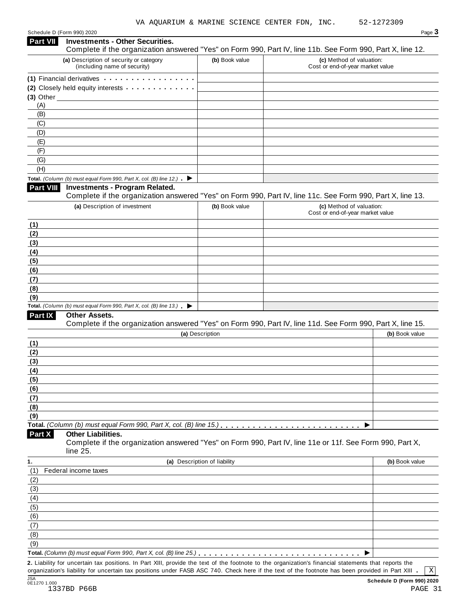Schedule <sup>D</sup> (Form 990) <sup>2020</sup> Page **3**

| Part VII         | <b>Investments - Other Securities.</b><br>Complete if the organization answered "Yes" on Form 990, Part IV, line 11b. See Form 990, Part X, line 12. |                              |                                                              |                |
|------------------|------------------------------------------------------------------------------------------------------------------------------------------------------|------------------------------|--------------------------------------------------------------|----------------|
|                  | (a) Description of security or category<br>(including name of security)                                                                              | (b) Book value               | (c) Method of valuation:<br>Cost or end-of-year market value |                |
|                  | (1) Financial derivatives                                                                                                                            |                              |                                                              |                |
|                  | (2) Closely held equity interests                                                                                                                    |                              |                                                              |                |
| $(3)$ Other      |                                                                                                                                                      |                              |                                                              |                |
| (A)              |                                                                                                                                                      |                              |                                                              |                |
| (B)              |                                                                                                                                                      |                              |                                                              |                |
| (C)              |                                                                                                                                                      |                              |                                                              |                |
| (D)              |                                                                                                                                                      |                              |                                                              |                |
| (E)              |                                                                                                                                                      |                              |                                                              |                |
| (F)              |                                                                                                                                                      |                              |                                                              |                |
| (G)              |                                                                                                                                                      |                              |                                                              |                |
| (H)              |                                                                                                                                                      |                              |                                                              |                |
|                  | Total. (Column (b) must equal Form 990, Part X, col. (B) line 12.) $\blacktriangleright$                                                             |                              |                                                              |                |
| <b>Part VIII</b> | <b>Investments - Program Related.</b><br>Complete if the organization answered "Yes" on Form 990, Part IV, line 11c. See Form 990, Part X, line 13.  |                              |                                                              |                |
|                  |                                                                                                                                                      |                              |                                                              |                |
|                  | (a) Description of investment                                                                                                                        | (b) Book value               | (c) Method of valuation:<br>Cost or end-of-year market value |                |
|                  |                                                                                                                                                      |                              |                                                              |                |
| (1)              |                                                                                                                                                      |                              |                                                              |                |
| (2)              |                                                                                                                                                      |                              |                                                              |                |
| (3)              |                                                                                                                                                      |                              |                                                              |                |
| (4)              |                                                                                                                                                      |                              |                                                              |                |
| (5)<br>(6)       |                                                                                                                                                      |                              |                                                              |                |
| (7)              |                                                                                                                                                      |                              |                                                              |                |
| (8)              |                                                                                                                                                      |                              |                                                              |                |
| (9)              |                                                                                                                                                      |                              |                                                              |                |
|                  | Total. (Column (b) must equal Form 990, Part X, col. (B) line $13$ .)                                                                                |                              |                                                              |                |
| Part IX          | Other Assets.<br>Complete if the organization answered "Yes" on Form 990, Part IV, line 11d. See Form 990, Part X, line 15.                          |                              |                                                              |                |
|                  |                                                                                                                                                      | (a) Description              |                                                              | (b) Book value |
| (1)              |                                                                                                                                                      |                              |                                                              |                |
| (2)              |                                                                                                                                                      |                              |                                                              |                |
| (3)              |                                                                                                                                                      |                              |                                                              |                |
| (4)              |                                                                                                                                                      |                              |                                                              |                |
| <u>(5)</u>       |                                                                                                                                                      |                              |                                                              |                |
| (6)              |                                                                                                                                                      |                              |                                                              |                |
| (7)              |                                                                                                                                                      |                              |                                                              |                |
| (8)              |                                                                                                                                                      |                              |                                                              |                |
| (9)              |                                                                                                                                                      |                              |                                                              |                |
|                  | Total. (Column (b) must equal Form 990, Part X, col. (B) line 15.)                                                                                   |                              |                                                              |                |
| Part X           | <b>Other Liabilities.</b><br>Complete if the organization answered "Yes" on Form 990, Part IV, line 11e or 11f. See Form 990, Part X,<br>line 25.    |                              |                                                              |                |
| 1.               |                                                                                                                                                      | (a) Description of liability |                                                              | (b) Book value |
| (1)              | Federal income taxes                                                                                                                                 |                              |                                                              |                |
| (2)              |                                                                                                                                                      |                              |                                                              |                |
| (3)              |                                                                                                                                                      |                              |                                                              |                |
| (4)              |                                                                                                                                                      |                              |                                                              |                |
| (5)              |                                                                                                                                                      |                              |                                                              |                |
| (6)              |                                                                                                                                                      |                              |                                                              |                |
| (7)              |                                                                                                                                                      |                              |                                                              |                |
| (8)              |                                                                                                                                                      |                              |                                                              |                |
| (9)              |                                                                                                                                                      |                              |                                                              |                |
|                  |                                                                                                                                                      |                              |                                                              |                |
|                  | 2. Liability for uncertain tax positions. In Part XIII, provide the text of the footnote to the organization's financial statements that reports the |                              |                                                              |                |

organization's liability for uncertain tax positions under FASB ASC 740. Check here if the text of the footnote has been provided in Part XIII

 $\boxed{\text{X}}$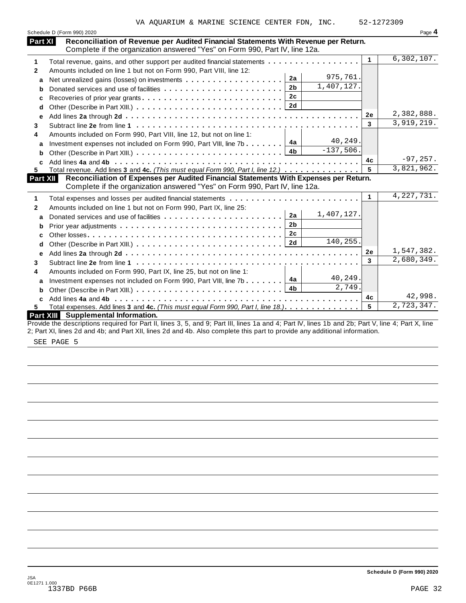|                 | Schedule D (Form 990) 2020                                                                                                                                           |              | Page 4       |
|-----------------|----------------------------------------------------------------------------------------------------------------------------------------------------------------------|--------------|--------------|
| Part XI         | Reconciliation of Revenue per Audited Financial Statements With Revenue per Return.<br>Complete if the organization answered "Yes" on Form 990, Part IV, line 12a.   |              |              |
| 1               | Total revenue, gains, and other support per audited financial statements                                                                                             | $\mathbf{1}$ | 6,302,107.   |
| 2               | Amounts included on line 1 but not on Form 990, Part VIII, line 12:                                                                                                  |              |              |
| a               | 975,761.<br>2a                                                                                                                                                       |              |              |
| b               | 1,407,127.<br>2 <sub>b</sub>                                                                                                                                         |              |              |
| c               | 2c                                                                                                                                                                   |              |              |
| d               | 2d                                                                                                                                                                   |              |              |
| e               |                                                                                                                                                                      | 2e           | 2,382,888.   |
| 3               |                                                                                                                                                                      | 3            | 3,919,219.   |
| 4               | Amounts included on Form 990, Part VIII, line 12, but not on line 1:                                                                                                 |              |              |
| a               | 40,249.<br>4a<br>Investment expenses not included on Form 990, Part VIII, line 7b                                                                                    |              |              |
| b               | $-137,506.$                                                                                                                                                          |              |              |
| C               |                                                                                                                                                                      | 4c           | $-97,257.$   |
| 5.              | Total revenue. Add lines 3 and 4c. (This must equal Form 990, Part I, line 12.)                                                                                      |              | 3,821,962.   |
| <b>Part XII</b> | Reconciliation of Expenses per Audited Financial Statements With Expenses per Return.<br>Complete if the organization answered "Yes" on Form 990, Part IV, line 12a. |              |              |
| 1               |                                                                                                                                                                      | 1            | 4, 227, 731. |
| 2               | Amounts included on line 1 but not on Form 990, Part IX, line 25:                                                                                                    |              |              |
| a               | 1,407,127.<br>2a                                                                                                                                                     |              |              |
| b               | 2 <sub>b</sub>                                                                                                                                                       |              |              |
| c               | 2c                                                                                                                                                                   |              |              |
| d               | 140,255.<br>2d                                                                                                                                                       |              |              |
| e               |                                                                                                                                                                      | 2e           | 1,547,382.   |
| 3               |                                                                                                                                                                      | 3            | 2,680,349.   |
| 4               | Amounts included on Form 990, Part IX, line 25, but not on line 1:                                                                                                   |              |              |
| a               | 40,249.<br>4a<br>Investment expenses not included on Form 990, Part VIII, line 7b                                                                                    |              |              |
| b               | 2,749.<br>4b                                                                                                                                                         |              |              |
| C               |                                                                                                                                                                      | 4c           | 42,998.      |
| 5.              | Total expenses. Add lines 3 and 4c. (This must equal Form 990, Part I, line 18.)                                                                                     | 5            | 2,723,347.   |
|                 | <b>Part XIII</b> Supplemental Information.                                                                                                                           |              |              |
|                 | Drougle the decorretions required for Dart II, lines 2, E, and 0; Dart III, lines 10, and 4; Dart IV, lines 1b, and 2b; Dart V, line, 4; Dart V, line                |              |              |

Provide the descriptions required for Part II, lines 3, 5, and 9; Part III, lines 1a and 4; Part IV, lines 1b and 2b; Part V, line 4; Part X, line 2; Part XI, lines 2d and 4b; and Part XII, lines 2d and 4b. Also complete this part to provide any additional information.

SEE PAGE 5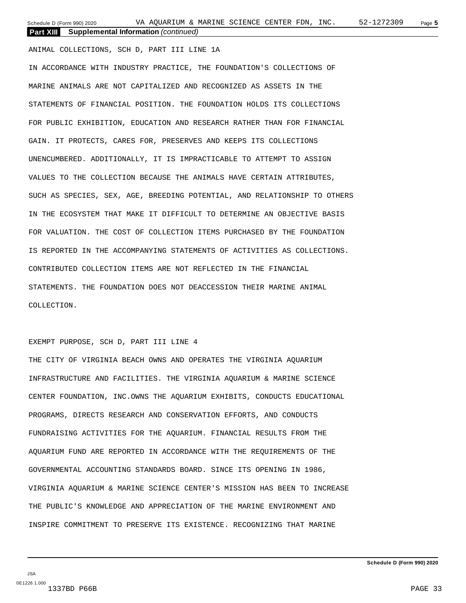Schedule D (Form 990) 2020 Page **5** VA AQUARIUM & MARINE SCIENCE CENTER FDN, INC. 52-1272309 **Part XIII Supplemental Information** *(continued)*

ANIMAL COLLECTIONS, SCH D, PART III LINE 1A IN ACCORDANCE WITH INDUSTRY PRACTICE, THE FOUNDATION'S COLLECTIONS OF MARINE ANIMALS ARE NOT CAPITALIZED AND RECOGNIZED AS ASSETS IN THE STATEMENTS OF FINANCIAL POSITION. THE FOUNDATION HOLDS ITS COLLECTIONS FOR PUBLIC EXHIBITION, EDUCATION AND RESEARCH RATHER THAN FOR FINANCIAL GAIN. IT PROTECTS, CARES FOR, PRESERVES AND KEEPS ITS COLLECTIONS UNENCUMBERED. ADDITIONALLY, IT IS IMPRACTICABLE TO ATTEMPT TO ASSIGN VALUES TO THE COLLECTION BECAUSE THE ANIMALS HAVE CERTAIN ATTRIBUTES, SUCH AS SPECIES, SEX, AGE, BREEDING POTENTIAL, AND RELATIONSHIP TO OTHERS IN THE ECOSYSTEM THAT MAKE IT DIFFICULT TO DETERMINE AN OBJECTIVE BASIS FOR VALUATION. THE COST OF COLLECTION ITEMS PURCHASED BY THE FOUNDATION IS REPORTED IN THE ACCOMPANYING STATEMENTS OF ACTIVITIES AS COLLECTIONS. CONTRIBUTED COLLECTION ITEMS ARE NOT REFLECTED IN THE FINANCIAL STATEMENTS. THE FOUNDATION DOES NOT DEACCESSION THEIR MARINE ANIMAL COLLECTION.

#### EXEMPT PURPOSE, SCH D, PART III LINE 4

THE CITY OF VIRGINIA BEACH OWNS AND OPERATES THE VIRGINIA AQUARIUM INFRASTRUCTURE AND FACILITIES. THE VIRGINIA AQUARIUM & MARINE SCIENCE CENTER FOUNDATION, INC.OWNS THE AQUARIUM EXHIBITS, CONDUCTS EDUCATIONAL PROGRAMS, DIRECTS RESEARCH AND CONSERVATION EFFORTS, AND CONDUCTS FUNDRAISING ACTIVITIES FOR THE AQUARIUM. FINANCIAL RESULTS FROM THE AQUARIUM FUND ARE REPORTED IN ACCORDANCE WITH THE REQUIREMENTS OF THE GOVERNMENTAL ACCOUNTING STANDARDS BOARD. SINCE ITS OPENING IN 1986, VIRGINIA AQUARIUM & MARINE SCIENCE CENTER'S MISSION HAS BEEN TO INCREASE THE PUBLIC'S KNOWLEDGE AND APPRECIATION OF THE MARINE ENVIRONMENT AND INSPIRE COMMITMENT TO PRESERVE ITS EXISTENCE. RECOGNIZING THAT MARINE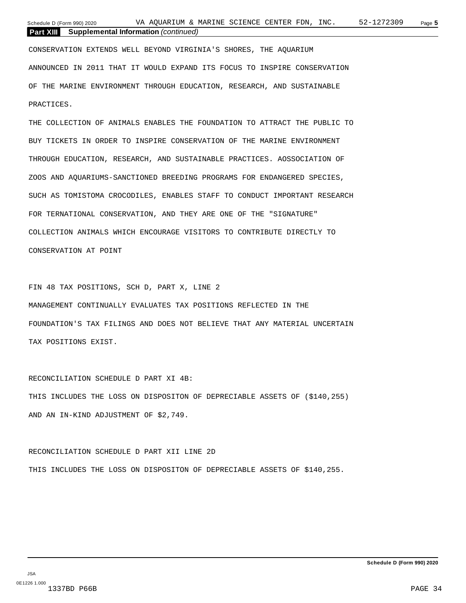| Schedule D (Form 990) 2020 |                                             | VA AOUARIUM & MARINE SCIENCE CENTER FDN. |  |  | INC. | 52-1272309 | Page 5 |  |
|----------------------------|---------------------------------------------|------------------------------------------|--|--|------|------------|--------|--|
| Part XIII                  | <b>Supplemental Information</b> (continued) |                                          |  |  |      |            |        |  |

CONSERVATION EXTENDS WELL BEYOND VIRGINIA'S SHORES, THE AQUARIUM ANNOUNCED IN 2011 THAT IT WOULD EXPAND ITS FOCUS TO INSPIRE CONSERVATION OF THE MARINE ENVIRONMENT THROUGH EDUCATION, RESEARCH, AND SUSTAINABLE PRACTICES.

THE COLLECTION OF ANIMALS ENABLES THE FOUNDATION TO ATTRACT THE PUBLIC TO BUY TICKETS IN ORDER TO INSPIRE CONSERVATION OF THE MARINE ENVIRONMENT THROUGH EDUCATION, RESEARCH, AND SUSTAINABLE PRACTICES. AOSSOCIATION OF ZOOS AND AQUARIUMS-SANCTIONED BREEDING PROGRAMS FOR ENDANGERED SPECIES, SUCH AS TOMISTOMA CROCODILES, ENABLES STAFF TO CONDUCT IMPORTANT RESEARCH FOR TERNATIONAL CONSERVATION, AND THEY ARE ONE OF THE "SIGNATURE" COLLECTION ANIMALS WHICH ENCOURAGE VISITORS TO CONTRIBUTE DIRECTLY TO CONSERVATION AT POINT

FIN 48 TAX POSITIONS, SCH D, PART X, LINE 2 MANAGEMENT CONTINUALLY EVALUATES TAX POSITIONS REFLECTED IN THE FOUNDATION'S TAX FILINGS AND DOES NOT BELIEVE THAT ANY MATERIAL UNCERTAIN TAX POSITIONS EXIST.

RECONCILIATION SCHEDULE D PART XI 4B: THIS INCLUDES THE LOSS ON DISPOSITON OF DEPRECIABLE ASSETS OF (\$140,255) AND AN IN-KIND ADJUSTMENT OF \$2,749.

RECONCILIATION SCHEDULE D PART XII LINE 2D THIS INCLUDES THE LOSS ON DISPOSITON OF DEPRECIABLE ASSETS OF \$140,255.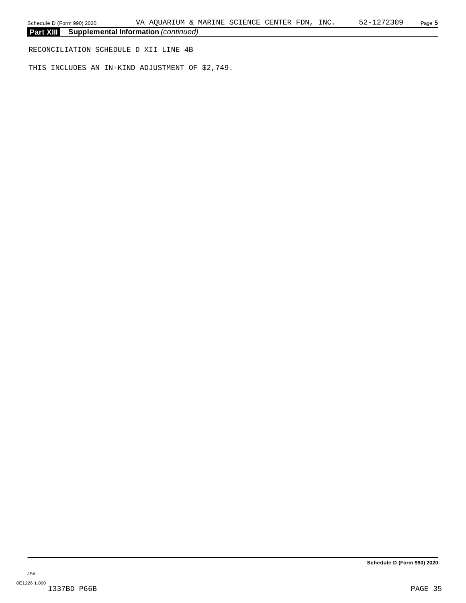RECONCILIATION SCHEDULE D XII LINE 4B

THIS INCLUDES AN IN-KIND ADJUSTMENT OF \$2,749.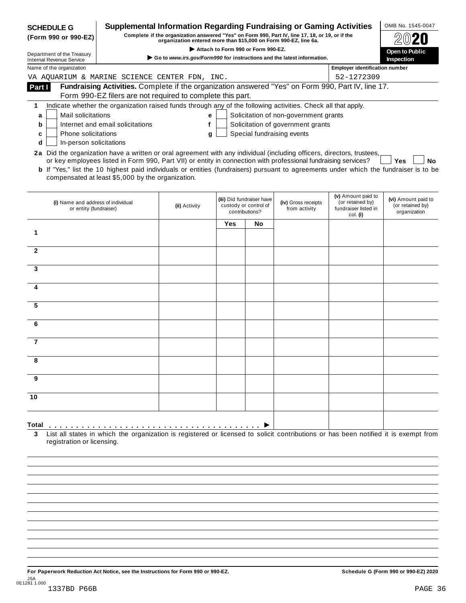| <b>Supplemental Information Regarding Fundraising or Gaming Activities</b><br><b>SCHEDULE G</b><br>Complete if the organization answered "Yes" on Form 990, Part IV, line 17, 18, or 19, or if the<br>(Form 990 or 990-EZ)<br>organization entered more than \$15,000 on Form 990-EZ, line 6a.<br>Attach to Form 990 or Form 990-EZ.<br>Open to Public<br>Department of the Treasury<br>Go to www.irs.gov/Form990 for instructions and the latest information.<br>Inspection<br><b>Internal Revenue Service</b><br><b>Employer identification number</b><br>Name of the organization<br>52-1272309<br>VA AQUARIUM & MARINE SCIENCE CENTER FDN, INC.<br>Fundraising Activities. Complete if the organization answered "Yes" on Form 990, Part IV, line 17.<br>Part I<br>Form 990-EZ filers are not required to complete this part.<br>Indicate whether the organization raised funds through any of the following activities. Check all that apply.<br>1<br>Mail solicitations<br>Solicitation of non-government grants<br>a<br>е<br>Solicitation of government grants<br>Internet and email solicitations<br>f<br>b<br>Special fundraising events<br>Phone solicitations<br>g<br>c<br>In-person solicitations<br>d<br>2a Did the organization have a written or oral agreement with any individual (including officers, directors, trustees,<br>or key employees listed in Form 990, Part VII) or entity in connection with professional fundraising services?<br>Yes<br><b>b</b> If "Yes," list the 10 highest paid individuals or entities (fundraisers) pursuant to agreements under which the fundraiser is to be<br>compensated at least \$5,000 by the organization.<br>(v) Amount paid to<br>(iii) Did fundraiser have<br>(iv) Gross receipts<br>(or retained by)<br>(i) Name and address of individual<br>custody or control of<br>(ii) Activity<br>from activity<br>fundraiser listed in<br>or entity (fundraiser)<br>contributions? |                                                         |  |  |
|-----------------------------------------------------------------------------------------------------------------------------------------------------------------------------------------------------------------------------------------------------------------------------------------------------------------------------------------------------------------------------------------------------------------------------------------------------------------------------------------------------------------------------------------------------------------------------------------------------------------------------------------------------------------------------------------------------------------------------------------------------------------------------------------------------------------------------------------------------------------------------------------------------------------------------------------------------------------------------------------------------------------------------------------------------------------------------------------------------------------------------------------------------------------------------------------------------------------------------------------------------------------------------------------------------------------------------------------------------------------------------------------------------------------------------------------------------------------------------------------------------------------------------------------------------------------------------------------------------------------------------------------------------------------------------------------------------------------------------------------------------------------------------------------------------------------------------------------------------------------------------------------------------------------------------------------------|---------------------------------------------------------|--|--|
|                                                                                                                                                                                                                                                                                                                                                                                                                                                                                                                                                                                                                                                                                                                                                                                                                                                                                                                                                                                                                                                                                                                                                                                                                                                                                                                                                                                                                                                                                                                                                                                                                                                                                                                                                                                                                                                                                                                                               |                                                         |  |  |
|                                                                                                                                                                                                                                                                                                                                                                                                                                                                                                                                                                                                                                                                                                                                                                                                                                                                                                                                                                                                                                                                                                                                                                                                                                                                                                                                                                                                                                                                                                                                                                                                                                                                                                                                                                                                                                                                                                                                               |                                                         |  |  |
|                                                                                                                                                                                                                                                                                                                                                                                                                                                                                                                                                                                                                                                                                                                                                                                                                                                                                                                                                                                                                                                                                                                                                                                                                                                                                                                                                                                                                                                                                                                                                                                                                                                                                                                                                                                                                                                                                                                                               |                                                         |  |  |
|                                                                                                                                                                                                                                                                                                                                                                                                                                                                                                                                                                                                                                                                                                                                                                                                                                                                                                                                                                                                                                                                                                                                                                                                                                                                                                                                                                                                                                                                                                                                                                                                                                                                                                                                                                                                                                                                                                                                               |                                                         |  |  |
|                                                                                                                                                                                                                                                                                                                                                                                                                                                                                                                                                                                                                                                                                                                                                                                                                                                                                                                                                                                                                                                                                                                                                                                                                                                                                                                                                                                                                                                                                                                                                                                                                                                                                                                                                                                                                                                                                                                                               |                                                         |  |  |
|                                                                                                                                                                                                                                                                                                                                                                                                                                                                                                                                                                                                                                                                                                                                                                                                                                                                                                                                                                                                                                                                                                                                                                                                                                                                                                                                                                                                                                                                                                                                                                                                                                                                                                                                                                                                                                                                                                                                               |                                                         |  |  |
|                                                                                                                                                                                                                                                                                                                                                                                                                                                                                                                                                                                                                                                                                                                                                                                                                                                                                                                                                                                                                                                                                                                                                                                                                                                                                                                                                                                                                                                                                                                                                                                                                                                                                                                                                                                                                                                                                                                                               |                                                         |  |  |
|                                                                                                                                                                                                                                                                                                                                                                                                                                                                                                                                                                                                                                                                                                                                                                                                                                                                                                                                                                                                                                                                                                                                                                                                                                                                                                                                                                                                                                                                                                                                                                                                                                                                                                                                                                                                                                                                                                                                               |                                                         |  |  |
|                                                                                                                                                                                                                                                                                                                                                                                                                                                                                                                                                                                                                                                                                                                                                                                                                                                                                                                                                                                                                                                                                                                                                                                                                                                                                                                                                                                                                                                                                                                                                                                                                                                                                                                                                                                                                                                                                                                                               |                                                         |  |  |
|                                                                                                                                                                                                                                                                                                                                                                                                                                                                                                                                                                                                                                                                                                                                                                                                                                                                                                                                                                                                                                                                                                                                                                                                                                                                                                                                                                                                                                                                                                                                                                                                                                                                                                                                                                                                                                                                                                                                               |                                                         |  |  |
|                                                                                                                                                                                                                                                                                                                                                                                                                                                                                                                                                                                                                                                                                                                                                                                                                                                                                                                                                                                                                                                                                                                                                                                                                                                                                                                                                                                                                                                                                                                                                                                                                                                                                                                                                                                                                                                                                                                                               |                                                         |  |  |
|                                                                                                                                                                                                                                                                                                                                                                                                                                                                                                                                                                                                                                                                                                                                                                                                                                                                                                                                                                                                                                                                                                                                                                                                                                                                                                                                                                                                                                                                                                                                                                                                                                                                                                                                                                                                                                                                                                                                               | No                                                      |  |  |
| col. (i)                                                                                                                                                                                                                                                                                                                                                                                                                                                                                                                                                                                                                                                                                                                                                                                                                                                                                                                                                                                                                                                                                                                                                                                                                                                                                                                                                                                                                                                                                                                                                                                                                                                                                                                                                                                                                                                                                                                                      | (vi) Amount paid to<br>(or retained by)<br>organization |  |  |
| Yes<br>No                                                                                                                                                                                                                                                                                                                                                                                                                                                                                                                                                                                                                                                                                                                                                                                                                                                                                                                                                                                                                                                                                                                                                                                                                                                                                                                                                                                                                                                                                                                                                                                                                                                                                                                                                                                                                                                                                                                                     |                                                         |  |  |
| 1                                                                                                                                                                                                                                                                                                                                                                                                                                                                                                                                                                                                                                                                                                                                                                                                                                                                                                                                                                                                                                                                                                                                                                                                                                                                                                                                                                                                                                                                                                                                                                                                                                                                                                                                                                                                                                                                                                                                             |                                                         |  |  |
| $\mathbf{2}$                                                                                                                                                                                                                                                                                                                                                                                                                                                                                                                                                                                                                                                                                                                                                                                                                                                                                                                                                                                                                                                                                                                                                                                                                                                                                                                                                                                                                                                                                                                                                                                                                                                                                                                                                                                                                                                                                                                                  |                                                         |  |  |
|                                                                                                                                                                                                                                                                                                                                                                                                                                                                                                                                                                                                                                                                                                                                                                                                                                                                                                                                                                                                                                                                                                                                                                                                                                                                                                                                                                                                                                                                                                                                                                                                                                                                                                                                                                                                                                                                                                                                               |                                                         |  |  |
| 3                                                                                                                                                                                                                                                                                                                                                                                                                                                                                                                                                                                                                                                                                                                                                                                                                                                                                                                                                                                                                                                                                                                                                                                                                                                                                                                                                                                                                                                                                                                                                                                                                                                                                                                                                                                                                                                                                                                                             |                                                         |  |  |
| 4                                                                                                                                                                                                                                                                                                                                                                                                                                                                                                                                                                                                                                                                                                                                                                                                                                                                                                                                                                                                                                                                                                                                                                                                                                                                                                                                                                                                                                                                                                                                                                                                                                                                                                                                                                                                                                                                                                                                             |                                                         |  |  |
|                                                                                                                                                                                                                                                                                                                                                                                                                                                                                                                                                                                                                                                                                                                                                                                                                                                                                                                                                                                                                                                                                                                                                                                                                                                                                                                                                                                                                                                                                                                                                                                                                                                                                                                                                                                                                                                                                                                                               |                                                         |  |  |
| 5                                                                                                                                                                                                                                                                                                                                                                                                                                                                                                                                                                                                                                                                                                                                                                                                                                                                                                                                                                                                                                                                                                                                                                                                                                                                                                                                                                                                                                                                                                                                                                                                                                                                                                                                                                                                                                                                                                                                             |                                                         |  |  |
| 6                                                                                                                                                                                                                                                                                                                                                                                                                                                                                                                                                                                                                                                                                                                                                                                                                                                                                                                                                                                                                                                                                                                                                                                                                                                                                                                                                                                                                                                                                                                                                                                                                                                                                                                                                                                                                                                                                                                                             |                                                         |  |  |
| $\overline{7}$                                                                                                                                                                                                                                                                                                                                                                                                                                                                                                                                                                                                                                                                                                                                                                                                                                                                                                                                                                                                                                                                                                                                                                                                                                                                                                                                                                                                                                                                                                                                                                                                                                                                                                                                                                                                                                                                                                                                |                                                         |  |  |
| 8                                                                                                                                                                                                                                                                                                                                                                                                                                                                                                                                                                                                                                                                                                                                                                                                                                                                                                                                                                                                                                                                                                                                                                                                                                                                                                                                                                                                                                                                                                                                                                                                                                                                                                                                                                                                                                                                                                                                             |                                                         |  |  |
| 9                                                                                                                                                                                                                                                                                                                                                                                                                                                                                                                                                                                                                                                                                                                                                                                                                                                                                                                                                                                                                                                                                                                                                                                                                                                                                                                                                                                                                                                                                                                                                                                                                                                                                                                                                                                                                                                                                                                                             |                                                         |  |  |
| 10                                                                                                                                                                                                                                                                                                                                                                                                                                                                                                                                                                                                                                                                                                                                                                                                                                                                                                                                                                                                                                                                                                                                                                                                                                                                                                                                                                                                                                                                                                                                                                                                                                                                                                                                                                                                                                                                                                                                            |                                                         |  |  |
|                                                                                                                                                                                                                                                                                                                                                                                                                                                                                                                                                                                                                                                                                                                                                                                                                                                                                                                                                                                                                                                                                                                                                                                                                                                                                                                                                                                                                                                                                                                                                                                                                                                                                                                                                                                                                                                                                                                                               |                                                         |  |  |
| Total                                                                                                                                                                                                                                                                                                                                                                                                                                                                                                                                                                                                                                                                                                                                                                                                                                                                                                                                                                                                                                                                                                                                                                                                                                                                                                                                                                                                                                                                                                                                                                                                                                                                                                                                                                                                                                                                                                                                         |                                                         |  |  |
| List all states in which the organization is registered or licensed to solicit contributions or has been notified it is exempt from<br>3<br>registration or licensing.                                                                                                                                                                                                                                                                                                                                                                                                                                                                                                                                                                                                                                                                                                                                                                                                                                                                                                                                                                                                                                                                                                                                                                                                                                                                                                                                                                                                                                                                                                                                                                                                                                                                                                                                                                        |                                                         |  |  |

For Paperwork Reduction Act Notice, see the Instructions for Form 990 or 990-EZ. Schedule G (Form 990 or 990-EZ) 2020 JSA 0E1281 1.000 1337BD P66B PAGE 36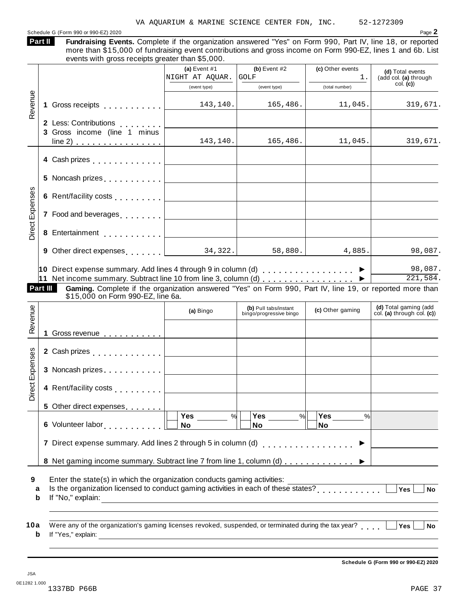#### Schedule <sup>G</sup> (Form <sup>990</sup> or 990-EZ) <sup>2020</sup> Page **2**

| Part II |  |
|---------|--|
|         |  |
|         |  |

Fundraising Events. Complete if the organization answered "Yes" on Form 990, Part IV, line 18, or reported more than \$15,000 of fundraising event contributions and gross income on Form 990-EZ, lines 1 and 6b. List events with gross receipts greater than \$5,000.

|                 |                                                                                                                                                                                                                                | (a) Event $#1$                                               | (b) Event $#2$                                   | (c) Other events     | (d) Total events                                     |
|-----------------|--------------------------------------------------------------------------------------------------------------------------------------------------------------------------------------------------------------------------------|--------------------------------------------------------------|--------------------------------------------------|----------------------|------------------------------------------------------|
|                 |                                                                                                                                                                                                                                | NIGHT AT AQUAR. GOLF                                         |                                                  | 1.                   | (add col. (a) through                                |
|                 |                                                                                                                                                                                                                                | (event type)                                                 | (event type)                                     | (total number)       | col. (c)                                             |
| Revenue         | 1 Gross receipts [1] [1] Gross receipts                                                                                                                                                                                        | 143,140.                                                     | 165, 486.                                        | 11,045.              | 319,671.                                             |
|                 | 2 Less: Contributions                                                                                                                                                                                                          |                                                              |                                                  |                      |                                                      |
|                 | 3 Gross income (line 1 minus<br>$line 2)$                                                                                                                                                                                      | 143, 140.                                                    | 165, 486.                                        | 11,045.              | 319,671.                                             |
|                 |                                                                                                                                                                                                                                |                                                              |                                                  |                      |                                                      |
|                 |                                                                                                                                                                                                                                |                                                              |                                                  |                      |                                                      |
|                 | 6 Rent/facility costs $\ldots \ldots \ldots$                                                                                                                                                                                   |                                                              |                                                  |                      |                                                      |
| Direct Expenses | 7 Food and beverages equal to the set of the set of the set of the set of the set of the set of the set of the set of the set of the set of the set of the set of the set of the set of the set of the set of the set of the s |                                                              |                                                  |                      |                                                      |
|                 |                                                                                                                                                                                                                                |                                                              |                                                  |                      |                                                      |
|                 | 9 Other direct expenses $\begin{array}{ c c c c c }\n\hline\n34,322.\n\hline\n\end{array}$                                                                                                                                     |                                                              | 58,880.                                          | 4,885.               | 98,087.                                              |
|                 | 10 Direct expense summary. Add lines 4 through 9 in column (d) $\ldots$ ,,,,,,,,,,,,,,,                                                                                                                                        |                                                              |                                                  |                      | 98,087.                                              |
|                 | 11 Net income summary. Subtract line 10 from line 3, column (d) $\ldots$                                                                                                                                                       |                                                              |                                                  |                      | 221,584.                                             |
|                 | Part III<br>Gaming. Complete if the organization answered "Yes" on Form 990, Part IV, line 19, or reported more than<br>\$15,000 on Form 990-EZ, line 6a.                                                                      |                                                              |                                                  |                      |                                                      |
|                 |                                                                                                                                                                                                                                | (a) Bingo                                                    | (b) Pull tabs/instant<br>bingo/progressive bingo | (c) Other gaming     | (d) Total gaming (add<br>col. (a) through col. $(c)$ |
| Revenue         | 1 Gross revenue                                                                                                                                                                                                                |                                                              |                                                  |                      |                                                      |
|                 |                                                                                                                                                                                                                                |                                                              |                                                  |                      |                                                      |
|                 | 2 Cash prizes <b>contained 2</b> Cash prizes                                                                                                                                                                                   | the control of the control of the control of                 |                                                  |                      |                                                      |
|                 |                                                                                                                                                                                                                                |                                                              |                                                  |                      |                                                      |
| Direct Expenses | 4 Rent/facility costs [                                                                                                                                                                                                        |                                                              |                                                  |                      |                                                      |
|                 |                                                                                                                                                                                                                                |                                                              |                                                  |                      |                                                      |
|                 | 5 Other direct expenses                                                                                                                                                                                                        | Yes<br>%                                                     | <b>Yes</b><br>$\frac{9}{6}$                      | Yes<br>$\frac{0}{0}$ |                                                      |
|                 | 6 Volunteer labor and contact the state of the state of the state of the state of the state of the state of the state of the state of the state of the state of the state of the state of the state of the state of the state  | <b>No</b>                                                    | <b>No</b>                                        | <b>No</b>            |                                                      |
|                 | 7 Direct expense summary. Add lines 2 through 5 in column (d)                                                                                                                                                                  |                                                              |                                                  | . <b>.</b> .         |                                                      |
|                 | 8 Net gaming income summary. Subtract line 7 from line 1, column (d)                                                                                                                                                           |                                                              |                                                  |                      |                                                      |
| 9<br>a<br>b     | Enter the state(s) in which the organization conducts gaming activities:<br>Is the organization licensed to conduct gaming activities in each of these states?<br>If "No," explain:                                            | <u> 1980 - Johann Barbara, martxa eta idazlea (h. 1980).</u> |                                                  |                      | $\overline{Yes}$<br><b>No</b>                        |

**Schedule G (Form 990 or 990-EZ) 2020**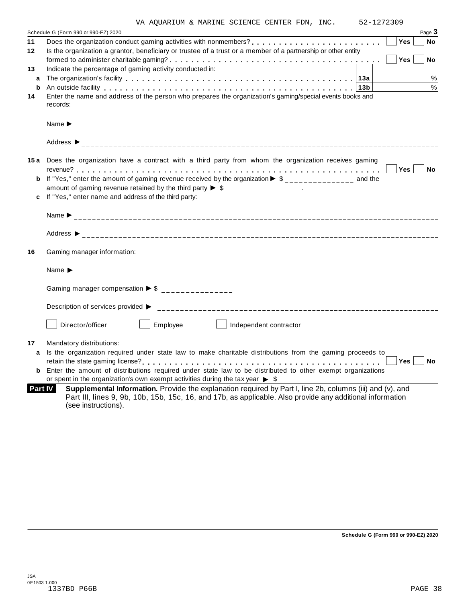|                                      | VA AOUARIUM & MARINE SCIENCE CENTER FDN, INC. |  |  | 52-1272309 |          |
|--------------------------------------|-----------------------------------------------|--|--|------------|----------|
| Schedule G (Form 990 or 990-EZ) 2020 |                                               |  |  |            | Page $3$ |
|                                      |                                               |  |  | 'Yes⊣      | ∣ No     |

| 11      | <b>Yes</b><br>No                                                                                                                                                                                                                              |
|---------|-----------------------------------------------------------------------------------------------------------------------------------------------------------------------------------------------------------------------------------------------|
| 12      | Is the organization a grantor, beneficiary or trustee of a trust or a member of a partnership or other entity                                                                                                                                 |
|         | Yes<br><b>No</b>                                                                                                                                                                                                                              |
| 13      | Indicate the percentage of gaming activity conducted in:                                                                                                                                                                                      |
| a       | The organization's facility enterpreeding to the set of the organization's facility of the set of the set of the original $\mathbf{a}$<br>%                                                                                                   |
| b       | $\%$<br>An outside facility enterpreened and the series of the contract of the contract of the contract of the contract $\vert$ 13b $\vert$                                                                                                   |
| 14      | Enter the name and address of the person who prepares the organization's gaming/special events books and                                                                                                                                      |
|         | records:                                                                                                                                                                                                                                      |
|         |                                                                                                                                                                                                                                               |
|         |                                                                                                                                                                                                                                               |
|         | 15a Does the organization have a contract with a third party from whom the organization receives gaming                                                                                                                                       |
|         | Yes No                                                                                                                                                                                                                                        |
|         | <b>b</b> If "Yes," enter the amount of gaming revenue received by the organization $\triangleright$ \$______________ and the                                                                                                                  |
|         | amount of gaming revenue retained by the third party $\triangleright$ \$ _______________.                                                                                                                                                     |
|         | c If "Yes," enter name and address of the third party:                                                                                                                                                                                        |
|         |                                                                                                                                                                                                                                               |
|         |                                                                                                                                                                                                                                               |
|         |                                                                                                                                                                                                                                               |
| 16      | Gaming manager information:                                                                                                                                                                                                                   |
|         |                                                                                                                                                                                                                                               |
|         | Gaming manager compensation $\triangleright$ \$ _______________                                                                                                                                                                               |
|         |                                                                                                                                                                                                                                               |
|         | Employee<br>Director/officer<br>Independent contractor                                                                                                                                                                                        |
| 17      | Mandatory distributions:                                                                                                                                                                                                                      |
| a       | Is the organization required under state law to make charitable distributions from the gaming proceeds to                                                                                                                                     |
|         | Yes<br><b>No</b>                                                                                                                                                                                                                              |
| b       | Enter the amount of distributions required under state law to be distributed to other exempt organizations                                                                                                                                    |
|         | or spent in the organization's own exempt activities during the tax year $\triangleright$ \$                                                                                                                                                  |
| Part IV | Supplemental Information. Provide the explanation required by Part I, line 2b, columns (iii) and (v), and<br>Part III, lines 9, 9b, 10b, 15b, 15c, 16, and 17b, as applicable. Also provide any additional information<br>(see instructions). |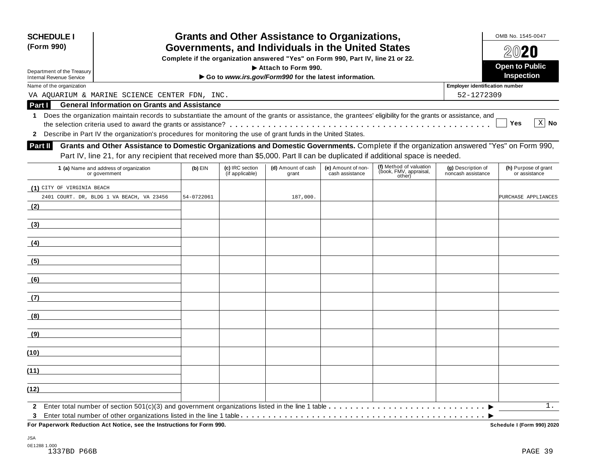| <b>SCHEDULE I</b><br>(Form 990)                                                                                                                                                                                                                                                              |            |                 | <b>Grants and Other Assistance to Organizations,</b><br>Governments, and Individuals in the United States |                    |                                                             |                                       | OMB No. 1545-0047<br>$20$ 20 |
|----------------------------------------------------------------------------------------------------------------------------------------------------------------------------------------------------------------------------------------------------------------------------------------------|------------|-----------------|-----------------------------------------------------------------------------------------------------------|--------------------|-------------------------------------------------------------|---------------------------------------|------------------------------|
| Complete if the organization answered "Yes" on Form 990, Part IV, line 21 or 22.                                                                                                                                                                                                             |            |                 |                                                                                                           |                    |                                                             |                                       |                              |
| Department of the Treasury                                                                                                                                                                                                                                                                   |            |                 | Attach to Form 990.                                                                                       |                    |                                                             |                                       | <b>Open to Public</b>        |
| <b>Internal Revenue Service</b>                                                                                                                                                                                                                                                              |            |                 | Go to www.irs.gov/Form990 for the latest information.                                                     |                    |                                                             |                                       | <b>Inspection</b>            |
| Name of the organization                                                                                                                                                                                                                                                                     |            |                 |                                                                                                           |                    |                                                             | <b>Employer identification number</b> |                              |
| VA AQUARIUM & MARINE SCIENCE CENTER FDN, INC.                                                                                                                                                                                                                                                |            |                 |                                                                                                           |                    |                                                             | 52-1272309                            |                              |
| <b>General Information on Grants and Assistance</b><br>Part I                                                                                                                                                                                                                                |            |                 |                                                                                                           |                    |                                                             |                                       |                              |
| Does the organization maintain records to substantiate the amount of the grants or assistance, the grantees' eligibility for the grants or assistance, and<br>$\mathbf 1$<br>2 Describe in Part IV the organization's procedures for monitoring the use of grant funds in the United States. |            |                 |                                                                                                           |                    |                                                             |                                       | $X$ No<br><b>Yes</b>         |
| Grants and Other Assistance to Domestic Organizations and Domestic Governments. Complete if the organization answered "Yes" on Form 990,<br>Part II                                                                                                                                          |            |                 |                                                                                                           |                    |                                                             |                                       |                              |
| Part IV, line 21, for any recipient that received more than \$5,000. Part II can be duplicated if additional space is needed.<br>1 (a) Name and address of organization                                                                                                                      | $(b)$ EIN  | (c) IRC section | (d) Amount of cash                                                                                        | (e) Amount of non- |                                                             | (g) Description of                    | (h) Purpose of grant         |
| or government                                                                                                                                                                                                                                                                                |            | (if applicable) | grant                                                                                                     | cash assistance    | (f) Method of valuation<br>(book, FMV, appraisal,<br>other) | noncash assistance                    | or assistance                |
| (1) CITY OF VIRGINIA BEACH                                                                                                                                                                                                                                                                   |            |                 |                                                                                                           |                    |                                                             |                                       |                              |
| 2401 COURT. DR, BLDG 1 VA BEACH, VA 23456                                                                                                                                                                                                                                                    | 54-0722061 |                 | 187,000.                                                                                                  |                    |                                                             |                                       | PURCHASE APPLIANCES          |
| (2)                                                                                                                                                                                                                                                                                          |            |                 |                                                                                                           |                    |                                                             |                                       |                              |
|                                                                                                                                                                                                                                                                                              |            |                 |                                                                                                           |                    |                                                             |                                       |                              |
| (3)                                                                                                                                                                                                                                                                                          |            |                 |                                                                                                           |                    |                                                             |                                       |                              |
| (4)                                                                                                                                                                                                                                                                                          |            |                 |                                                                                                           |                    |                                                             |                                       |                              |
| (5)                                                                                                                                                                                                                                                                                          |            |                 |                                                                                                           |                    |                                                             |                                       |                              |
| (6)                                                                                                                                                                                                                                                                                          |            |                 |                                                                                                           |                    |                                                             |                                       |                              |
| (7)                                                                                                                                                                                                                                                                                          |            |                 |                                                                                                           |                    |                                                             |                                       |                              |
| (8)                                                                                                                                                                                                                                                                                          |            |                 |                                                                                                           |                    |                                                             |                                       |                              |
| (9)                                                                                                                                                                                                                                                                                          |            |                 |                                                                                                           |                    |                                                             |                                       |                              |
|                                                                                                                                                                                                                                                                                              |            |                 |                                                                                                           |                    |                                                             |                                       |                              |
| (10)                                                                                                                                                                                                                                                                                         |            |                 |                                                                                                           |                    |                                                             |                                       |                              |
| (11)                                                                                                                                                                                                                                                                                         |            |                 |                                                                                                           |                    |                                                             |                                       |                              |
| (12)                                                                                                                                                                                                                                                                                         |            |                 |                                                                                                           |                    |                                                             |                                       |                              |
| 3                                                                                                                                                                                                                                                                                            |            |                 |                                                                                                           |                    |                                                             |                                       | 1.                           |

JSA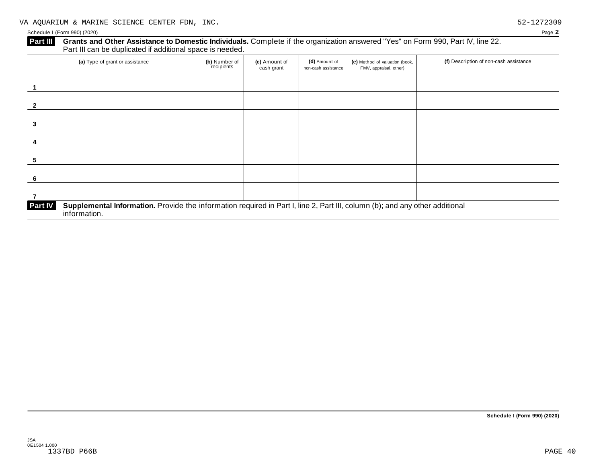#### **Part III** Grants and Other Assistance to Domestic Individuals. Complete if the organization answered "Yes" on Form 990, Part IV, line 22. Part III can be duplicated if additional space is needed.

| (a) Type of grant or assistance                                                                                                                                | (b) Number of<br>recipients | (c) Amount of<br>cash grant | (d) Amount of<br>non-cash assistance | (e) Method of valuation (book,<br>FMV, appraisal, other) | (f) Description of non-cash assistance |
|----------------------------------------------------------------------------------------------------------------------------------------------------------------|-----------------------------|-----------------------------|--------------------------------------|----------------------------------------------------------|----------------------------------------|
|                                                                                                                                                                |                             |                             |                                      |                                                          |                                        |
|                                                                                                                                                                |                             |                             |                                      |                                                          |                                        |
|                                                                                                                                                                |                             |                             |                                      |                                                          |                                        |
|                                                                                                                                                                |                             |                             |                                      |                                                          |                                        |
| 5                                                                                                                                                              |                             |                             |                                      |                                                          |                                        |
| 6                                                                                                                                                              |                             |                             |                                      |                                                          |                                        |
|                                                                                                                                                                |                             |                             |                                      |                                                          |                                        |
| Supplemental Information. Provide the information required in Part I, line 2, Part III, column (b); and any other additional<br><b>Part IV</b><br>information. |                             |                             |                                      |                                                          |                                        |